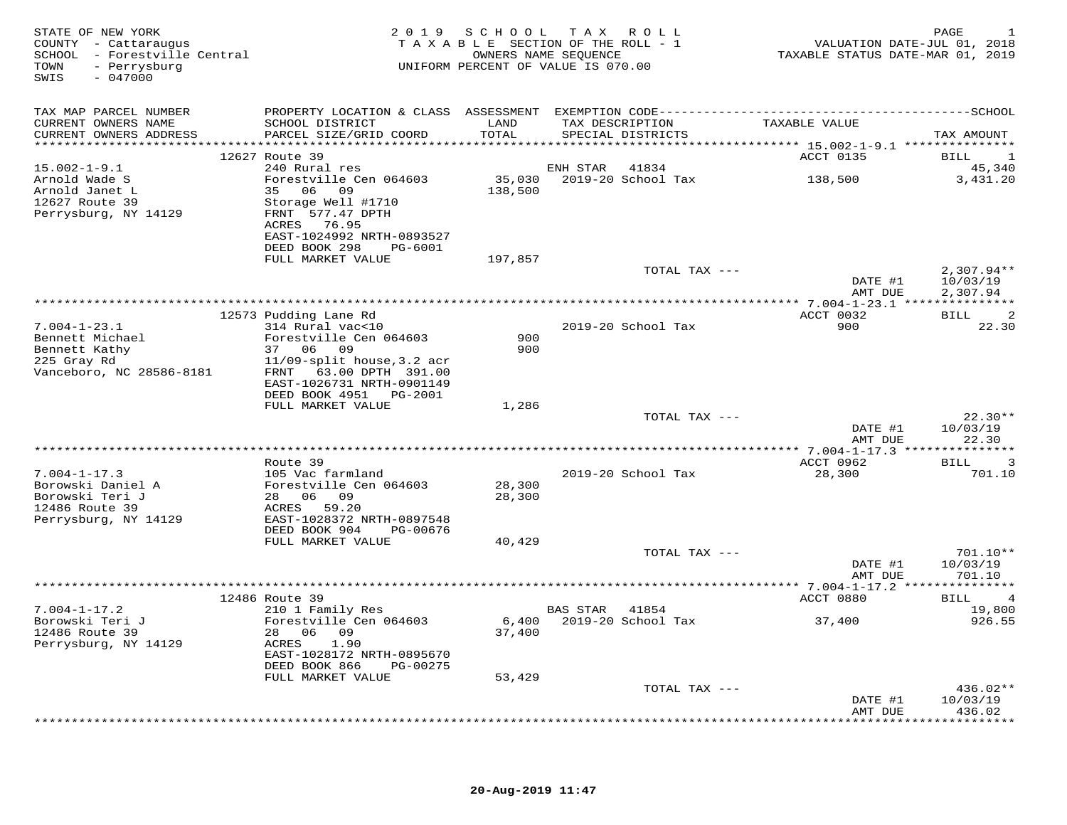| STATE OF NEW YORK<br>COUNTY - Cattaraugus<br>SCHOOL - Forestville Central<br>- Perrysburg<br>TOWN<br>SWIS<br>$-047000$ |                                                        |                  | 2019 SCHOOL TAX ROLL<br>TAXABLE SECTION OF THE ROLL - 1<br>OWNERS NAME SEQUENCE<br>UNIFORM PERCENT OF VALUE IS 070.00 | VALUATION DATE-JUL 01, 2018<br>TAXABLE STATUS DATE-MAR 01, 2019 | PAGE                           |
|------------------------------------------------------------------------------------------------------------------------|--------------------------------------------------------|------------------|-----------------------------------------------------------------------------------------------------------------------|-----------------------------------------------------------------|--------------------------------|
| TAX MAP PARCEL NUMBER                                                                                                  |                                                        |                  |                                                                                                                       |                                                                 |                                |
| CURRENT OWNERS NAME<br>CURRENT OWNERS ADDRESS                                                                          | SCHOOL DISTRICT<br>PARCEL SIZE/GRID COORD              | LAND<br>TOTAL    | TAX DESCRIPTION<br>SPECIAL DISTRICTS                                                                                  | TAXABLE VALUE                                                   | TAX AMOUNT                     |
|                                                                                                                        |                                                        |                  |                                                                                                                       |                                                                 |                                |
| $15.002 - 1 - 9.1$                                                                                                     | 12627 Route 39<br>240 Rural res                        |                  | ENH STAR<br>41834                                                                                                     | ACCT 0135                                                       | BILL<br>$\mathbf{1}$<br>45,340 |
| Arnold Wade S                                                                                                          | Forestville Cen 064603                                 |                  | 35,030 2019-20 School Tax                                                                                             | 138,500                                                         | 3,431.20                       |
| Arnold Janet L                                                                                                         | 35 06 09                                               | 138,500          |                                                                                                                       |                                                                 |                                |
| 12627 Route 39                                                                                                         | Storage Well #1710                                     |                  |                                                                                                                       |                                                                 |                                |
| Perrysburg, NY 14129                                                                                                   | FRNT 577.47 DPTH                                       |                  |                                                                                                                       |                                                                 |                                |
|                                                                                                                        | ACRES 76.95                                            |                  |                                                                                                                       |                                                                 |                                |
|                                                                                                                        | EAST-1024992 NRTH-0893527                              |                  |                                                                                                                       |                                                                 |                                |
|                                                                                                                        | DEED BOOK 298<br>PG-6001<br>FULL MARKET VALUE          | 197,857          |                                                                                                                       |                                                                 |                                |
|                                                                                                                        |                                                        |                  | TOTAL TAX ---                                                                                                         |                                                                 | $2,307.94**$                   |
|                                                                                                                        |                                                        |                  |                                                                                                                       | DATE #1                                                         | 10/03/19                       |
|                                                                                                                        |                                                        |                  |                                                                                                                       | AMT DUE                                                         | 2,307.94                       |
|                                                                                                                        |                                                        |                  |                                                                                                                       |                                                                 |                                |
|                                                                                                                        | 12573 Pudding Lane Rd                                  |                  |                                                                                                                       | ACCT 0032                                                       | BILL<br>-2                     |
| $7.004 - 1 - 23.1$<br>Bennett Michael                                                                                  | 314 Rural vac<10<br>Forestville Cen 064603             | 900              | 2019-20 School Tax                                                                                                    | 900                                                             | 22.30                          |
| Bennett Kathy                                                                                                          | 37 06 09                                               | 900              |                                                                                                                       |                                                                 |                                |
| 225 Gray Rd                                                                                                            | $11/09$ -split house, 3.2 acr                          |                  |                                                                                                                       |                                                                 |                                |
| Vanceboro, NC 28586-8181                                                                                               | FRNT 63.00 DPTH 391.00                                 |                  |                                                                                                                       |                                                                 |                                |
|                                                                                                                        | EAST-1026731 NRTH-0901149                              |                  |                                                                                                                       |                                                                 |                                |
|                                                                                                                        | DEED BOOK 4951 PG-2001                                 |                  |                                                                                                                       |                                                                 |                                |
|                                                                                                                        | FULL MARKET VALUE                                      | 1,286            | TOTAL TAX ---                                                                                                         |                                                                 | $22.30**$                      |
|                                                                                                                        |                                                        |                  |                                                                                                                       | DATE #1                                                         | 10/03/19                       |
|                                                                                                                        |                                                        |                  |                                                                                                                       | AMT DUE                                                         | 22.30                          |
|                                                                                                                        |                                                        |                  |                                                                                                                       |                                                                 |                                |
|                                                                                                                        | Route 39                                               |                  |                                                                                                                       | ACCT 0962                                                       | <b>BILL</b><br>3               |
| $7.004 - 1 - 17.3$                                                                                                     | 105 Vac farmland                                       |                  | 2019-20 School Tax                                                                                                    | 28,300                                                          | 701.10                         |
| Borowski Daniel A<br>Borowski Teri J                                                                                   | Forestville Cen 064603<br>28 06 09                     | 28,300<br>28,300 |                                                                                                                       |                                                                 |                                |
| 12486 Route 39                                                                                                         | ACRES<br>59.20                                         |                  |                                                                                                                       |                                                                 |                                |
| Perrysburg, NY 14129                                                                                                   | EAST-1028372 NRTH-0897548                              |                  |                                                                                                                       |                                                                 |                                |
|                                                                                                                        | DEED BOOK 904<br>PG-00676                              |                  |                                                                                                                       |                                                                 |                                |
|                                                                                                                        | FULL MARKET VALUE                                      | 40,429           |                                                                                                                       |                                                                 |                                |
|                                                                                                                        |                                                        |                  | TOTAL TAX ---                                                                                                         |                                                                 | $701.10**$                     |
|                                                                                                                        |                                                        |                  |                                                                                                                       | DATE #1<br>AMT DUE                                              | 10/03/19<br>701.10             |
|                                                                                                                        | * * * * * * * * * * * * * * * * * * *                  |                  |                                                                                                                       |                                                                 |                                |
|                                                                                                                        | 12486 Route 39                                         |                  |                                                                                                                       | ACCT 0880                                                       | BILL<br>$\overline{4}$         |
| $7.004 - 1 - 17.2$                                                                                                     | 210 1 Family Res                                       |                  | BAS STAR 41854                                                                                                        |                                                                 | 19,800                         |
| Borowski Teri J                                                                                                        | Forestville Cen 064603                                 |                  | 6,400 2019-20 School Tax                                                                                              | 37,400                                                          | 926.55                         |
| 12486 Route 39                                                                                                         | 28 06 09                                               | 37,400           |                                                                                                                       |                                                                 |                                |
| Perrysburg, NY 14129                                                                                                   | ACRES<br>1.90                                          |                  |                                                                                                                       |                                                                 |                                |
|                                                                                                                        | EAST-1028172 NRTH-0895670<br>DEED BOOK 866<br>PG-00275 |                  |                                                                                                                       |                                                                 |                                |
|                                                                                                                        | FULL MARKET VALUE                                      | 53,429           |                                                                                                                       |                                                                 |                                |
|                                                                                                                        |                                                        |                  | TOTAL TAX ---                                                                                                         |                                                                 | $436.02**$                     |
|                                                                                                                        |                                                        |                  |                                                                                                                       | DATE #1                                                         | 10/03/19                       |
|                                                                                                                        |                                                        |                  |                                                                                                                       | AMT DUE                                                         | 436.02                         |
|                                                                                                                        |                                                        |                  |                                                                                                                       |                                                                 | * * * * * * * * *              |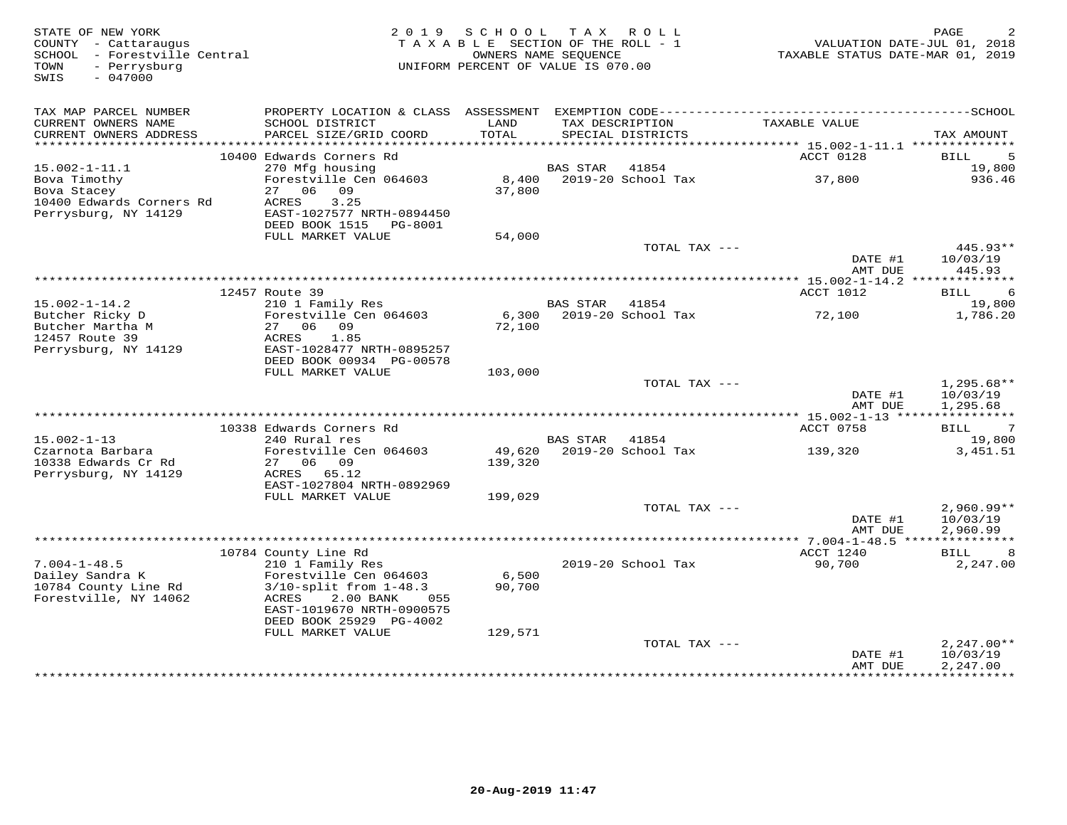| STATE OF NEW YORK<br>COUNTY - Cattaraugus<br>SCHOOL - Forestville Central<br>TOWN<br>- Perrysburg<br>SWIS<br>$-047000$ | 2 0 1 9                                                                                                                                                                             | SCHOOL<br>TAXABLE SECTION OF THE ROLL - 1<br>UNIFORM PERCENT OF VALUE IS 070.00 | OWNERS NAME SEQUENCE | TAX ROLL                             | TAXABLE STATUS DATE-MAR 01, 2019  | PAGE<br>VALUATION DATE-JUL 01, 2018  |
|------------------------------------------------------------------------------------------------------------------------|-------------------------------------------------------------------------------------------------------------------------------------------------------------------------------------|---------------------------------------------------------------------------------|----------------------|--------------------------------------|-----------------------------------|--------------------------------------|
| TAX MAP PARCEL NUMBER                                                                                                  |                                                                                                                                                                                     |                                                                                 |                      |                                      |                                   |                                      |
| CURRENT OWNERS NAME<br>CURRENT OWNERS ADDRESS                                                                          | SCHOOL DISTRICT<br>PARCEL SIZE/GRID COORD                                                                                                                                           | LAND<br>TOTAL                                                                   |                      | TAX DESCRIPTION<br>SPECIAL DISTRICTS | TAXABLE VALUE                     | TAX AMOUNT                           |
|                                                                                                                        | 10400 Edwards Corners Rd                                                                                                                                                            |                                                                                 |                      |                                      | ACCT 0128                         | 5<br>BILL                            |
| $15.002 - 1 - 11.1$                                                                                                    | 270 Mfg housing                                                                                                                                                                     |                                                                                 | BAS STAR             | 41854                                |                                   | 19,800                               |
| Bova Timothy<br>Bova Stacey<br>10400 Edwards Corners Rd<br>Perrysburg, NY 14129                                        | Forestville Cen 064603<br>27 06 09<br>3.25<br>ACRES<br>EAST-1027577 NRTH-0894450<br>DEED BOOK 1515 PG-8001                                                                          | 8,400<br>37,800                                                                 |                      | 2019-20 School Tax                   | 37,800                            | 936.46                               |
|                                                                                                                        | FULL MARKET VALUE                                                                                                                                                                   | 54,000                                                                          |                      |                                      |                                   |                                      |
|                                                                                                                        |                                                                                                                                                                                     |                                                                                 |                      | TOTAL TAX ---                        |                                   | $445.93**$                           |
|                                                                                                                        |                                                                                                                                                                                     |                                                                                 |                      |                                      | DATE #1<br>AMT DUE                | 10/03/19<br>445.93                   |
|                                                                                                                        | 12457 Route 39                                                                                                                                                                      |                                                                                 |                      |                                      | ACCT 1012                         | <b>BILL</b><br>6                     |
| $15.002 - 1 - 14.2$                                                                                                    | 210 1 Family Res                                                                                                                                                                    |                                                                                 | <b>BAS STAR</b>      | 41854                                |                                   | 19,800                               |
| Butcher Ricky D<br>Butcher Martha M<br>12457 Route 39<br>Perrysburg, NY 14129                                          | Forestville Cen 064603<br>27 06 09<br>ACRES<br>1.85<br>EAST-1028477 NRTH-0895257                                                                                                    | 6,300<br>72,100                                                                 |                      | 2019-20 School Tax                   | 72,100                            | 1,786.20                             |
|                                                                                                                        | DEED BOOK 00934 PG-00578<br>FULL MARKET VALUE                                                                                                                                       | 103,000                                                                         |                      |                                      |                                   |                                      |
|                                                                                                                        |                                                                                                                                                                                     |                                                                                 |                      | TOTAL TAX ---                        | DATE #1<br>AMT DUE                | 1,295.68**<br>10/03/19<br>1,295.68   |
|                                                                                                                        |                                                                                                                                                                                     |                                                                                 |                      |                                      | *************** 15.002-1-13 ***** | ***********                          |
|                                                                                                                        | 10338 Edwards Corners Rd                                                                                                                                                            |                                                                                 |                      |                                      | ACCT 0758                         | 7<br>BILL                            |
| $15.002 - 1 - 13$<br>Czarnota Barbara<br>10338 Edwards Cr Rd                                                           | 240 Rural res<br>Forestville Cen 064603<br>27 06 09                                                                                                                                 | 49,620<br>139,320                                                               | <b>BAS STAR</b>      | 41854<br>2019-20 School Tax          | 139,320                           | 19,800<br>3,451.51                   |
| Perrysburg, NY 14129                                                                                                   | ACRES 65.12<br>EAST-1027804 NRTH-0892969<br>FULL MARKET VALUE                                                                                                                       | 199,029                                                                         |                      |                                      |                                   |                                      |
|                                                                                                                        |                                                                                                                                                                                     |                                                                                 |                      | TOTAL TAX ---                        | DATE #1<br>AMT DUE                | $2,960.99**$<br>10/03/19<br>2,960.99 |
|                                                                                                                        |                                                                                                                                                                                     |                                                                                 |                      |                                      |                                   |                                      |
|                                                                                                                        | 10784 County Line Rd                                                                                                                                                                |                                                                                 |                      |                                      | ACCT 1240                         | BILL<br>8                            |
| $7.004 - 1 - 48.5$<br>Dailey Sandra K<br>10784 County Line Rd<br>Forestville, NY 14062                                 | 210 1 Family Res<br>Forestville Cen 064603<br>$3/10$ -split from $1-48.3$<br>2.00 BANK<br>ACRES<br>055<br>EAST-1019670 NRTH-0900575<br>DEED BOOK 25929 PG-4002<br>FULL MARKET VALUE | 6,500<br>90,700<br>129,571                                                      |                      | 2019-20 School Tax                   | 90,700                            | 2,247.00                             |
|                                                                                                                        |                                                                                                                                                                                     |                                                                                 |                      | TOTAL TAX ---                        | DATE #1                           | $2,247.00**$<br>10/03/19             |
|                                                                                                                        |                                                                                                                                                                                     |                                                                                 |                      |                                      | AMT DUE                           | 2,247.00                             |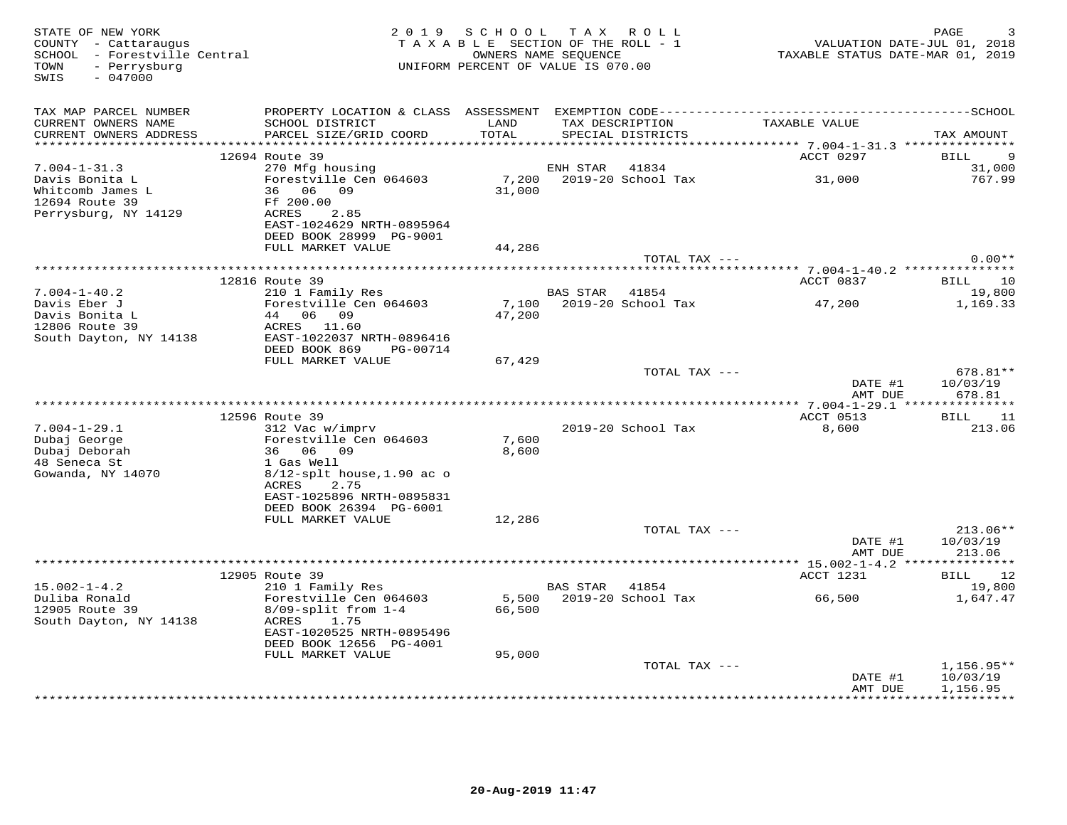| STATE OF NEW YORK<br>COUNTY - Cattaraugus<br>SCHOOL - Forestville Central<br>- Perrysburg<br>TOWN<br>$-047000$<br>SWIS | 2 0 1 9                                              | SCHOOL | TAX ROLL<br>TAXABLE SECTION OF THE ROLL - 1<br>OWNERS NAME SEQUENCE<br>UNIFORM PERCENT OF VALUE IS 070.00 | VALUATION DATE-JUL 01, 2018<br>TAXABLE STATUS DATE-MAR 01, 2019 | PAGE                     |
|------------------------------------------------------------------------------------------------------------------------|------------------------------------------------------|--------|-----------------------------------------------------------------------------------------------------------|-----------------------------------------------------------------|--------------------------|
| TAX MAP PARCEL NUMBER                                                                                                  |                                                      |        |                                                                                                           |                                                                 |                          |
| CURRENT OWNERS NAME                                                                                                    | SCHOOL DISTRICT                                      | LAND   | TAX DESCRIPTION                                                                                           | TAXABLE VALUE                                                   |                          |
| CURRENT OWNERS ADDRESS<br>************************                                                                     | PARCEL SIZE/GRID COORD                               | TOTAL  | SPECIAL DISTRICTS                                                                                         |                                                                 | TAX AMOUNT               |
|                                                                                                                        | 12694 Route 39                                       |        |                                                                                                           | ACCT 0297                                                       | 9<br>BILL                |
| $7.004 - 1 - 31.3$                                                                                                     | 270 Mfg housing                                      |        | ENH STAR<br>41834                                                                                         |                                                                 | 31,000                   |
| Davis Bonita L                                                                                                         | Forestville Cen 064603                               |        | 7,200 2019-20 School Tax                                                                                  | 31,000                                                          | 767.99                   |
| Whitcomb James L                                                                                                       | 36 06<br>09                                          | 31,000 |                                                                                                           |                                                                 |                          |
| 12694 Route 39                                                                                                         | Ff 200.00                                            |        |                                                                                                           |                                                                 |                          |
| Perrysburg, NY 14129                                                                                                   | ACRES<br>2.85                                        |        |                                                                                                           |                                                                 |                          |
|                                                                                                                        | EAST-1024629 NRTH-0895964                            |        |                                                                                                           |                                                                 |                          |
|                                                                                                                        | DEED BOOK 28999 PG-9001<br>FULL MARKET VALUE         | 44,286 |                                                                                                           |                                                                 |                          |
|                                                                                                                        |                                                      |        | TOTAL TAX ---                                                                                             |                                                                 | $0.00**$                 |
|                                                                                                                        |                                                      |        |                                                                                                           |                                                                 |                          |
|                                                                                                                        | 12816 Route 39                                       |        |                                                                                                           | ACCT 0837                                                       | 10<br>BILL               |
| $7.004 - 1 - 40.2$                                                                                                     | 210 1 Family Res                                     |        | 41854<br>BAS STAR                                                                                         |                                                                 | 19,800                   |
| Davis Eber J                                                                                                           | Forestville Cen 064603                               |        | 7,100 2019-20 School Tax                                                                                  | 47,200                                                          | 1,169.33                 |
| Davis Bonita L<br>12806 Route 39                                                                                       | 44 06 09<br>ACRES 11.60                              | 47,200 |                                                                                                           |                                                                 |                          |
| South Dayton, NY 14138                                                                                                 | EAST-1022037 NRTH-0896416                            |        |                                                                                                           |                                                                 |                          |
|                                                                                                                        | DEED BOOK 869<br>PG-00714                            |        |                                                                                                           |                                                                 |                          |
|                                                                                                                        | FULL MARKET VALUE                                    | 67,429 |                                                                                                           |                                                                 |                          |
|                                                                                                                        |                                                      |        | TOTAL TAX ---                                                                                             |                                                                 | 678.81**                 |
|                                                                                                                        |                                                      |        |                                                                                                           | DATE #1<br>AMT DUE                                              | 10/03/19<br>678.81       |
|                                                                                                                        |                                                      |        |                                                                                                           |                                                                 |                          |
|                                                                                                                        | 12596 Route 39                                       |        |                                                                                                           | ACCT 0513                                                       | BILL<br>11               |
| $7.004 - 1 - 29.1$<br>Dubaj George                                                                                     | 312 Vac w/imprv<br>Forestville Cen 064603            | 7,600  | 2019-20 School Tax                                                                                        | 8,600                                                           | 213.06                   |
| Dubaj Deborah                                                                                                          | 36 06 09                                             | 8,600  |                                                                                                           |                                                                 |                          |
| 48 Seneca St                                                                                                           | 1 Gas Well                                           |        |                                                                                                           |                                                                 |                          |
| Gowanda, NY 14070                                                                                                      | $8/12$ -splt house, 1.90 ac o                        |        |                                                                                                           |                                                                 |                          |
|                                                                                                                        | 2.75<br>ACRES                                        |        |                                                                                                           |                                                                 |                          |
|                                                                                                                        | EAST-1025896 NRTH-0895831<br>DEED BOOK 26394 PG-6001 |        |                                                                                                           |                                                                 |                          |
|                                                                                                                        | FULL MARKET VALUE                                    | 12,286 |                                                                                                           |                                                                 |                          |
|                                                                                                                        |                                                      |        | TOTAL TAX ---                                                                                             |                                                                 | $213.06**$               |
|                                                                                                                        |                                                      |        |                                                                                                           | DATE #1                                                         | 10/03/19                 |
|                                                                                                                        |                                                      |        |                                                                                                           | AMT DUE                                                         | 213.06                   |
|                                                                                                                        |                                                      |        |                                                                                                           |                                                                 |                          |
|                                                                                                                        | 12905 Route 39                                       |        | <b>BAS STAR</b>                                                                                           | ACCT 1231                                                       | 12<br>BILL               |
| $15.002 - 1 - 4.2$<br>Duliba Ronald                                                                                    | 210 1 Family Res<br>Forestville Cen 064603           | 5,500  | 41854<br>2019-20 School Tax                                                                               | 66,500                                                          | 19,800<br>1,647.47       |
| 12905 Route 39                                                                                                         | $8/09$ -split from $1-4$                             | 66,500 |                                                                                                           |                                                                 |                          |
| South Dayton, NY 14138                                                                                                 | ACRES<br>1.75                                        |        |                                                                                                           |                                                                 |                          |
|                                                                                                                        | EAST-1020525 NRTH-0895496                            |        |                                                                                                           |                                                                 |                          |
|                                                                                                                        | DEED BOOK 12656 PG-4001                              |        |                                                                                                           |                                                                 |                          |
|                                                                                                                        | FULL MARKET VALUE                                    | 95,000 |                                                                                                           |                                                                 |                          |
|                                                                                                                        |                                                      |        | TOTAL TAX ---                                                                                             | DATE #1                                                         | $1,156.95**$<br>10/03/19 |
|                                                                                                                        |                                                      |        |                                                                                                           | AMT DUE                                                         | 1,156.95                 |
|                                                                                                                        |                                                      |        |                                                                                                           |                                                                 | **********               |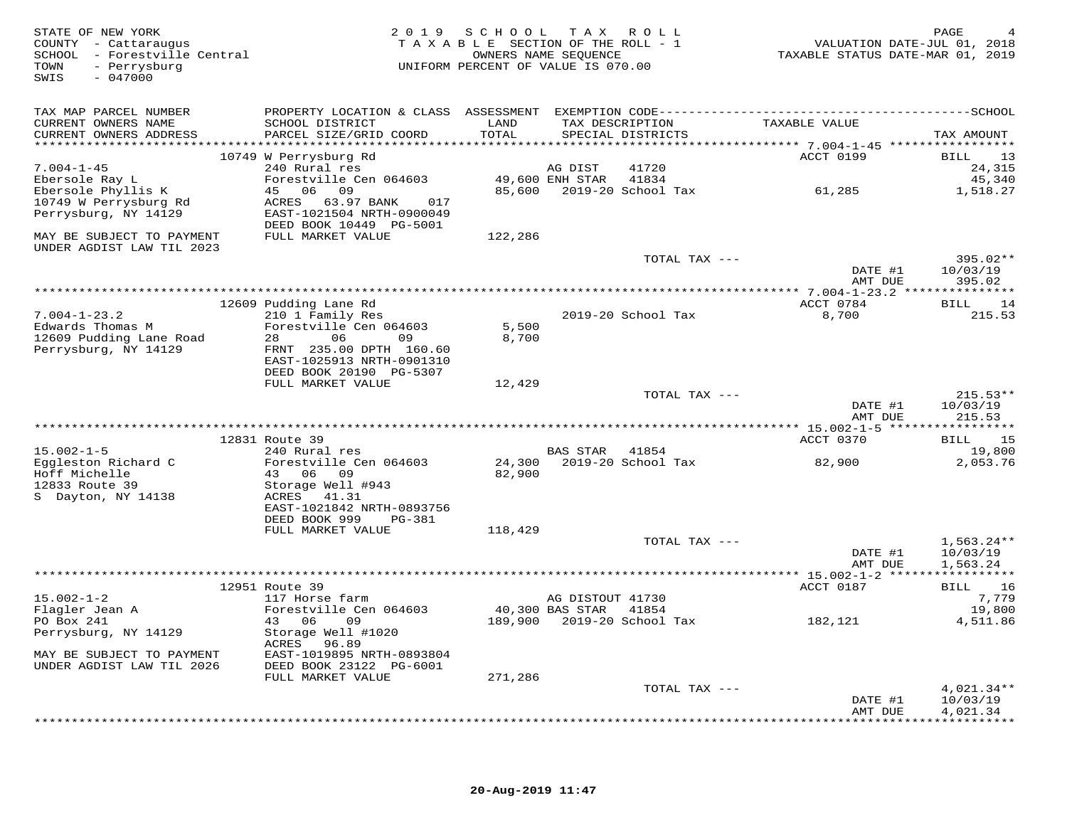| STATE OF NEW YORK<br>COUNTY - Cattaraugus<br>SCHOOL - Forestville Central<br>- Perrysburg<br>TOWN<br>$-047000$<br>SWIS | 2 0 1 9                                                                         | SCHOOL TAX ROLL<br>TAXABLE SECTION OF THE ROLL - 1<br>OWNERS NAME SEOUENCE<br>UNIFORM PERCENT OF VALUE IS 070.00 |                       |                                      |               | PAGE<br>VALUATION DATE-JUL 01, 2018<br>TAXABLE STATUS DATE-MAR 01, 2019 |
|------------------------------------------------------------------------------------------------------------------------|---------------------------------------------------------------------------------|------------------------------------------------------------------------------------------------------------------|-----------------------|--------------------------------------|---------------|-------------------------------------------------------------------------|
| TAX MAP PARCEL NUMBER                                                                                                  |                                                                                 |                                                                                                                  |                       |                                      |               |                                                                         |
| CURRENT OWNERS NAME<br>CURRENT OWNERS ADDRESS                                                                          | SCHOOL DISTRICT<br>PARCEL SIZE/GRID COORD                                       | LAND<br>TOTAL                                                                                                    |                       | TAX DESCRIPTION<br>SPECIAL DISTRICTS | TAXABLE VALUE | TAX AMOUNT                                                              |
|                                                                                                                        | 10749 W Perrysburg Rd                                                           |                                                                                                                  |                       |                                      | ACCT 0199     | 13<br>BILL                                                              |
| $7.004 - 1 - 45$                                                                                                       | 240 Rural res                                                                   |                                                                                                                  | AG DIST               | 41720                                |               | 24,315                                                                  |
| Ebersole Ray L                                                                                                         | Forestville Cen 064603                                                          |                                                                                                                  | 49,600 ENH STAR       | 41834                                |               | 45,340                                                                  |
| Ebersole Phyllis K                                                                                                     | 45 06 09                                                                        |                                                                                                                  |                       | 85,600 2019-20 School Tax            | 61,285        | 1,518.27                                                                |
| 10749 W Perrysburg Rd<br>Perrysburg, NY 14129                                                                          | ACRES 63.97 BANK<br>017<br>EAST-1021504 NRTH-0900049<br>DEED BOOK 10449 PG-5001 |                                                                                                                  |                       |                                      |               |                                                                         |
| MAY BE SUBJECT TO PAYMENT<br>UNDER AGDIST LAW TIL 2023                                                                 | FULL MARKET VALUE                                                               | 122,286                                                                                                          |                       |                                      |               |                                                                         |
|                                                                                                                        |                                                                                 |                                                                                                                  |                       | TOTAL TAX ---                        | DATE #1       | $395.02**$<br>10/03/19                                                  |
|                                                                                                                        |                                                                                 |                                                                                                                  |                       |                                      |               | AMT DUE<br>395.02                                                       |
|                                                                                                                        |                                                                                 |                                                                                                                  |                       |                                      |               |                                                                         |
|                                                                                                                        | 12609 Pudding Lane Rd                                                           |                                                                                                                  |                       |                                      | ACCT 0784     | BILL 14                                                                 |
| $7.004 - 1 - 23.2$<br>Edwards Thomas M                                                                                 | 210 1 Family Res<br>Forestville Cen 064603                                      | 5,500                                                                                                            |                       | 2019-20 School Tax                   | 8,700         | 215.53                                                                  |
| 12609 Pudding Lane Road                                                                                                | 06<br>28<br>09                                                                  | 8,700                                                                                                            |                       |                                      |               |                                                                         |
| Perrysburg, NY 14129                                                                                                   | FRNT 235.00 DPTH 160.60                                                         |                                                                                                                  |                       |                                      |               |                                                                         |
|                                                                                                                        | EAST-1025913 NRTH-0901310                                                       |                                                                                                                  |                       |                                      |               |                                                                         |
|                                                                                                                        | DEED BOOK 20190 PG-5307                                                         |                                                                                                                  |                       |                                      |               |                                                                         |
|                                                                                                                        | FULL MARKET VALUE                                                               | 12,429                                                                                                           |                       |                                      |               |                                                                         |
|                                                                                                                        |                                                                                 |                                                                                                                  |                       | TOTAL TAX ---                        | DATE #1       | $215.53**$<br>10/03/19                                                  |
|                                                                                                                        |                                                                                 |                                                                                                                  |                       |                                      |               | AMT DUE<br>215.53                                                       |
|                                                                                                                        |                                                                                 |                                                                                                                  |                       |                                      |               |                                                                         |
|                                                                                                                        | 12831 Route 39                                                                  |                                                                                                                  |                       |                                      | ACCT 0370     | 15<br>BILL                                                              |
| $15.002 - 1 - 5$                                                                                                       | 240 Rural res                                                                   |                                                                                                                  | <b>BAS STAR</b>       | 41854                                |               | 19,800                                                                  |
| Eggleston Richard C                                                                                                    | Forestville Cen 064603                                                          |                                                                                                                  |                       | 24,300 2019-20 School Tax            | 82,900        | 2,053.76                                                                |
| Hoff Michelle<br>12833 Route 39                                                                                        | 43 06 09<br>Storage Well #943                                                   | 82,900                                                                                                           |                       |                                      |               |                                                                         |
| S Dayton, NY 14138                                                                                                     | ACRES 41.31                                                                     |                                                                                                                  |                       |                                      |               |                                                                         |
|                                                                                                                        | EAST-1021842 NRTH-0893756                                                       |                                                                                                                  |                       |                                      |               |                                                                         |
|                                                                                                                        | DEED BOOK 999<br>PG-381                                                         |                                                                                                                  |                       |                                      |               |                                                                         |
|                                                                                                                        | FULL MARKET VALUE                                                               | 118,429                                                                                                          |                       |                                      |               |                                                                         |
|                                                                                                                        |                                                                                 |                                                                                                                  |                       | TOTAL TAX ---                        |               | $1,563.24**$<br>10/03/19<br>DATE #1                                     |
|                                                                                                                        |                                                                                 |                                                                                                                  |                       |                                      |               | AMT DUE<br>1,563.24                                                     |
|                                                                                                                        |                                                                                 |                                                                                                                  |                       |                                      |               |                                                                         |
|                                                                                                                        | 12951 Route 39                                                                  |                                                                                                                  |                       |                                      | ACCT 0187     | <b>BILL</b><br>16                                                       |
| $15.002 - 1 - 2$                                                                                                       | 117 Horse farm                                                                  |                                                                                                                  | AG DISTOUT 41730      |                                      |               | 7,779                                                                   |
| Flagler Jean A<br>PO Box 241                                                                                           | Forestville Cen 064603<br>43 06<br>09                                           |                                                                                                                  | 40,300 BAS STAR 41854 | 189,900    2019-20    School Tax     | 182,121       | 19,800                                                                  |
| Perrysburg, NY 14129                                                                                                   | Storage Well #1020<br>ACRES 96.89                                               |                                                                                                                  |                       |                                      |               | 4,511.86                                                                |
| MAY BE SUBJECT TO PAYMENT<br>UNDER AGDIST LAW TIL 2026                                                                 | EAST-1019895 NRTH-0893804<br>DEED BOOK 23122 PG-6001                            |                                                                                                                  |                       |                                      |               |                                                                         |
|                                                                                                                        | FULL MARKET VALUE                                                               | 271,286                                                                                                          |                       |                                      |               |                                                                         |
|                                                                                                                        |                                                                                 |                                                                                                                  |                       | TOTAL TAX ---                        |               | $4,021.34**$                                                            |
|                                                                                                                        |                                                                                 |                                                                                                                  |                       |                                      |               | DATE #1<br>10/03/19                                                     |
|                                                                                                                        |                                                                                 |                                                                                                                  |                       |                                      |               | 4,021.34<br>AMT DUE                                                     |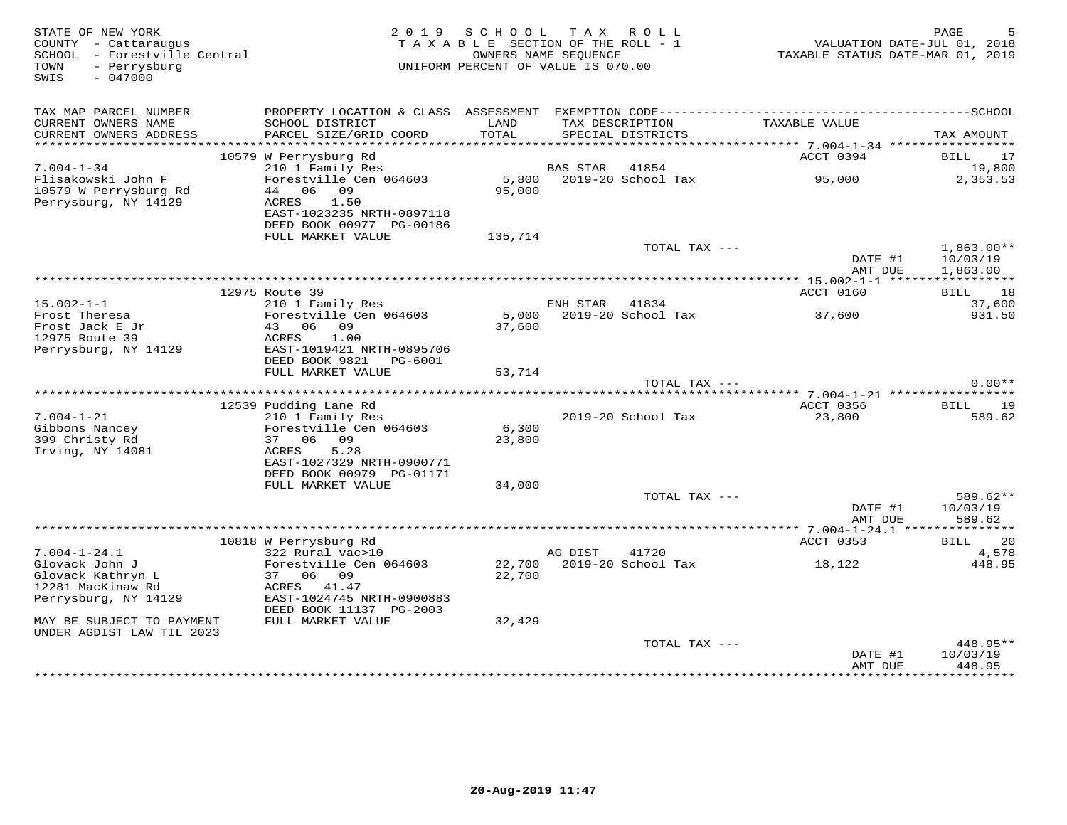| STATE OF NEW YORK<br>COUNTY - Cattaraugus<br>- Forestville Central<br>SCHOOL<br>- Perrysburg<br>TOWN<br>$-047000$<br>SWIS | 2 0 1 9                                                                                                         | SCHOOL<br>TAXABLE SECTION OF THE ROLL - 1<br>OWNERS NAME SEOUENCE<br>UNIFORM PERCENT OF VALUE IS 070.00 | T A X           | R O L L                              | TAXABLE STATUS DATE-MAR 01, 2019          | PAGE<br>VALUATION DATE-JUL 01, 2018   |
|---------------------------------------------------------------------------------------------------------------------------|-----------------------------------------------------------------------------------------------------------------|---------------------------------------------------------------------------------------------------------|-----------------|--------------------------------------|-------------------------------------------|---------------------------------------|
| TAX MAP PARCEL NUMBER                                                                                                     |                                                                                                                 |                                                                                                         |                 |                                      |                                           |                                       |
| CURRENT OWNERS NAME<br>CURRENT OWNERS ADDRESS<br>************************                                                 | SCHOOL DISTRICT<br>PARCEL SIZE/GRID COORD                                                                       | LAND<br>TOTAL                                                                                           |                 | TAX DESCRIPTION<br>SPECIAL DISTRICTS | TAXABLE VALUE                             | TAX AMOUNT                            |
|                                                                                                                           | 10579 W Perrysburg Rd                                                                                           |                                                                                                         |                 |                                      | ACCT 0394                                 | <b>BILL</b><br>17                     |
| $7.004 - 1 - 34$                                                                                                          | 210 1 Family Res                                                                                                |                                                                                                         | <b>BAS STAR</b> | 41854                                |                                           | 19,800                                |
| Flisakowski John F<br>10579 W Perrysburg Rd<br>Perrysburg, NY 14129                                                       | Forestville Cen 064603<br>44<br>06 09<br>1.50<br>ACRES<br>EAST-1023235 NRTH-0897118<br>DEED BOOK 00977 PG-00186 | 5,800<br>95,000                                                                                         |                 | 2019-20 School Tax                   | 95,000                                    | 2,353.53                              |
|                                                                                                                           | FULL MARKET VALUE                                                                                               | 135,714                                                                                                 |                 |                                      |                                           |                                       |
|                                                                                                                           |                                                                                                                 |                                                                                                         |                 | TOTAL TAX ---                        | DATE #1<br>AMT DUE                        | $1,863.00**$<br>10/03/19<br>1,863.00  |
|                                                                                                                           |                                                                                                                 |                                                                                                         |                 |                                      |                                           |                                       |
| $15.002 - 1 - 1$                                                                                                          | 12975 Route 39<br>210 1 Family Res                                                                              |                                                                                                         | ENH STAR        | 41834                                | ACCT 0160                                 | 18<br>BILL<br>37,600                  |
| Frost Theresa                                                                                                             | Forestville Cen 064603                                                                                          | 5,000                                                                                                   |                 | 2019-20 School Tax                   | 37,600                                    | 931.50                                |
| Frost Jack E Jr<br>12975 Route 39<br>Perrysburg, NY 14129                                                                 | 06<br>09<br>43<br>1.00<br>ACRES<br>EAST-1019421 NRTH-0895706                                                    | 37,600                                                                                                  |                 |                                      |                                           |                                       |
|                                                                                                                           | DEED BOOK 9821<br>PG-6001                                                                                       |                                                                                                         |                 |                                      |                                           |                                       |
|                                                                                                                           | FULL MARKET VALUE                                                                                               | 53,714                                                                                                  |                 | TOTAL TAX ---                        |                                           | $0.00**$                              |
|                                                                                                                           |                                                                                                                 |                                                                                                         |                 |                                      | *********** 7.004-1-21 ****************** |                                       |
|                                                                                                                           | 12539 Pudding Lane Rd                                                                                           |                                                                                                         |                 |                                      | ACCT 0356                                 | <b>BILL</b><br>19                     |
| $7.004 - 1 - 21$                                                                                                          | 210 1 Family Res                                                                                                |                                                                                                         |                 | 2019-20 School Tax                   | 23,800                                    | 589.62                                |
| Gibbons Nancey<br>399 Christy Rd<br>Irving, NY 14081                                                                      | Forestville Cen 064603<br>06 09<br>37<br>ACRES<br>5.28<br>EAST-1027329 NRTH-0900771                             | 6,300<br>23,800                                                                                         |                 |                                      |                                           |                                       |
|                                                                                                                           | DEED BOOK 00979 PG-01171                                                                                        |                                                                                                         |                 |                                      |                                           |                                       |
|                                                                                                                           | FULL MARKET VALUE                                                                                               | 34,000                                                                                                  |                 | TOTAL TAX ---                        |                                           | $589.62**$                            |
|                                                                                                                           |                                                                                                                 |                                                                                                         |                 |                                      | DATE #1<br>AMT DUE                        | 10/03/19<br>589.62                    |
|                                                                                                                           |                                                                                                                 |                                                                                                         |                 |                                      | *********** 7.004-1-24.1 ***************  |                                       |
| $7.004 - 1 - 24.1$                                                                                                        | 10818 W Perrysburg Rd<br>322 Rural vac>10                                                                       |                                                                                                         | AG DIST         | 41720                                | ACCT 0353                                 | 20<br>BILL<br>4,578                   |
| Glovack John J                                                                                                            | Forestville Cen 064603                                                                                          | 22,700                                                                                                  |                 | 2019-20 School Tax                   | 18,122                                    | 448.95                                |
| Glovack Kathryn L                                                                                                         | 37<br>06<br>09                                                                                                  | 22,700                                                                                                  |                 |                                      |                                           |                                       |
| 12281 MacKinaw Rd                                                                                                         | ACRES 41.47                                                                                                     |                                                                                                         |                 |                                      |                                           |                                       |
| Perrysburg, NY 14129                                                                                                      | EAST-1024745 NRTH-0900883<br>DEED BOOK 11137 PG-2003                                                            |                                                                                                         |                 |                                      |                                           |                                       |
| MAY BE SUBJECT TO PAYMENT<br>UNDER AGDIST LAW TIL 2023                                                                    | FULL MARKET VALUE                                                                                               | 32,429                                                                                                  |                 |                                      |                                           |                                       |
|                                                                                                                           |                                                                                                                 |                                                                                                         |                 | TOTAL TAX ---                        |                                           | 448.95**                              |
|                                                                                                                           |                                                                                                                 |                                                                                                         |                 |                                      | DATE #1<br>AMT DUE                        | 10/03/19<br>448.95<br>* * * * * * * * |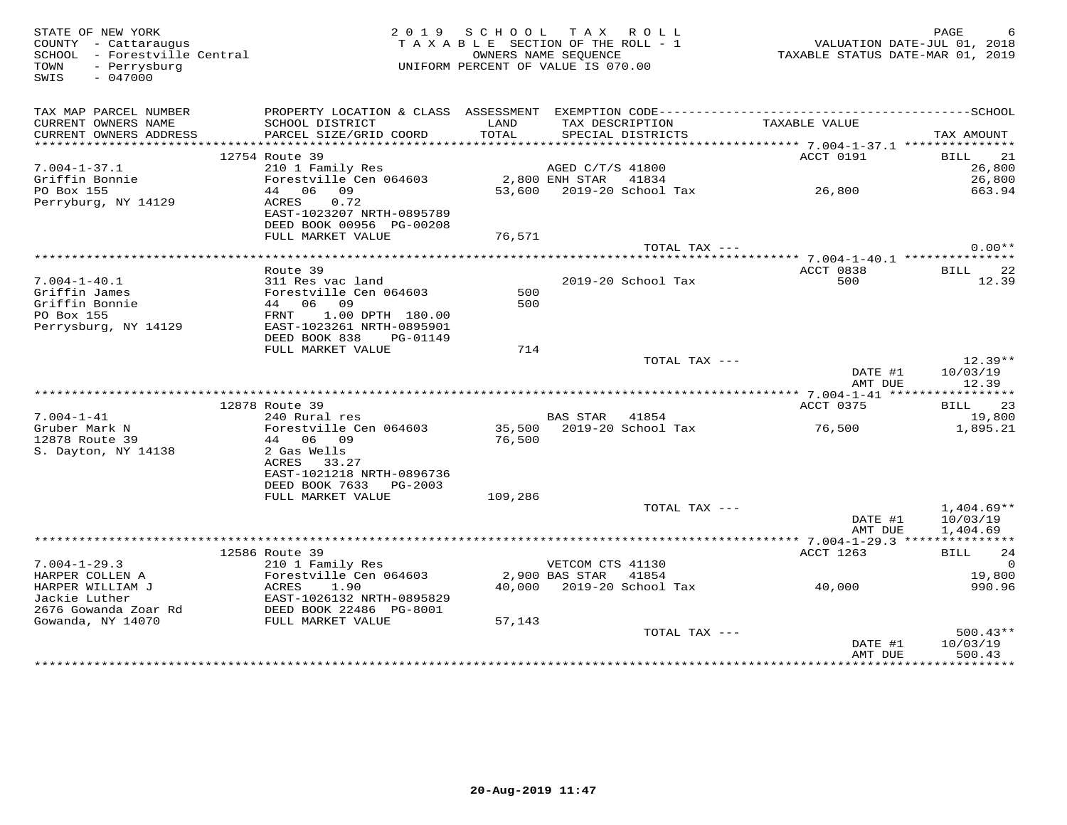| TAX MAP PARCEL NUMBER<br>TAX DESCRIPTION<br>TAXABLE VALUE<br>CURRENT OWNERS NAME<br>SCHOOL DISTRICT<br>PARCEL SIZE/GRID COORD<br>TOTAL<br>SPECIAL DISTRICTS<br>CURRENT OWNERS ADDRESS<br>TAX AMOUNT<br>BILL 21<br>12754 Route 39<br>ACCT 0191<br>x AGED C/T/S 41800<br>2.0 1 Family Res<br>Forestville Cen 064603<br>44 06 09 53,600 2019-20 School Tax<br>ACRES 0.72 53,600 2019-20 School Tax<br>ACRES 0.72<br>$7.004 - 1 - 37.1$<br>26,800<br>Griffin Bonnie<br>PO Box 155<br>26,800<br>PO Box 155<br>663.94<br>Perryburg, NY 14129<br>0.72<br>ACRES<br>EAST-1023207 NRTH-0895789<br>DEED BOOK 00956 PG-00208<br>FULL MARKET VALUE<br>76,571<br>$0.00**$<br>TOTAL TAX ---<br>Route 39<br>ACCT 0838<br>BILL 22<br>2019-20 School Tax<br>$7.004 - 1 - 40.1$<br>311 Res vac land<br>500<br>12.39<br>500<br>Griffin James<br>Griffin Bonnie<br>PO Box 155<br>500<br>PO Box 155<br>Perrysburg, NY 14129<br>EAST-1023261 NRTH-0895901<br>DEED BOOK 838 PG-01149<br>FULL MARKET VALUE<br>714<br>$12.39**$<br>TOTAL TAX ---<br>DATE #1<br>10/03/19<br>12.39<br>AMT DUE<br>BILL 23<br>12878 Route 39<br>ACCT 0375<br>240 Rural res<br>BAS STAR 41854<br>$7.004 - 1 - 41$<br>19,800<br>35,500    2019-20 School Tax<br>76,500<br>76,500<br>Gruber Mark N<br>Forestville Cen 064603<br>1,895.21<br>12878 Route 39<br>44 06 09<br>S. Dayton, NY 14138<br>2 Gas Wells<br>ACRES 33.27<br>EAST-1021218 NRTH-0896736 |
|---------------------------------------------------------------------------------------------------------------------------------------------------------------------------------------------------------------------------------------------------------------------------------------------------------------------------------------------------------------------------------------------------------------------------------------------------------------------------------------------------------------------------------------------------------------------------------------------------------------------------------------------------------------------------------------------------------------------------------------------------------------------------------------------------------------------------------------------------------------------------------------------------------------------------------------------------------------------------------------------------------------------------------------------------------------------------------------------------------------------------------------------------------------------------------------------------------------------------------------------------------------------------------------------------------------------------------------------------------------------------------------------------------|
|                                                                                                                                                                                                                                                                                                                                                                                                                                                                                                                                                                                                                                                                                                                                                                                                                                                                                                                                                                                                                                                                                                                                                                                                                                                                                                                                                                                                         |
|                                                                                                                                                                                                                                                                                                                                                                                                                                                                                                                                                                                                                                                                                                                                                                                                                                                                                                                                                                                                                                                                                                                                                                                                                                                                                                                                                                                                         |
|                                                                                                                                                                                                                                                                                                                                                                                                                                                                                                                                                                                                                                                                                                                                                                                                                                                                                                                                                                                                                                                                                                                                                                                                                                                                                                                                                                                                         |
|                                                                                                                                                                                                                                                                                                                                                                                                                                                                                                                                                                                                                                                                                                                                                                                                                                                                                                                                                                                                                                                                                                                                                                                                                                                                                                                                                                                                         |
|                                                                                                                                                                                                                                                                                                                                                                                                                                                                                                                                                                                                                                                                                                                                                                                                                                                                                                                                                                                                                                                                                                                                                                                                                                                                                                                                                                                                         |
|                                                                                                                                                                                                                                                                                                                                                                                                                                                                                                                                                                                                                                                                                                                                                                                                                                                                                                                                                                                                                                                                                                                                                                                                                                                                                                                                                                                                         |
|                                                                                                                                                                                                                                                                                                                                                                                                                                                                                                                                                                                                                                                                                                                                                                                                                                                                                                                                                                                                                                                                                                                                                                                                                                                                                                                                                                                                         |
|                                                                                                                                                                                                                                                                                                                                                                                                                                                                                                                                                                                                                                                                                                                                                                                                                                                                                                                                                                                                                                                                                                                                                                                                                                                                                                                                                                                                         |
|                                                                                                                                                                                                                                                                                                                                                                                                                                                                                                                                                                                                                                                                                                                                                                                                                                                                                                                                                                                                                                                                                                                                                                                                                                                                                                                                                                                                         |
|                                                                                                                                                                                                                                                                                                                                                                                                                                                                                                                                                                                                                                                                                                                                                                                                                                                                                                                                                                                                                                                                                                                                                                                                                                                                                                                                                                                                         |
|                                                                                                                                                                                                                                                                                                                                                                                                                                                                                                                                                                                                                                                                                                                                                                                                                                                                                                                                                                                                                                                                                                                                                                                                                                                                                                                                                                                                         |
|                                                                                                                                                                                                                                                                                                                                                                                                                                                                                                                                                                                                                                                                                                                                                                                                                                                                                                                                                                                                                                                                                                                                                                                                                                                                                                                                                                                                         |
|                                                                                                                                                                                                                                                                                                                                                                                                                                                                                                                                                                                                                                                                                                                                                                                                                                                                                                                                                                                                                                                                                                                                                                                                                                                                                                                                                                                                         |
|                                                                                                                                                                                                                                                                                                                                                                                                                                                                                                                                                                                                                                                                                                                                                                                                                                                                                                                                                                                                                                                                                                                                                                                                                                                                                                                                                                                                         |
|                                                                                                                                                                                                                                                                                                                                                                                                                                                                                                                                                                                                                                                                                                                                                                                                                                                                                                                                                                                                                                                                                                                                                                                                                                                                                                                                                                                                         |
|                                                                                                                                                                                                                                                                                                                                                                                                                                                                                                                                                                                                                                                                                                                                                                                                                                                                                                                                                                                                                                                                                                                                                                                                                                                                                                                                                                                                         |
|                                                                                                                                                                                                                                                                                                                                                                                                                                                                                                                                                                                                                                                                                                                                                                                                                                                                                                                                                                                                                                                                                                                                                                                                                                                                                                                                                                                                         |
|                                                                                                                                                                                                                                                                                                                                                                                                                                                                                                                                                                                                                                                                                                                                                                                                                                                                                                                                                                                                                                                                                                                                                                                                                                                                                                                                                                                                         |
|                                                                                                                                                                                                                                                                                                                                                                                                                                                                                                                                                                                                                                                                                                                                                                                                                                                                                                                                                                                                                                                                                                                                                                                                                                                                                                                                                                                                         |
|                                                                                                                                                                                                                                                                                                                                                                                                                                                                                                                                                                                                                                                                                                                                                                                                                                                                                                                                                                                                                                                                                                                                                                                                                                                                                                                                                                                                         |
|                                                                                                                                                                                                                                                                                                                                                                                                                                                                                                                                                                                                                                                                                                                                                                                                                                                                                                                                                                                                                                                                                                                                                                                                                                                                                                                                                                                                         |
|                                                                                                                                                                                                                                                                                                                                                                                                                                                                                                                                                                                                                                                                                                                                                                                                                                                                                                                                                                                                                                                                                                                                                                                                                                                                                                                                                                                                         |
|                                                                                                                                                                                                                                                                                                                                                                                                                                                                                                                                                                                                                                                                                                                                                                                                                                                                                                                                                                                                                                                                                                                                                                                                                                                                                                                                                                                                         |
|                                                                                                                                                                                                                                                                                                                                                                                                                                                                                                                                                                                                                                                                                                                                                                                                                                                                                                                                                                                                                                                                                                                                                                                                                                                                                                                                                                                                         |
|                                                                                                                                                                                                                                                                                                                                                                                                                                                                                                                                                                                                                                                                                                                                                                                                                                                                                                                                                                                                                                                                                                                                                                                                                                                                                                                                                                                                         |
| DEED BOOK 7633 PG-2003                                                                                                                                                                                                                                                                                                                                                                                                                                                                                                                                                                                                                                                                                                                                                                                                                                                                                                                                                                                                                                                                                                                                                                                                                                                                                                                                                                                  |
| FULL MARKET VALUE<br>109,286                                                                                                                                                                                                                                                                                                                                                                                                                                                                                                                                                                                                                                                                                                                                                                                                                                                                                                                                                                                                                                                                                                                                                                                                                                                                                                                                                                            |
| TOTAL TAX ---<br>$1,404.69**$<br>DATE #1<br>10/03/19                                                                                                                                                                                                                                                                                                                                                                                                                                                                                                                                                                                                                                                                                                                                                                                                                                                                                                                                                                                                                                                                                                                                                                                                                                                                                                                                                    |
| AMT DUE<br>1,404.69                                                                                                                                                                                                                                                                                                                                                                                                                                                                                                                                                                                                                                                                                                                                                                                                                                                                                                                                                                                                                                                                                                                                                                                                                                                                                                                                                                                     |
| 12586 Route 39<br>ACCT 1263<br>BILL 24                                                                                                                                                                                                                                                                                                                                                                                                                                                                                                                                                                                                                                                                                                                                                                                                                                                                                                                                                                                                                                                                                                                                                                                                                                                                                                                                                                  |
| 210 1 Family Res<br>$7.004 - 1 - 29.3$<br>VETCOM CTS 41130<br>$\cap$                                                                                                                                                                                                                                                                                                                                                                                                                                                                                                                                                                                                                                                                                                                                                                                                                                                                                                                                                                                                                                                                                                                                                                                                                                                                                                                                    |
| Forestville Cen 064603<br>2,900 BAS STAR 41854<br>19,800                                                                                                                                                                                                                                                                                                                                                                                                                                                                                                                                                                                                                                                                                                                                                                                                                                                                                                                                                                                                                                                                                                                                                                                                                                                                                                                                                |
| 40,000 2019-20 School Tax 40,000<br>990.96                                                                                                                                                                                                                                                                                                                                                                                                                                                                                                                                                                                                                                                                                                                                                                                                                                                                                                                                                                                                                                                                                                                                                                                                                                                                                                                                                              |
|                                                                                                                                                                                                                                                                                                                                                                                                                                                                                                                                                                                                                                                                                                                                                                                                                                                                                                                                                                                                                                                                                                                                                                                                                                                                                                                                                                                                         |
| 57,143                                                                                                                                                                                                                                                                                                                                                                                                                                                                                                                                                                                                                                                                                                                                                                                                                                                                                                                                                                                                                                                                                                                                                                                                                                                                                                                                                                                                  |
| TOTAL TAX ---<br>$500.43**$                                                                                                                                                                                                                                                                                                                                                                                                                                                                                                                                                                                                                                                                                                                                                                                                                                                                                                                                                                                                                                                                                                                                                                                                                                                                                                                                                                             |
| 10/03/19<br>DATE #1                                                                                                                                                                                                                                                                                                                                                                                                                                                                                                                                                                                                                                                                                                                                                                                                                                                                                                                                                                                                                                                                                                                                                                                                                                                                                                                                                                                     |
| 500.43<br>AMT DUE<br>***********                                                                                                                                                                                                                                                                                                                                                                                                                                                                                                                                                                                                                                                                                                                                                                                                                                                                                                                                                                                                                                                                                                                                                                                                                                                                                                                                                                        |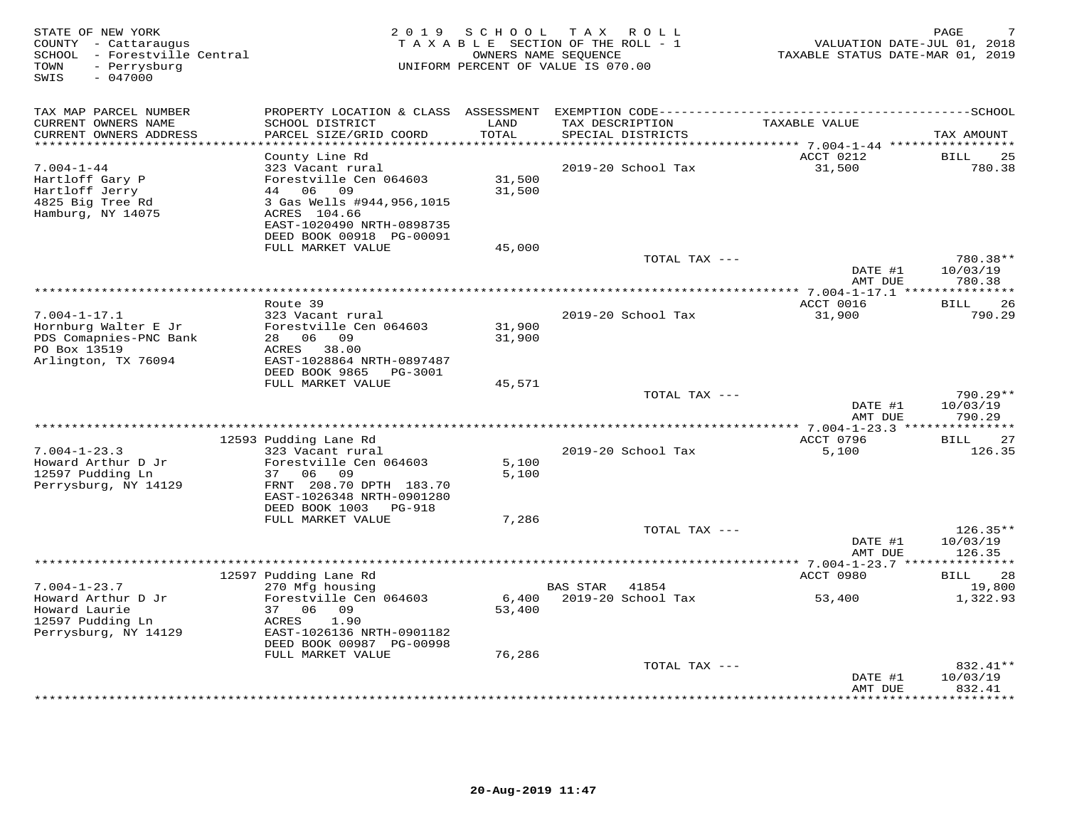| STATE OF NEW YORK<br>COUNTY - Cattaraugus<br>SCHOOL - Forestville Central<br>- Perrysburg<br>TOWN<br>$-047000$<br>SWIS | 2 0 1 9                                        | SCHOOL              | T A X<br>ROLL<br>TAXABLE SECTION OF THE ROLL - 1<br>OWNERS NAME SEQUENCE<br>UNIFORM PERCENT OF VALUE IS 070.00 | TAXABLE STATUS DATE-MAR 01, 2019 | PAGE<br>VALUATION DATE-JUL 01, 2018 |
|------------------------------------------------------------------------------------------------------------------------|------------------------------------------------|---------------------|----------------------------------------------------------------------------------------------------------------|----------------------------------|-------------------------------------|
| TAX MAP PARCEL NUMBER                                                                                                  | PROPERTY LOCATION & CLASS ASSESSMENT           |                     |                                                                                                                |                                  |                                     |
| CURRENT OWNERS NAME<br>CURRENT OWNERS ADDRESS                                                                          | SCHOOL DISTRICT<br>PARCEL SIZE/GRID COORD      | LAND<br>TOTAL       | TAX DESCRIPTION<br>SPECIAL DISTRICTS                                                                           | TAXABLE VALUE                    | TAX AMOUNT                          |
| *******************                                                                                                    | County Line Rd                                 | * * * * * * * * * * |                                                                                                                | ACCT 0212                        | 25<br><b>BILL</b>                   |
| $7.004 - 1 - 44$                                                                                                       | 323 Vacant rural                               |                     | 2019-20 School Tax                                                                                             | 31,500                           | 780.38                              |
| Hartloff Gary P                                                                                                        | Forestville Cen 064603                         | 31,500              |                                                                                                                |                                  |                                     |
| Hartloff Jerry                                                                                                         | 06 09<br>44                                    | 31,500              |                                                                                                                |                                  |                                     |
| 4825 Big Tree Rd                                                                                                       | 3 Gas Wells #944,956,1015                      |                     |                                                                                                                |                                  |                                     |
| Hamburg, NY 14075                                                                                                      | ACRES 104.66<br>EAST-1020490 NRTH-0898735      |                     |                                                                                                                |                                  |                                     |
|                                                                                                                        | DEED BOOK 00918 PG-00091                       |                     |                                                                                                                |                                  |                                     |
|                                                                                                                        | FULL MARKET VALUE                              | 45,000              |                                                                                                                |                                  |                                     |
|                                                                                                                        |                                                |                     |                                                                                                                | TOTAL TAX ---                    | 780.38**                            |
|                                                                                                                        |                                                |                     |                                                                                                                | DATE #1<br>AMT DUE               | 10/03/19<br>780.38                  |
|                                                                                                                        |                                                |                     |                                                                                                                |                                  |                                     |
| $7.004 - 1 - 17.1$                                                                                                     | Route 39<br>323 Vacant rural                   |                     | 2019-20 School Tax                                                                                             | ACCT 0016<br>31,900              | <b>BILL</b><br>26<br>790.29         |
| Hornburg Walter E Jr                                                                                                   | Forestville Cen 064603                         | 31,900              |                                                                                                                |                                  |                                     |
| PDS Comapnies-PNC Bank                                                                                                 | 28<br>06<br>09                                 | 31,900              |                                                                                                                |                                  |                                     |
| PO Box 13519                                                                                                           | 38.00<br>ACRES                                 |                     |                                                                                                                |                                  |                                     |
| Arlington, TX 76094                                                                                                    | EAST-1028864 NRTH-0897487                      |                     |                                                                                                                |                                  |                                     |
|                                                                                                                        | DEED BOOK 9865<br>PG-3001<br>FULL MARKET VALUE | 45,571              |                                                                                                                |                                  |                                     |
|                                                                                                                        |                                                |                     |                                                                                                                | TOTAL TAX ---                    | $790.29**$                          |
|                                                                                                                        |                                                |                     |                                                                                                                | DATE #1                          | 10/03/19                            |
|                                                                                                                        |                                                |                     |                                                                                                                | AMT DUE                          | 790.29                              |
|                                                                                                                        |                                                |                     | ***********************                                                                                        | ******** 7.004-1-23.3 ***        | * * * * * * * * * * * *             |
| $7.004 - 1 - 23.3$                                                                                                     | 12593 Pudding Lane Rd<br>323 Vacant rural      |                     | 2019-20 School Tax                                                                                             | ACCT 0796<br>5,100               | <b>BILL</b><br>27<br>126.35         |
| Howard Arthur D Jr                                                                                                     | Forestville Cen 064603                         | 5,100               |                                                                                                                |                                  |                                     |
| 12597 Pudding Ln                                                                                                       | 37 06<br>09                                    | 5,100               |                                                                                                                |                                  |                                     |
| Perrysburg, NY 14129                                                                                                   | FRNT 208.70 DPTH 183.70                        |                     |                                                                                                                |                                  |                                     |
|                                                                                                                        | EAST-1026348 NRTH-0901280                      |                     |                                                                                                                |                                  |                                     |
|                                                                                                                        | DEED BOOK 1003<br>PG-918<br>FULL MARKET VALUE  | 7,286               |                                                                                                                |                                  |                                     |
|                                                                                                                        |                                                |                     |                                                                                                                | TOTAL TAX ---                    | $126.35**$                          |
|                                                                                                                        |                                                |                     |                                                                                                                | DATE #1                          | 10/03/19                            |
|                                                                                                                        |                                                |                     |                                                                                                                | AMT DUE                          | 126.35                              |
|                                                                                                                        |                                                |                     | ************************                                                                                       | ** 7.004-1-23.7 ***              |                                     |
|                                                                                                                        | 12597 Pudding Lane Rd                          |                     |                                                                                                                | ACCT 0980                        | 28<br>BILL                          |
| $7.004 - 1 - 23.7$<br>Howard Arthur D Jr                                                                               | 270 Mfg housing<br>Forestville Cen 064603      | 6,400               | <b>BAS STAR</b><br>41854<br>2019-20 School Tax                                                                 | 53,400                           | 19,800<br>1,322.93                  |
| Howard Laurie                                                                                                          | 37 06 09                                       | 53,400              |                                                                                                                |                                  |                                     |
| 12597 Pudding Ln                                                                                                       | 1.90<br>ACRES                                  |                     |                                                                                                                |                                  |                                     |
| Perrysburg, NY 14129                                                                                                   | EAST-1026136 NRTH-0901182                      |                     |                                                                                                                |                                  |                                     |
|                                                                                                                        | DEED BOOK 00987 PG-00998                       |                     |                                                                                                                |                                  |                                     |
|                                                                                                                        | FULL MARKET VALUE                              | 76,286              |                                                                                                                | TOTAL TAX ---                    | 832.41**                            |
|                                                                                                                        |                                                |                     |                                                                                                                | DATE #1                          | 10/03/19                            |
|                                                                                                                        |                                                |                     |                                                                                                                | AMT DUE                          | 832.41                              |
|                                                                                                                        |                                                |                     |                                                                                                                |                                  | * * * * * * *                       |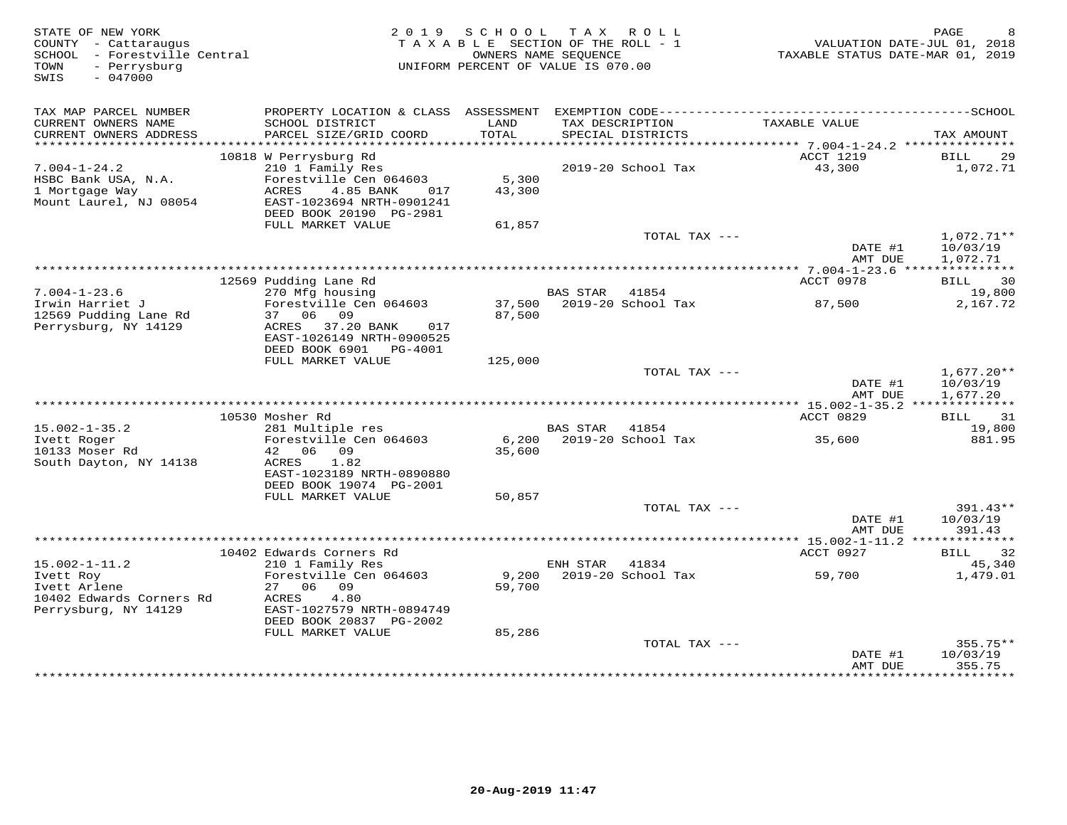| STATE OF NEW YORK<br>COUNTY - Cattaraugus<br>SCHOOL - Forestville Central<br>- Perrysburg<br>TOWN<br>$-047000$<br>SWIS | 2 0 1 9                                                                                                                                                  | S C H O O L<br>TAXABLE SECTION OF THE ROLL - 1<br>OWNERS NAME SEQUENCE<br>UNIFORM PERCENT OF VALUE IS 070.00 | T A X          | ROLL                                 | VALUATION DATE-JUL 01, 2018<br>TAXABLE STATUS DATE-MAR 01, 2019 | PAGE                                 |
|------------------------------------------------------------------------------------------------------------------------|----------------------------------------------------------------------------------------------------------------------------------------------------------|--------------------------------------------------------------------------------------------------------------|----------------|--------------------------------------|-----------------------------------------------------------------|--------------------------------------|
| TAX MAP PARCEL NUMBER<br>CURRENT OWNERS NAME<br>CURRENT OWNERS ADDRESS                                                 | SCHOOL DISTRICT<br>PARCEL SIZE/GRID COORD                                                                                                                | LAND<br>TOTAL                                                                                                |                | TAX DESCRIPTION<br>SPECIAL DISTRICTS | TAXABLE VALUE                                                   | TAX AMOUNT                           |
|                                                                                                                        |                                                                                                                                                          |                                                                                                              |                |                                      |                                                                 |                                      |
| $7.004 - 1 - 24.2$<br>HSBC Bank USA, N.A.<br>1 Mortgage Way<br>Mount Laurel, NJ 08054                                  | 10818 W Perrysburg Rd<br>210 1 Family Res<br>Forestville Cen 064603<br>ACRES<br>4.85 BANK<br>017<br>EAST-1023694 NRTH-0901241<br>DEED BOOK 20190 PG-2981 | 5,300<br>43,300                                                                                              |                | 2019-20 School Tax                   | ACCT 1219<br>43,300                                             | BILL<br>29<br>1,072.71               |
|                                                                                                                        | FULL MARKET VALUE                                                                                                                                        | 61,857                                                                                                       |                |                                      |                                                                 |                                      |
|                                                                                                                        |                                                                                                                                                          |                                                                                                              |                | TOTAL TAX ---                        | DATE #1<br>AMT DUE                                              | $1,072.71**$<br>10/03/19<br>1,072.71 |
|                                                                                                                        |                                                                                                                                                          |                                                                                                              |                |                                      |                                                                 |                                      |
|                                                                                                                        | 12569 Pudding Lane Rd                                                                                                                                    |                                                                                                              |                |                                      | ACCT 0978                                                       | 30<br>BILL                           |
| $7.004 - 1 - 23.6$<br>Irwin Harriet J<br>12569 Pudding Lane Rd                                                         | 270 Mfg housing<br>Forestville Cen 064603<br>37 06 09                                                                                                    | 87,500                                                                                                       | BAS STAR 41854 | 37,500 2019-20 School Tax            | 87,500                                                          | 19,800<br>2,167.72                   |
| Perrysburg, NY 14129                                                                                                   | ACRES 37.20 BANK<br>017<br>EAST-1026149 NRTH-0900525<br>DEED BOOK 6901 PG-4001                                                                           |                                                                                                              |                |                                      |                                                                 |                                      |
|                                                                                                                        | FULL MARKET VALUE                                                                                                                                        | 125,000                                                                                                      |                |                                      |                                                                 |                                      |
|                                                                                                                        |                                                                                                                                                          |                                                                                                              |                | TOTAL TAX ---                        | DATE #1<br>AMT DUE                                              | $1,677.20**$<br>10/03/19<br>1,677.20 |
|                                                                                                                        |                                                                                                                                                          |                                                                                                              |                |                                      |                                                                 |                                      |
|                                                                                                                        | 10530 Mosher Rd                                                                                                                                          |                                                                                                              |                |                                      | ACCT 0829                                                       | BILL 31                              |
| $15.002 - 1 - 35.2$<br>Ivett Roger                                                                                     | 281 Multiple res<br>Forestville Cen 064603                                                                                                               | 6,200                                                                                                        | BAS STAR       | 41854<br>2019-20 School Tax          | 35,600                                                          | 19,800<br>881.95                     |
| 10133 Moser Rd<br>South Dayton, NY 14138                                                                               | 42 06 09<br>ACRES 1.82                                                                                                                                   | 35,600                                                                                                       |                |                                      |                                                                 |                                      |
|                                                                                                                        | EAST-1023189 NRTH-0890880<br>DEED BOOK 19074 PG-2001                                                                                                     |                                                                                                              |                |                                      |                                                                 |                                      |
|                                                                                                                        | FULL MARKET VALUE                                                                                                                                        | 50,857                                                                                                       |                |                                      |                                                                 |                                      |
|                                                                                                                        |                                                                                                                                                          |                                                                                                              |                | TOTAL TAX ---                        | DATE #1<br>AMT DUE                                              | $391.43**$<br>10/03/19<br>391.43     |
|                                                                                                                        |                                                                                                                                                          | ***********************************                                                                          |                |                                      | ********** 15.002-1-11.2 **************                         |                                      |
|                                                                                                                        | 10402 Edwards Corners Rd                                                                                                                                 |                                                                                                              |                |                                      | ACCT 0927                                                       | <b>BILL</b><br>32                    |
| $15.002 - 1 - 11.2$                                                                                                    | 210 1 Family Res                                                                                                                                         |                                                                                                              | ENH STAR       | 41834                                |                                                                 | 45,340                               |
| Ivett Roy<br>Ivett Arlene<br>10402 Edwards Corners Rd                                                                  | Forestville Cen 064603<br>27 06 09<br>ACRES<br>4.80                                                                                                      | 9,200<br>59,700                                                                                              |                | 2019-20 School Tax                   | 59,700                                                          | 1,479.01                             |
| Perrysburg, NY 14129                                                                                                   | EAST-1027579 NRTH-0894749<br>DEED BOOK 20837 PG-2002                                                                                                     |                                                                                                              |                |                                      |                                                                 |                                      |
|                                                                                                                        | FULL MARKET VALUE                                                                                                                                        | 85,286                                                                                                       |                | TOTAL TAX ---                        |                                                                 | $355.75**$                           |
|                                                                                                                        |                                                                                                                                                          |                                                                                                              |                |                                      | DATE #1                                                         | 10/03/19                             |
|                                                                                                                        |                                                                                                                                                          |                                                                                                              |                |                                      | AMT DUE                                                         | 355.75<br>* * * * * * * * * *        |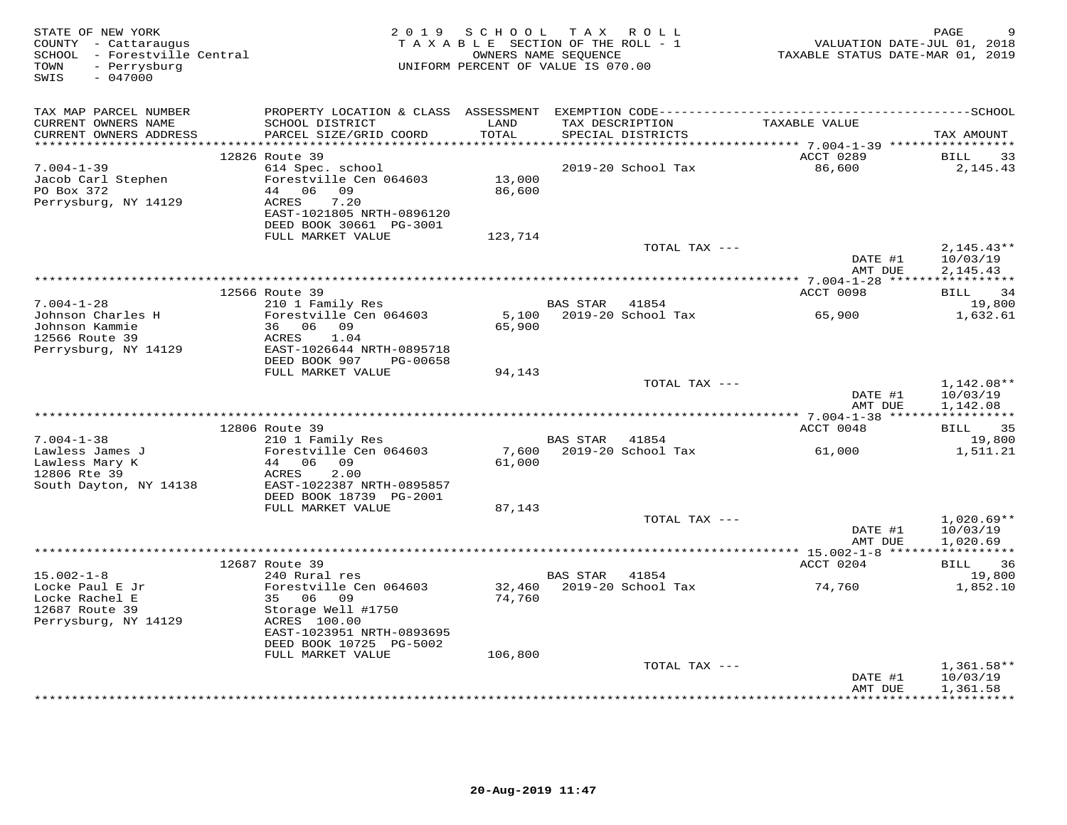| STATE OF NEW YORK<br>COUNTY - Cattaraugus<br>SCHOOL - Forestville Central<br>- Perrysburg<br>TOWN<br>$-047000$<br>SWIS |                                                                                                                                                   |                  | 2019 SCHOOL TAX ROLL<br>TAXABLE SECTION OF THE ROLL - 1<br>OWNERS NAME SEQUENCE<br>UNIFORM PERCENT OF VALUE IS 070.00 | TAXABLE STATUS DATE-MAR 01, 2019 | PAGE<br>9<br>VALUATION DATE-JUL 01, 2018 |
|------------------------------------------------------------------------------------------------------------------------|---------------------------------------------------------------------------------------------------------------------------------------------------|------------------|-----------------------------------------------------------------------------------------------------------------------|----------------------------------|------------------------------------------|
| TAX MAP PARCEL NUMBER<br>CURRENT OWNERS NAME<br>CURRENT OWNERS ADDRESS                                                 | SCHOOL DISTRICT<br>PARCEL SIZE/GRID COORD                                                                                                         | LAND<br>TOTAL    | TAX DESCRIPTION<br>SPECIAL DISTRICTS                                                                                  | TAXABLE VALUE                    | TAX AMOUNT                               |
| **********************                                                                                                 |                                                                                                                                                   | ************     |                                                                                                                       |                                  |                                          |
| $7.004 - 1 - 39$<br>Jacob Carl Stephen<br>PO Box 372<br>Perrysburg, NY 14129                                           | 12826 Route 39<br>614 Spec. school<br>Forestville Cen 064603<br>44 06 09<br>ACRES<br>7.20<br>EAST-1021805 NRTH-0896120<br>DEED BOOK 30661 PG-3001 | 13,000<br>86,600 | 2019-20 School Tax                                                                                                    | ACCT 0289<br>86,600              | BILL<br>33<br>2,145.43                   |
|                                                                                                                        | FULL MARKET VALUE                                                                                                                                 | 123,714          | TOTAL TAX ---                                                                                                         |                                  | $2,145.43**$                             |
|                                                                                                                        |                                                                                                                                                   |                  |                                                                                                                       | DATE #1<br>AMT DUE               | 10/03/19<br>2,145.43                     |
|                                                                                                                        |                                                                                                                                                   |                  |                                                                                                                       |                                  |                                          |
|                                                                                                                        | 12566 Route 39                                                                                                                                    |                  |                                                                                                                       | ACCT 0098                        | BILL 34                                  |
| $7.004 - 1 - 28$<br>Johnson Charles H<br>Johnson Kammie                                                                | 210 1 Family Res<br>Forestville Cen 064603<br>36 06 09                                                                                            |                  | BAS STAR 41854<br>5,100 2019-20 School Tax                                                                            | 65,900                           | 19,800<br>1,632.61                       |
| 12566 Route 39                                                                                                         | 1.04<br>ACRES                                                                                                                                     | 65,900           |                                                                                                                       |                                  |                                          |
| Perrysburg, NY 14129                                                                                                   | EAST-1026644 NRTH-0895718<br>DEED BOOK 907<br>PG-00658                                                                                            |                  |                                                                                                                       |                                  |                                          |
|                                                                                                                        | FULL MARKET VALUE                                                                                                                                 | 94,143           |                                                                                                                       |                                  |                                          |
|                                                                                                                        |                                                                                                                                                   |                  | TOTAL TAX ---                                                                                                         | DATE #1<br>AMT DUE               | $1,142.08**$<br>10/03/19<br>1,142.08     |
|                                                                                                                        |                                                                                                                                                   |                  |                                                                                                                       |                                  |                                          |
|                                                                                                                        | 12806 Route 39                                                                                                                                    |                  |                                                                                                                       | ACCT 0048                        | BILL 35                                  |
| $7.004 - 1 - 38$                                                                                                       | 210 1 Family Res                                                                                                                                  |                  | BAS STAR<br>41854                                                                                                     |                                  | 19,800                                   |
| Lawless James J<br>Lawless Mary K<br>12806 Rte 39                                                                      | Forestville Cen 064603<br>44<br>06 09<br>ACRES<br>2.00                                                                                            | 7,600<br>61,000  | 2019-20 School Tax                                                                                                    | 61,000                           | 1,511.21                                 |
| South Dayton, NY 14138                                                                                                 | EAST-1022387 NRTH-0895857<br>DEED BOOK 18739 PG-2001<br>FULL MARKET VALUE                                                                         | 87,143           |                                                                                                                       |                                  |                                          |
|                                                                                                                        |                                                                                                                                                   |                  | TOTAL TAX ---                                                                                                         |                                  | $1,020.69**$                             |
|                                                                                                                        |                                                                                                                                                   |                  |                                                                                                                       | DATE #1<br>AMT DUE               | 10/03/19<br>1,020.69                     |
|                                                                                                                        |                                                                                                                                                   |                  |                                                                                                                       |                                  |                                          |
| $15.002 - 1 - 8$                                                                                                       | 12687 Route 39<br>240 Rural res                                                                                                                   |                  | BAS STAR<br>41854                                                                                                     | ACCT 0204                        | BILL 36<br>19,800                        |
| Locke Paul E Jr                                                                                                        | Forestville Cen 064603                                                                                                                            | 32,460           | 2019-20 School Tax                                                                                                    | 74,760                           | 1,852.10                                 |
| Locke Rachel E                                                                                                         | 35 06 09                                                                                                                                          | 74,760           |                                                                                                                       |                                  |                                          |
| 12687 Route 39                                                                                                         | Storage Well #1750                                                                                                                                |                  |                                                                                                                       |                                  |                                          |
| Perrysburg, NY 14129                                                                                                   | ACRES 100.00<br>EAST-1023951 NRTH-0893695                                                                                                         |                  |                                                                                                                       |                                  |                                          |
|                                                                                                                        | DEED BOOK 10725 PG-5002<br>FULL MARKET VALUE                                                                                                      | 106,800          |                                                                                                                       |                                  |                                          |
|                                                                                                                        |                                                                                                                                                   |                  | TOTAL TAX ---                                                                                                         |                                  | $1,361.58**$                             |
|                                                                                                                        |                                                                                                                                                   |                  |                                                                                                                       | DATE #1<br>AMT DUE               | 10/03/19<br>1,361.58                     |
|                                                                                                                        |                                                                                                                                                   |                  |                                                                                                                       |                                  | **********                               |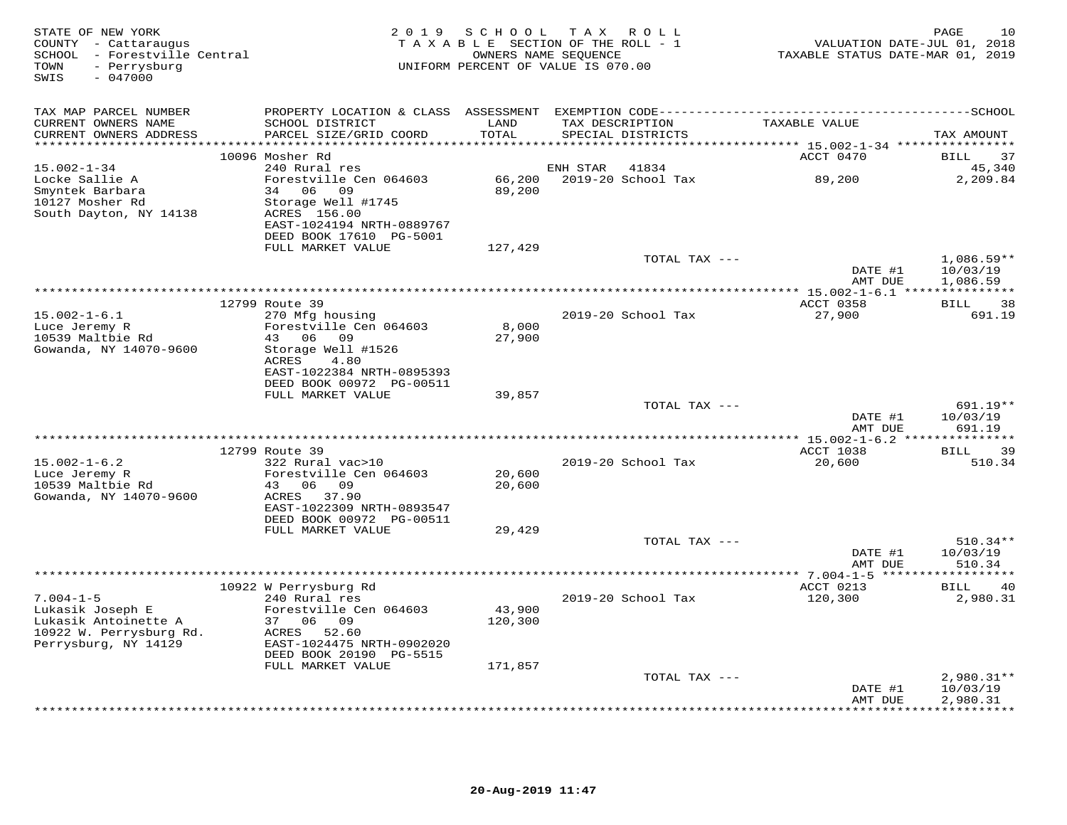| STATE OF NEW YORK<br>COUNTY - Cattaraugus<br>SCHOOL - Forestville Central<br>- Perrysburg<br>TOWN<br>$-047000$<br>SWIS |                                                                                                                                             |                   | 2019 SCHOOL TAX ROLL<br>TAXABLE SECTION OF THE ROLL - 1<br>OWNERS NAME SEQUENCE<br>UNIFORM PERCENT OF VALUE IS 070.00 | VALUATION DATE-JUL 01, 2018<br>TAXABLE STATUS DATE-MAR 01, 2019 | PAGE<br>10                     |
|------------------------------------------------------------------------------------------------------------------------|---------------------------------------------------------------------------------------------------------------------------------------------|-------------------|-----------------------------------------------------------------------------------------------------------------------|-----------------------------------------------------------------|--------------------------------|
| TAX MAP PARCEL NUMBER<br>CURRENT OWNERS NAME                                                                           | SCHOOL DISTRICT                                                                                                                             | LAND              | TAX DESCRIPTION                                                                                                       | TAXABLE VALUE                                                   |                                |
| CURRENT OWNERS ADDRESS                                                                                                 | PARCEL SIZE/GRID COORD                                                                                                                      | TOTAL             | SPECIAL DISTRICTS                                                                                                     |                                                                 | TAX AMOUNT                     |
|                                                                                                                        | 10096 Mosher Rd                                                                                                                             |                   |                                                                                                                       | ACCT 0470                                                       | 37<br><b>BILL</b>              |
| $15.002 - 1 - 34$<br>Locke Sallie A<br>Smyntek Barbara<br>10127 Mosher Rd<br>South Dayton, NY 14138                    | 240 Rural res<br>Forestville Cen 064603<br>34 06 09<br>Storage Well #1745<br>ACRES 156.00<br>EAST-1024194 NRTH-0889767                      | 66,200<br>89,200  | ENH STAR<br>41834<br>2019-20 School Tax                                                                               | 89,200                                                          | 45,340<br>2,209.84             |
|                                                                                                                        | DEED BOOK 17610 PG-5001<br>FULL MARKET VALUE                                                                                                | 127,429           |                                                                                                                       |                                                                 |                                |
|                                                                                                                        |                                                                                                                                             |                   | TOTAL TAX ---                                                                                                         | DATE #1                                                         | $1,086.59**$<br>10/03/19       |
|                                                                                                                        |                                                                                                                                             |                   |                                                                                                                       | AMT DUE                                                         | 1,086.59                       |
| $15.002 - 1 - 6.1$<br>Luce Jeremy R<br>10539 Maltbie Rd<br>Gowanda, NY 14070-9600                                      | 12799 Route 39<br>270 Mfg housing<br>Forestville Cen 064603<br>43 06 09<br>Storage Well #1526<br>ACRES<br>4.80<br>EAST-1022384 NRTH-0895393 | 8,000<br>27,900   | 2019-20 School Tax                                                                                                    | ACCT 0358<br>27,900                                             | <b>BILL</b><br>38<br>691.19    |
|                                                                                                                        | DEED BOOK 00972 PG-00511<br>FULL MARKET VALUE                                                                                               | 39,857            |                                                                                                                       |                                                                 |                                |
|                                                                                                                        |                                                                                                                                             |                   | TOTAL TAX ---                                                                                                         | DATE #1<br>AMT DUE                                              | 691.19**<br>10/03/19<br>691.19 |
|                                                                                                                        | 12799 Route 39                                                                                                                              |                   |                                                                                                                       | ACCT 1038                                                       | BILL<br>39                     |
| $15.002 - 1 - 6.2$<br>Luce Jeremy R<br>10539 Maltbie Rd<br>Gowanda, NY 14070-9600                                      | 322 Rural vac>10<br>Forestville Cen 064603<br>43 06<br>09<br>ACRES 37.90<br>EAST-1022309 NRTH-0893547                                       | 20,600<br>20,600  | 2019-20 School Tax                                                                                                    | 20,600                                                          | 510.34                         |
|                                                                                                                        | DEED BOOK 00972 PG-00511<br>FULL MARKET VALUE                                                                                               | 29,429            | TOTAL TAX ---                                                                                                         | DATE #1                                                         | $510.34**$<br>10/03/19         |
|                                                                                                                        |                                                                                                                                             |                   |                                                                                                                       | AMT DUE                                                         | 510.34<br>* * * * * * * * *    |
| $7.004 - 1 - 5$<br>Lukasik Joseph E<br>Lukasik Antoinette A<br>10922 W. Perrysburg Rd.<br>Perrysburg, NY 14129         | 10922 W Perrysburg Rd<br>240 Rural res<br>Forestville Cen 064603<br>37 06 09<br>ACRES 52.60<br>EAST-1024475 NRTH-0902020                    | 43,900<br>120,300 | 2019-20 School Tax                                                                                                    | ACCT 0213<br>120,300                                            | 40<br>BILL<br>2,980.31         |
|                                                                                                                        | DEED BOOK 20190 PG-5515<br>FULL MARKET VALUE                                                                                                | 171,857           | TOTAL TAX ---                                                                                                         | DATE #1                                                         | $2,980.31**$<br>10/03/19       |
|                                                                                                                        |                                                                                                                                             |                   |                                                                                                                       | AMT DUE                                                         | 2,980.31<br>+ + + + + + + + +  |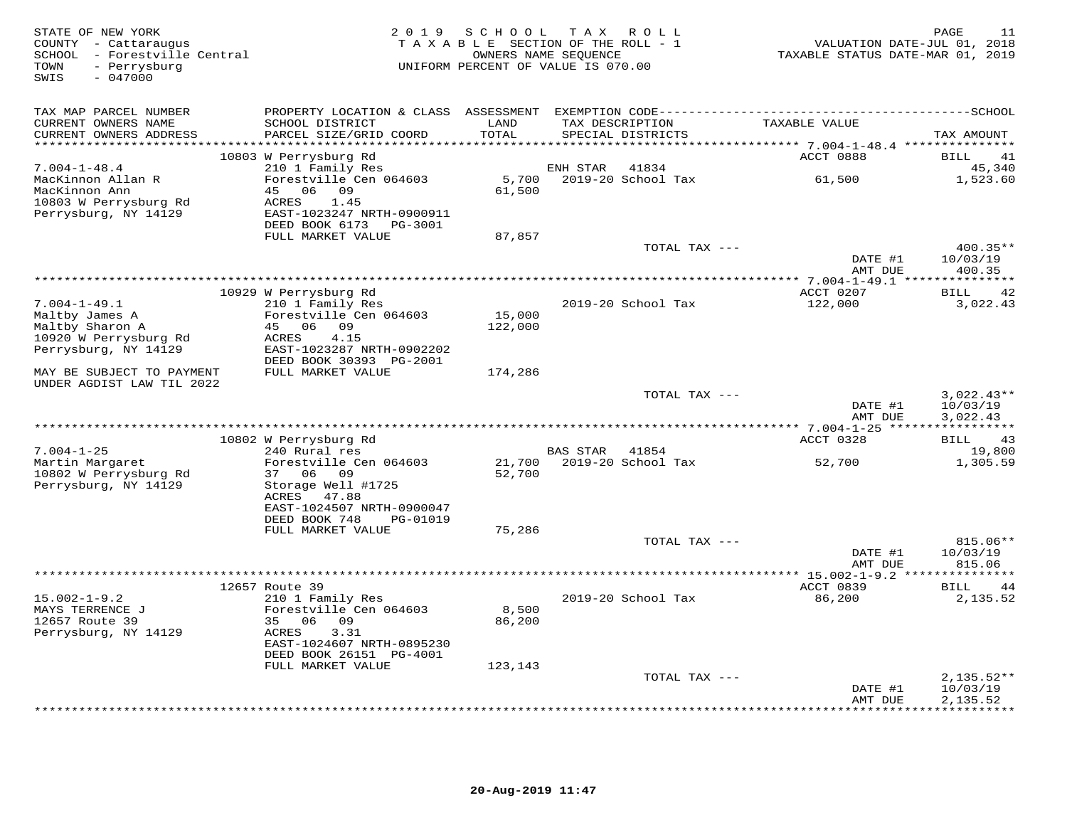| STATE OF NEW YORK<br>COUNTY - Cattaraugus<br>SCHOOL - Forestville Central<br>TOWN<br>- Perrysburg<br>$-047000$<br>SWIS | 2 0 1 9                                    | S C H O O L | T A X<br>R O L L<br>TAXABLE SECTION OF THE ROLL - 1<br>OWNERS NAME SEQUENCE<br>UNIFORM PERCENT OF VALUE IS 070.00 | VALUATION DATE-JUL 01, 2018<br>TAXABLE STATUS DATE-MAR 01, 2019 | PAGE<br>11               |
|------------------------------------------------------------------------------------------------------------------------|--------------------------------------------|-------------|-------------------------------------------------------------------------------------------------------------------|-----------------------------------------------------------------|--------------------------|
| TAX MAP PARCEL NUMBER                                                                                                  |                                            |             |                                                                                                                   |                                                                 |                          |
| CURRENT OWNERS NAME                                                                                                    | SCHOOL DISTRICT                            | LAND        | TAX DESCRIPTION                                                                                                   | TAXABLE VALUE                                                   |                          |
| CURRENT OWNERS ADDRESS                                                                                                 | PARCEL SIZE/GRID COORD                     | TOTAL       | SPECIAL DISTRICTS                                                                                                 |                                                                 | TAX AMOUNT               |
|                                                                                                                        | 10803 W Perrysburg Rd                      |             |                                                                                                                   | ACCT 0888                                                       | <b>BILL</b><br>41        |
| $7.004 - 1 - 48.4$                                                                                                     | 210 1 Family Res                           |             | 41834<br>ENH STAR                                                                                                 |                                                                 | 45,340                   |
| MacKinnon Allan R                                                                                                      | Forestville Cen 064603                     | 5,700       | 2019-20 School Tax                                                                                                | 61,500                                                          | 1,523.60                 |
| MacKinnon Ann                                                                                                          | 45<br>06 09                                | 61,500      |                                                                                                                   |                                                                 |                          |
| 10803 W Perrysburg Rd                                                                                                  | ACRES<br>1.45<br>EAST-1023247 NRTH-0900911 |             |                                                                                                                   |                                                                 |                          |
| Perrysburg, NY 14129                                                                                                   | DEED BOOK 6173<br>PG-3001                  |             |                                                                                                                   |                                                                 |                          |
|                                                                                                                        | FULL MARKET VALUE                          | 87,857      |                                                                                                                   |                                                                 |                          |
|                                                                                                                        |                                            |             | TOTAL TAX ---                                                                                                     |                                                                 | $400.35**$               |
|                                                                                                                        |                                            |             |                                                                                                                   | DATE #1                                                         | 10/03/19                 |
|                                                                                                                        |                                            |             |                                                                                                                   | AMT DUE                                                         | 400.35                   |
|                                                                                                                        | 10929 W Perrysburg Rd                      |             |                                                                                                                   | ACCT 0207                                                       | 42<br><b>BILL</b>        |
| $7.004 - 1 - 49.1$                                                                                                     | 210 1 Family Res                           |             | 2019-20 School Tax                                                                                                | 122,000                                                         | 3,022.43                 |
| Maltby James A                                                                                                         | Forestville Cen 064603                     | 15,000      |                                                                                                                   |                                                                 |                          |
| Maltby Sharon A                                                                                                        | 45 06 09                                   | 122,000     |                                                                                                                   |                                                                 |                          |
| 10920 W Perrysburg Rd<br>Perrysburg, NY 14129                                                                          | ACRES<br>4.15<br>EAST-1023287 NRTH-0902202 |             |                                                                                                                   |                                                                 |                          |
|                                                                                                                        | DEED BOOK 30393 PG-2001                    |             |                                                                                                                   |                                                                 |                          |
| MAY BE SUBJECT TO PAYMENT                                                                                              | FULL MARKET VALUE                          | 174,286     |                                                                                                                   |                                                                 |                          |
| UNDER AGDIST LAW TIL 2022                                                                                              |                                            |             |                                                                                                                   |                                                                 |                          |
|                                                                                                                        |                                            |             | TOTAL TAX ---                                                                                                     | DATE #1                                                         | $3,022.43**$<br>10/03/19 |
|                                                                                                                        |                                            |             |                                                                                                                   | AMT DUE                                                         | 3,022.43                 |
|                                                                                                                        | 10802 W Perrysburg Rd                      |             |                                                                                                                   | ACCT 0328                                                       | BILL<br>43               |
| $7.004 - 1 - 25$                                                                                                       | 240 Rural res                              |             | BAS STAR<br>41854                                                                                                 |                                                                 | 19,800                   |
| Martin Margaret                                                                                                        | Forestville Cen 064603                     | 21,700      | 2019-20 School Tax                                                                                                | 52,700                                                          | 1,305.59                 |
| 10802 W Perrysburg Rd                                                                                                  | 37 06<br>09                                | 52,700      |                                                                                                                   |                                                                 |                          |
| Perrysburg, NY 14129                                                                                                   | Storage Well #1725<br>ACRES<br>47.88       |             |                                                                                                                   |                                                                 |                          |
|                                                                                                                        | EAST-1024507 NRTH-0900047                  |             |                                                                                                                   |                                                                 |                          |
|                                                                                                                        | DEED BOOK 748<br>PG-01019                  |             |                                                                                                                   |                                                                 |                          |
|                                                                                                                        | FULL MARKET VALUE                          | 75,286      |                                                                                                                   |                                                                 |                          |
|                                                                                                                        |                                            |             | TOTAL TAX ---                                                                                                     |                                                                 | 815.06**                 |
|                                                                                                                        |                                            |             |                                                                                                                   | DATE #1<br>AMT DUE                                              | 10/03/19<br>815.06       |
|                                                                                                                        |                                            |             |                                                                                                                   |                                                                 |                          |
|                                                                                                                        | 12657 Route 39                             |             |                                                                                                                   | ACCT 0839                                                       | 44<br>BILL               |
| $15.002 - 1 - 9.2$                                                                                                     | 210 1 Family Res                           |             | 2019-20 School Tax                                                                                                | 86,200                                                          | 2,135.52                 |
| MAYS TERRENCE J                                                                                                        | Forestville Cen 064603<br>09               | 8,500       |                                                                                                                   |                                                                 |                          |
| 12657 Route 39<br>Perrysburg, NY 14129                                                                                 | 35 06<br>3.31<br>ACRES                     | 86,200      |                                                                                                                   |                                                                 |                          |
|                                                                                                                        | EAST-1024607 NRTH-0895230                  |             |                                                                                                                   |                                                                 |                          |
|                                                                                                                        | DEED BOOK 26151 PG-4001                    |             |                                                                                                                   |                                                                 |                          |
|                                                                                                                        | FULL MARKET VALUE                          | 123,143     |                                                                                                                   |                                                                 |                          |
|                                                                                                                        |                                            |             | TOTAL TAX ---                                                                                                     |                                                                 | $2,135.52**$<br>10/03/19 |
|                                                                                                                        |                                            |             |                                                                                                                   | DATE #1<br>AMT DUE                                              | 2,135.52                 |
|                                                                                                                        |                                            |             |                                                                                                                   |                                                                 | * * * * * * * * * *      |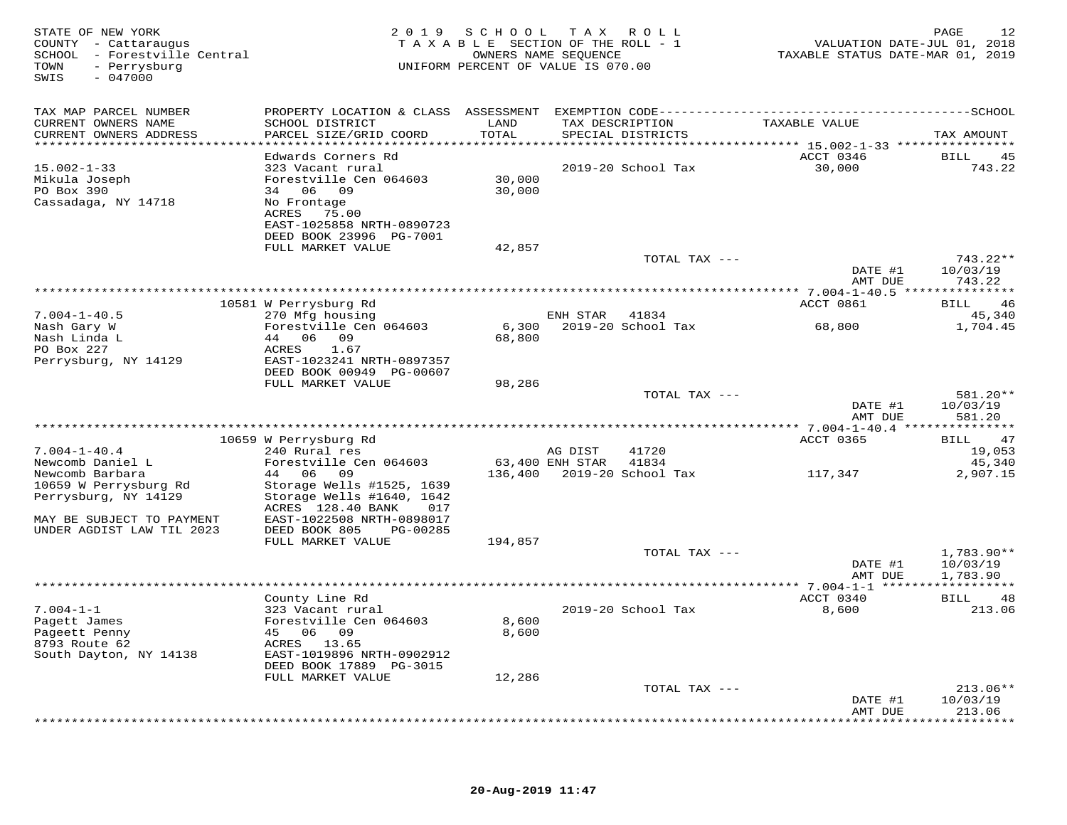| STATE OF NEW YORK<br>COUNTY - Cattaraugus<br>SCHOOL - Forestville Central<br>- Perrysburg<br>TOWN<br>SWIS<br>$-047000$ |                                                                                    | 2019 SCHOOL   | TAX ROLL<br>TAXABLE SECTION OF THE ROLL - 1<br>OWNERS NAME SEQUENCE<br>UNIFORM PERCENT OF VALUE IS 070.00 | VALUATION DATE-JUL 01, 2018<br>TAXABLE STATUS DATE-MAR 01, 2019 | PAGE<br>12             |
|------------------------------------------------------------------------------------------------------------------------|------------------------------------------------------------------------------------|---------------|-----------------------------------------------------------------------------------------------------------|-----------------------------------------------------------------|------------------------|
| TAX MAP PARCEL NUMBER                                                                                                  |                                                                                    |               |                                                                                                           |                                                                 |                        |
| CURRENT OWNERS NAME<br>CURRENT OWNERS ADDRESS<br>*****************************                                         | SCHOOL DISTRICT<br>PARCEL SIZE/GRID COORD                                          | LAND<br>TOTAL | TAX DESCRIPTION<br>SPECIAL DISTRICTS                                                                      | TAXABLE VALUE                                                   | TAX AMOUNT             |
|                                                                                                                        | Edwards Corners Rd                                                                 |               |                                                                                                           | ACCT 0346                                                       | BILL<br>45             |
| $15.002 - 1 - 33$<br>Mikula Joseph                                                                                     | 323 Vacant rural<br>Forestville Cen 064603                                         | 30,000        | 2019-20 School Tax                                                                                        | 30,000                                                          | 743.22                 |
| PO Box 390                                                                                                             | 34 06 09                                                                           | 30,000        |                                                                                                           |                                                                 |                        |
| Cassadaga, NY 14718                                                                                                    | No Frontage<br>ACRES 75.00<br>EAST-1025858 NRTH-0890723<br>DEED BOOK 23996 PG-7001 |               |                                                                                                           |                                                                 |                        |
|                                                                                                                        | FULL MARKET VALUE                                                                  | 42,857        |                                                                                                           |                                                                 |                        |
|                                                                                                                        |                                                                                    |               | TOTAL TAX ---                                                                                             | DATE #1                                                         | 743.22**<br>10/03/19   |
|                                                                                                                        |                                                                                    |               |                                                                                                           | AMT DUE                                                         | 743.22                 |
|                                                                                                                        | 10581 W Perrysburg Rd                                                              |               |                                                                                                           | ACCT 0861                                                       | BILL<br>46             |
| $7.004 - 1 - 40.5$<br>Nash Gary W                                                                                      | 270 Mfg housing<br>Forestville Cen 064603                                          | 6,300         | ENH STAR 41834<br>2019-20 School Tax                                                                      | 68,800                                                          | 45,340<br>1,704.45     |
| Nash Linda L                                                                                                           | 44 06 09                                                                           | 68,800        |                                                                                                           |                                                                 |                        |
| PO Box 227<br>Perrysburg, NY 14129                                                                                     | ACRES<br>1.67<br>EAST-1023241 NRTH-0897357                                         |               |                                                                                                           |                                                                 |                        |
|                                                                                                                        | DEED BOOK 00949 PG-00607                                                           |               |                                                                                                           |                                                                 |                        |
|                                                                                                                        | FULL MARKET VALUE                                                                  | 98,286        | TOTAL TAX ---                                                                                             |                                                                 | 581.20**               |
|                                                                                                                        |                                                                                    |               |                                                                                                           | DATE #1                                                         | 10/03/19               |
|                                                                                                                        |                                                                                    |               |                                                                                                           | AMT DUE                                                         | 581.20                 |
|                                                                                                                        | 10659 W Perrysburg Rd                                                              |               |                                                                                                           | ACCT 0365                                                       | 47<br>BILL             |
| $7.004 - 1 - 40.4$                                                                                                     | 240 Rural res                                                                      |               | 41720<br>AG DIST                                                                                          |                                                                 | 19,053                 |
| Newcomb Daniel L<br>Newcomb Barbara                                                                                    | Forestville Cen 064603<br>44 06 09                                                 |               | 63,400 ENH STAR<br>41834                                                                                  | 117,347                                                         | 45,340<br>2,907.15     |
| 10659 W Perrysburg Rd                                                                                                  | Storage Wells #1525, 1639                                                          |               |                                                                                                           |                                                                 |                        |
| Perrysburg, NY 14129                                                                                                   | Storage Wells #1640, 1642<br>ACRES 128.40 BANK<br>017                              |               |                                                                                                           |                                                                 |                        |
| MAY BE SUBJECT TO PAYMENT                                                                                              | EAST-1022508 NRTH-0898017                                                          |               |                                                                                                           |                                                                 |                        |
| UNDER AGDIST LAW TIL 2023                                                                                              | PG-00285<br>DEED BOOK 805                                                          |               |                                                                                                           |                                                                 |                        |
|                                                                                                                        | FULL MARKET VALUE                                                                  | 194,857       | TOTAL TAX ---                                                                                             |                                                                 | $1,783.90**$           |
|                                                                                                                        |                                                                                    |               |                                                                                                           | DATE #1                                                         | 10/03/19               |
|                                                                                                                        | ****************                                                                   |               |                                                                                                           | AMT DUE                                                         | 1,783.90               |
|                                                                                                                        | County Line Rd                                                                     |               |                                                                                                           | ACCT 0340                                                       | BILL<br>48             |
| $7.004 - 1 - 1$<br>Pagett James                                                                                        | 323 Vacant rural<br>Forestville Cen 064603                                         | 8,600         | 2019-20 School Tax                                                                                        | 8,600                                                           | 213.06                 |
| Pageett Penny                                                                                                          | 45 06 09                                                                           | 8,600         |                                                                                                           |                                                                 |                        |
| 8793 Route 62                                                                                                          | ACRES 13.65                                                                        |               |                                                                                                           |                                                                 |                        |
| South Dayton, NY 14138                                                                                                 | EAST-1019896 NRTH-0902912<br>DEED BOOK 17889 PG-3015                               |               |                                                                                                           |                                                                 |                        |
|                                                                                                                        | FULL MARKET VALUE                                                                  | 12,286        |                                                                                                           |                                                                 |                        |
|                                                                                                                        |                                                                                    |               | TOTAL TAX ---                                                                                             | DATE #1                                                         | $213.06**$<br>10/03/19 |
|                                                                                                                        |                                                                                    |               |                                                                                                           | AMT DUE                                                         | 213.06                 |
|                                                                                                                        |                                                                                    |               |                                                                                                           |                                                                 | ********               |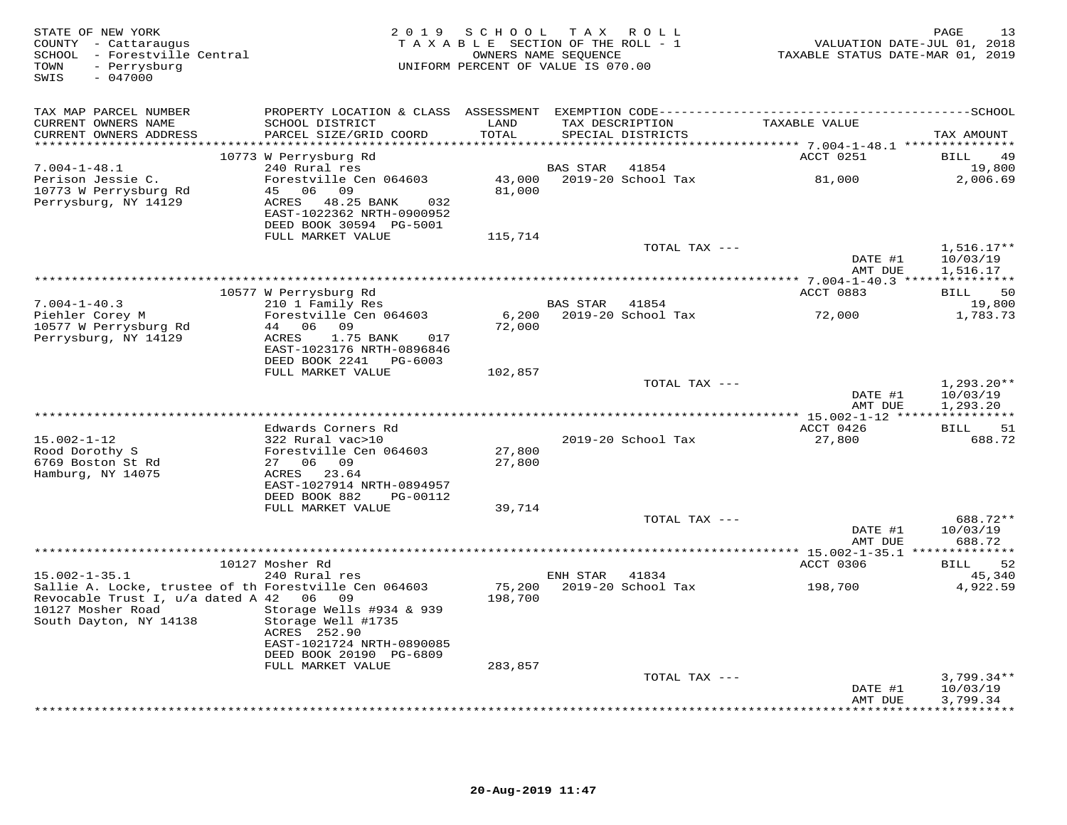| STATE OF NEW YORK<br>COUNTY - Cattaraugus<br>SCHOOL - Forestville Central<br>- Perrysburg<br>TOWN<br>$-047000$<br>SWIS | 2 0 1 9                                                                                                                | SCHOOL<br>TAXABLE SECTION OF THE ROLL - 1<br>UNIFORM PERCENT OF VALUE IS 070.00 | OWNERS NAME SEQUENCE | TAX ROLL                    | VALUATION DATE-JUL 01, 2018<br>TAXABLE STATUS DATE-MAR 01, 2019 | 13<br>PAGE                     |
|------------------------------------------------------------------------------------------------------------------------|------------------------------------------------------------------------------------------------------------------------|---------------------------------------------------------------------------------|----------------------|-----------------------------|-----------------------------------------------------------------|--------------------------------|
| TAX MAP PARCEL NUMBER                                                                                                  |                                                                                                                        |                                                                                 |                      |                             |                                                                 |                                |
| CURRENT OWNERS NAME                                                                                                    | SCHOOL DISTRICT                                                                                                        | LAND                                                                            |                      | TAX DESCRIPTION             | TAXABLE VALUE                                                   |                                |
| CURRENT OWNERS ADDRESS                                                                                                 | PARCEL SIZE/GRID COORD                                                                                                 | TOTAL                                                                           |                      | SPECIAL DISTRICTS           |                                                                 | TAX AMOUNT                     |
|                                                                                                                        | 10773 W Perrysburg Rd                                                                                                  |                                                                                 |                      |                             | ACCT 0251                                                       | BILL<br>49                     |
| $7.004 - 1 - 48.1$                                                                                                     | 240 Rural res                                                                                                          |                                                                                 | BAS STAR             | 41854                       |                                                                 | 19,800                         |
| Perison Jessie C.                                                                                                      | Forestville Cen 064603                                                                                                 |                                                                                 |                      | 43,000 2019-20 School Tax   | 81,000                                                          | 2,006.69                       |
| 10773 W Perrysburg Rd<br>Perrysburg, NY 14129                                                                          | 45 06 09<br>ACRES 48.25 BANK<br>032<br>EAST-1022362 NRTH-0900952<br>DEED BOOK 30594 PG-5001                            | 81,000                                                                          |                      |                             |                                                                 |                                |
|                                                                                                                        | FULL MARKET VALUE                                                                                                      | 115,714                                                                         |                      |                             |                                                                 |                                |
|                                                                                                                        |                                                                                                                        |                                                                                 |                      | TOTAL TAX ---               | DATE #1                                                         | $1,516.17**$<br>10/03/19       |
|                                                                                                                        |                                                                                                                        |                                                                                 |                      |                             | AMT DUE                                                         | 1,516.17                       |
|                                                                                                                        | 10577 W Perrysburg Rd                                                                                                  |                                                                                 |                      |                             | ACCT 0883                                                       | 50<br>BILL                     |
| $7.004 - 1 - 40.3$                                                                                                     | 210 1 Family Res                                                                                                       |                                                                                 | BAS STAR 41854       |                             |                                                                 | 19,800                         |
| Piehler Corey M<br>10577 W Perrysburg Rd<br>Perrysburg, NY 14129                                                       | Forestville Cen 064603<br>44 06 09<br>1.75 BANK<br>ACRES<br>017<br>EAST-1023176 NRTH-0896846                           | 6,200<br>72,000                                                                 |                      | 2019-20 School Tax          | 72,000                                                          | 1,783.73                       |
|                                                                                                                        | DEED BOOK 2241 PG-6003<br>FULL MARKET VALUE                                                                            | 102,857                                                                         |                      |                             |                                                                 |                                |
|                                                                                                                        |                                                                                                                        |                                                                                 |                      | TOTAL TAX ---               | DATE #1                                                         | $1,293.20**$<br>10/03/19       |
|                                                                                                                        |                                                                                                                        |                                                                                 |                      |                             | AMT DUE                                                         | 1,293.20                       |
|                                                                                                                        | Edwards Corners Rd                                                                                                     |                                                                                 |                      |                             | ACCT 0426                                                       | 51<br>BILL                     |
| $15.002 - 1 - 12$                                                                                                      | 322 Rural vac>10                                                                                                       |                                                                                 |                      | 2019-20 School Tax          | 27,800                                                          | 688.72                         |
| Rood Dorothy S                                                                                                         | Forestville Cen 064603                                                                                                 | 27,800                                                                          |                      |                             |                                                                 |                                |
| 6769 Boston St Rd<br>Hamburg, NY 14075                                                                                 | 27 06 09<br>ACRES 23.64                                                                                                | 27,800                                                                          |                      |                             |                                                                 |                                |
|                                                                                                                        | EAST-1027914 NRTH-0894957                                                                                              |                                                                                 |                      |                             |                                                                 |                                |
|                                                                                                                        | DEED BOOK 882<br>PG-00112                                                                                              |                                                                                 |                      |                             |                                                                 |                                |
|                                                                                                                        | FULL MARKET VALUE                                                                                                      | 39,714                                                                          |                      |                             |                                                                 |                                |
|                                                                                                                        |                                                                                                                        |                                                                                 |                      | TOTAL TAX ---               | DATE #1                                                         | 688.72**<br>10/03/19           |
|                                                                                                                        |                                                                                                                        |                                                                                 |                      |                             | AMT DUE                                                         | 688.72                         |
|                                                                                                                        |                                                                                                                        |                                                                                 |                      |                             |                                                                 |                                |
|                                                                                                                        | 10127 Mosher Rd                                                                                                        |                                                                                 |                      |                             | ACCT 0306                                                       | 52<br>BILL                     |
| $15.002 - 1 - 35.1$<br>Sallie A. Locke, trustee of th Forestville Cen 064603                                           | 240 Rural res                                                                                                          | 75,200                                                                          | ENH STAR             | 41834<br>2019-20 School Tax | 198,700                                                         | 45,340<br>4,922.59             |
| Revocable Trust I, u/a dated A 42 06 09<br>10127 Mosher Road<br>South Dayton, NY 14138                                 | Storage Wells #934 & 939<br>Storage Well #1735<br>ACRES 252.90<br>EAST-1021724 NRTH-0890085<br>DEED BOOK 20190 PG-6809 | 198,700                                                                         |                      |                             |                                                                 |                                |
|                                                                                                                        | FULL MARKET VALUE                                                                                                      | 283,857                                                                         |                      |                             |                                                                 |                                |
|                                                                                                                        |                                                                                                                        |                                                                                 |                      | TOTAL TAX ---               | DATE #1                                                         | $3,799.34**$<br>10/03/19       |
|                                                                                                                        |                                                                                                                        |                                                                                 |                      |                             | AMT DUE                                                         | 3,799.34<br><b>+++++++++++</b> |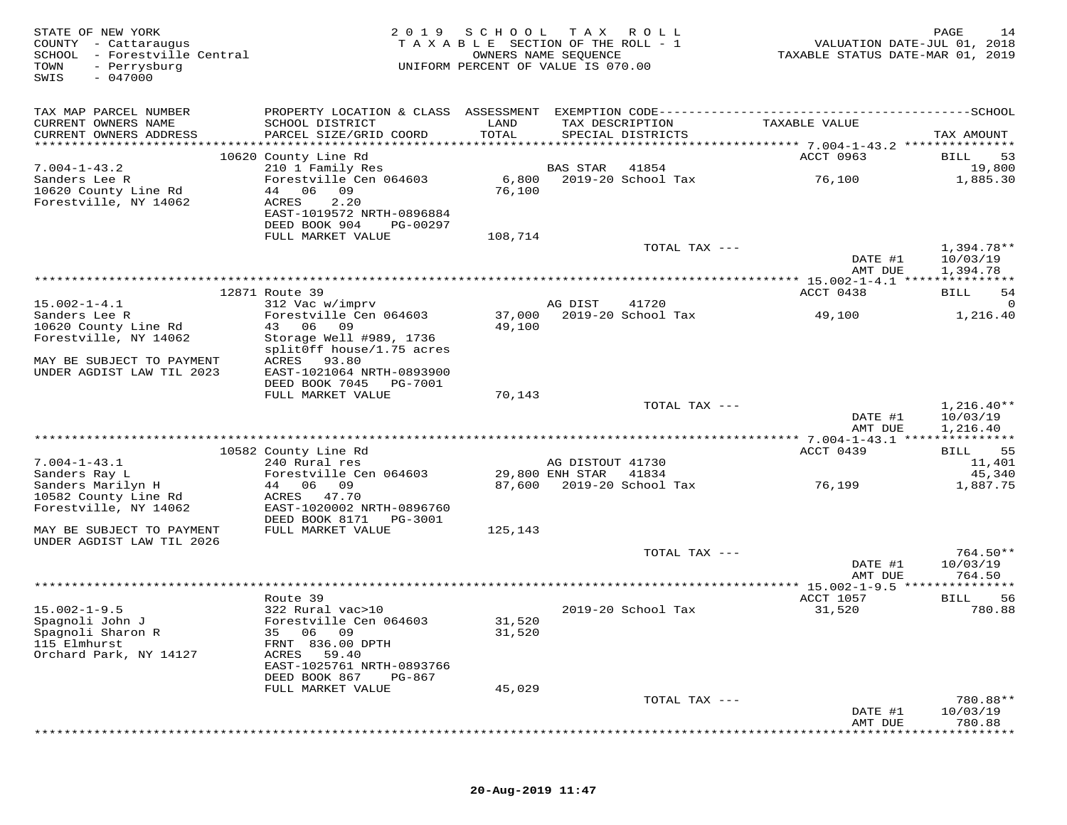| COUNTY - Cattaraugus<br>SCHOOL - Forestville Central<br>TOWN<br>- Perrysburg<br>SWIS<br>$-047000$                                                     | TAXABLE SECTION OF THE ROLL - 1<br>VALUATION DATE-JUL 01, 2018<br>OWNERS NAME SEQUENCE<br>TAXABLE STATUS DATE-MAR 01, 2019<br>UNIFORM PERCENT OF VALUE IS 070.00 |
|-------------------------------------------------------------------------------------------------------------------------------------------------------|------------------------------------------------------------------------------------------------------------------------------------------------------------------|
| TAX MAP PARCEL NUMBER                                                                                                                                 |                                                                                                                                                                  |
| CURRENT OWNERS NAME<br>SCHOOL DISTRICT<br>LAND<br>TOTAL<br>CURRENT OWNERS ADDRESS<br>PARCEL SIZE/GRID COORD                                           | TAX DESCRIPTION<br>TAXABLE VALUE<br>SPECIAL DISTRICTS<br>TAX AMOUNT                                                                                              |
| 10620 County Line Rd                                                                                                                                  | ACCT 0963<br>53<br>BILL                                                                                                                                          |
| $7.004 - 1 - 43.2$<br>210 1 Family Res                                                                                                                | BAS STAR<br>41854<br>19,800                                                                                                                                      |
| Forestville Cen 064603<br>Sanders Lee R<br>10620 County Line Rd<br>44 06<br>09<br>Forestville, NY 14062<br>ACRES<br>2.20<br>EAST-1019572 NRTH-0896884 | 6,800<br>2019-20 School Tax<br>76,100<br>1,885.30<br>76,100                                                                                                      |
| DEED BOOK 904<br>PG-00297                                                                                                                             |                                                                                                                                                                  |
| FULL MARKET VALUE                                                                                                                                     | 108,714<br>1,394.78**<br>TOTAL TAX ---<br>DATE #1<br>10/03/19                                                                                                    |
|                                                                                                                                                       | AMT DUE<br>1,394.78                                                                                                                                              |
|                                                                                                                                                       |                                                                                                                                                                  |
| 12871 Route 39<br>$15.002 - 1 - 4.1$<br>312 Vac w/imprv                                                                                               | ACCT 0438<br>-54<br>BILL<br>AG DIST<br>41720                                                                                                                     |
| Forestville Cen 064603<br>Sanders Lee R                                                                                                               | 37,000 2019-20 School Tax<br>1,216.40<br>49,100                                                                                                                  |
| 43 06<br>10620 County Line Rd<br>09                                                                                                                   | 49,100                                                                                                                                                           |
| Forestville, NY 14062<br>Storage Well #989, 1736                                                                                                      |                                                                                                                                                                  |
| splitOff house/1.75 acres<br>MAY BE SUBJECT TO PAYMENT<br>93.80<br>ACRES                                                                              |                                                                                                                                                                  |
| UNDER AGDIST LAW TIL 2023<br>EAST-1021064 NRTH-0893900                                                                                                |                                                                                                                                                                  |
| DEED BOOK 7045 PG-7001                                                                                                                                |                                                                                                                                                                  |
| FULL MARKET VALUE                                                                                                                                     | 70,143                                                                                                                                                           |
|                                                                                                                                                       | TOTAL TAX ---<br>$1,216.40**$<br>DATE #1<br>10/03/19                                                                                                             |
|                                                                                                                                                       | 1,216.40<br>AMT DUE                                                                                                                                              |
|                                                                                                                                                       |                                                                                                                                                                  |
| 10582 County Line Rd<br>$7.004 - 1 - 43.1$<br>240 Rural res                                                                                           | 55<br>ACCT 0439<br>BILL<br>AG DISTOUT 41730<br>11,401                                                                                                            |
| Sanders Ray L<br>Forestville Cen 064603                                                                                                               | 29,800 ENH STAR<br>41834<br>45,340                                                                                                                               |
| Sanders Marilyn H<br>44 06 09                                                                                                                         | 87,600 2019-20 School Tax<br>76,199<br>1,887.75                                                                                                                  |
| 10582 County Line Rd<br>ACRES 47.70                                                                                                                   |                                                                                                                                                                  |
| Forestville, NY 14062<br>EAST-1020002 NRTH-0896760                                                                                                    |                                                                                                                                                                  |
| DEED BOOK 8171<br>PG-3001<br>FULL MARKET VALUE<br>MAY BE SUBJECT TO PAYMENT                                                                           | 125,143                                                                                                                                                          |
| UNDER AGDIST LAW TIL 2026                                                                                                                             |                                                                                                                                                                  |
|                                                                                                                                                       | $764.50**$<br>TOTAL TAX ---                                                                                                                                      |
|                                                                                                                                                       | DATE #1<br>10/03/19<br>AMT DUE<br>764.50                                                                                                                         |
|                                                                                                                                                       |                                                                                                                                                                  |
| Route 39                                                                                                                                              | 56<br>ACCT 1057<br>BILL                                                                                                                                          |
| $15.002 - 1 - 9.5$<br>322 Rural vac>10                                                                                                                | 2019-20 School Tax<br>31,520<br>780.88                                                                                                                           |
| Spagnoli John J<br>Forestville Cen 064603                                                                                                             | 31,520                                                                                                                                                           |
| 35 06 09<br>Spagnoli Sharon R<br>115 Elmhurst<br>FRNT 836.00 DPTH                                                                                     | 31,520                                                                                                                                                           |
| Orchard Park, NY 14127<br>ACRES<br>59.40                                                                                                              |                                                                                                                                                                  |
| EAST-1025761 NRTH-0893766                                                                                                                             |                                                                                                                                                                  |
| DEED BOOK 867<br>PG-867                                                                                                                               |                                                                                                                                                                  |
| FULL MARKET VALUE                                                                                                                                     | 45,029<br>780.88**<br>TOTAL TAX ---                                                                                                                              |
|                                                                                                                                                       | DATE #1<br>10/03/19                                                                                                                                              |
|                                                                                                                                                       | AMT DUE<br>780.88                                                                                                                                                |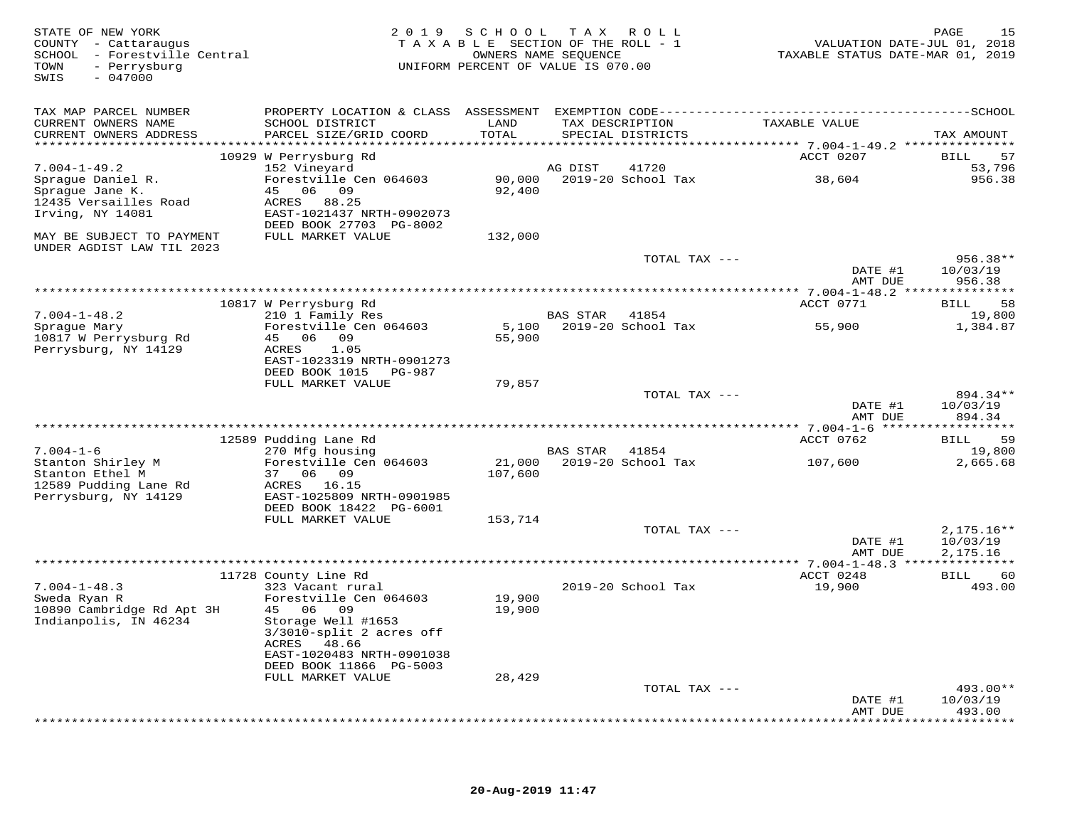| STATE OF NEW YORK<br>COUNTY - Cattaraugus<br>SCHOOL - Forestville Central<br>- Perrysburg<br>TOWN<br>$-047000$<br>SWIS | 2 0 1 9                                                                                                                             | SCHOOL<br>TAXABLE SECTION OF THE ROLL - 1<br>OWNERS NAME SEOUENCE<br>UNIFORM PERCENT OF VALUE IS 070.00 |                 | TAX ROLL           | VALUATION DATE-JUL 01, 2018<br>TAXABLE STATUS DATE-MAR 01, 2019 | 1.5<br>PAGE                    |
|------------------------------------------------------------------------------------------------------------------------|-------------------------------------------------------------------------------------------------------------------------------------|---------------------------------------------------------------------------------------------------------|-----------------|--------------------|-----------------------------------------------------------------|--------------------------------|
| TAX MAP PARCEL NUMBER<br>CURRENT OWNERS NAME<br>CURRENT OWNERS ADDRESS                                                 | SCHOOL DISTRICT<br>PARCEL SIZE/GRID COORD                                                                                           | LAND<br>TOTAL                                                                                           | TAX DESCRIPTION | SPECIAL DISTRICTS  | TAXABLE VALUE                                                   | TAX AMOUNT                     |
|                                                                                                                        | 10929 W Perrysburg Rd                                                                                                               |                                                                                                         |                 |                    | ACCT 0207                                                       | BILL<br>57                     |
| $7.004 - 1 - 49.2$                                                                                                     | 152 Vineyard                                                                                                                        |                                                                                                         | AG DIST         | 41720              |                                                                 | 53,796                         |
| Sprague Daniel R.<br>Sprague Jane K.<br>12435 Versailles Road<br>Irving, NY 14081                                      | Forestville Cen 064603<br>45 06 09<br>ACRES 88.25<br>EAST-1021437 NRTH-0902073<br>DEED BOOK 27703 PG-8002                           | 90,000<br>92,400                                                                                        |                 | 2019-20 School Tax | 38,604                                                          | 956.38                         |
| MAY BE SUBJECT TO PAYMENT                                                                                              | FULL MARKET VALUE                                                                                                                   | 132,000                                                                                                 |                 |                    |                                                                 |                                |
| UNDER AGDIST LAW TIL 2023                                                                                              |                                                                                                                                     |                                                                                                         |                 | TOTAL TAX ---      | DATE #1<br>AMT DUE                                              | 956.38**<br>10/03/19<br>956.38 |
|                                                                                                                        |                                                                                                                                     |                                                                                                         |                 |                    |                                                                 |                                |
|                                                                                                                        | 10817 W Perrysburg Rd<br>210 1 Family Res                                                                                           |                                                                                                         | BAS STAR        | 41854              | ACCT 0771                                                       | 58<br>BILL<br>19,800           |
| $7.004 - 1 - 48.2$<br>Sprague Mary<br>10817 W Perrysburg Rd                                                            | Forestville Cen 064603<br>45 06 09                                                                                                  | 5,100<br>55,900                                                                                         |                 | 2019-20 School Tax | 55,900                                                          | 1,384.87                       |
| Perrysburg, NY 14129                                                                                                   | ACRES<br>1.05<br>EAST-1023319 NRTH-0901273<br>DEED BOOK 1015 PG-987                                                                 |                                                                                                         |                 |                    |                                                                 |                                |
|                                                                                                                        | FULL MARKET VALUE                                                                                                                   | 79,857                                                                                                  |                 | TOTAL TAX ---      |                                                                 | 894.34**                       |
|                                                                                                                        |                                                                                                                                     |                                                                                                         |                 |                    | DATE #1<br>AMT DUE                                              | 10/03/19<br>894.34             |
|                                                                                                                        |                                                                                                                                     |                                                                                                         |                 |                    |                                                                 | *************                  |
| $7.004 - 1 - 6$                                                                                                        | 12589 Pudding Lane Rd                                                                                                               |                                                                                                         | <b>BAS STAR</b> | 41854              | ACCT 0762                                                       | BILL<br>59                     |
| Stanton Shirley M                                                                                                      | 270 Mfg housing<br>Forestville Cen 064603                                                                                           | 21,000                                                                                                  |                 | 2019-20 School Tax | 107,600                                                         | 19,800<br>2,665.68             |
| Stanton Ethel M<br>12589 Pudding Lane Rd<br>Perrysburg, NY 14129                                                       | 37 06 09<br>ACRES 16.15<br>EAST-1025809 NRTH-0901985                                                                                | 107,600                                                                                                 |                 |                    |                                                                 |                                |
|                                                                                                                        | DEED BOOK 18422 PG-6001<br>FULL MARKET VALUE                                                                                        | 153,714                                                                                                 |                 |                    |                                                                 |                                |
|                                                                                                                        |                                                                                                                                     |                                                                                                         |                 | TOTAL TAX ---      |                                                                 | $2,175.16**$                   |
|                                                                                                                        |                                                                                                                                     |                                                                                                         |                 |                    | DATE #1<br>AMT DUE                                              | 10/03/19<br>2,175.16           |
|                                                                                                                        | 11728 County Line Rd                                                                                                                |                                                                                                         |                 |                    | ACCT 0248                                                       | 60<br>BILL                     |
| $7.004 - 1 - 48.3$                                                                                                     | 323 Vacant rural                                                                                                                    |                                                                                                         |                 | 2019-20 School Tax | 19,900                                                          | 493.00                         |
| Sweda Ryan R<br>10890 Cambridge Rd Apt 3H<br>Indianpolis, IN 46234                                                     | Forestville Cen 064603<br>45 06 09<br>Storage Well #1653<br>3/3010-split 2 acres off<br>ACRES<br>48.66<br>EAST-1020483 NRTH-0901038 | 19,900<br>19,900                                                                                        |                 |                    |                                                                 |                                |
|                                                                                                                        | DEED BOOK 11866 PG-5003<br>FULL MARKET VALUE                                                                                        | 28,429                                                                                                  |                 |                    |                                                                 |                                |
|                                                                                                                        |                                                                                                                                     |                                                                                                         |                 | TOTAL TAX ---      | DATE #1                                                         | 493.00**<br>10/03/19           |
|                                                                                                                        |                                                                                                                                     |                                                                                                         |                 |                    | AMT DUE<br>* * * * * * * * * * * *                              | 493.00<br>* * * * * * * *      |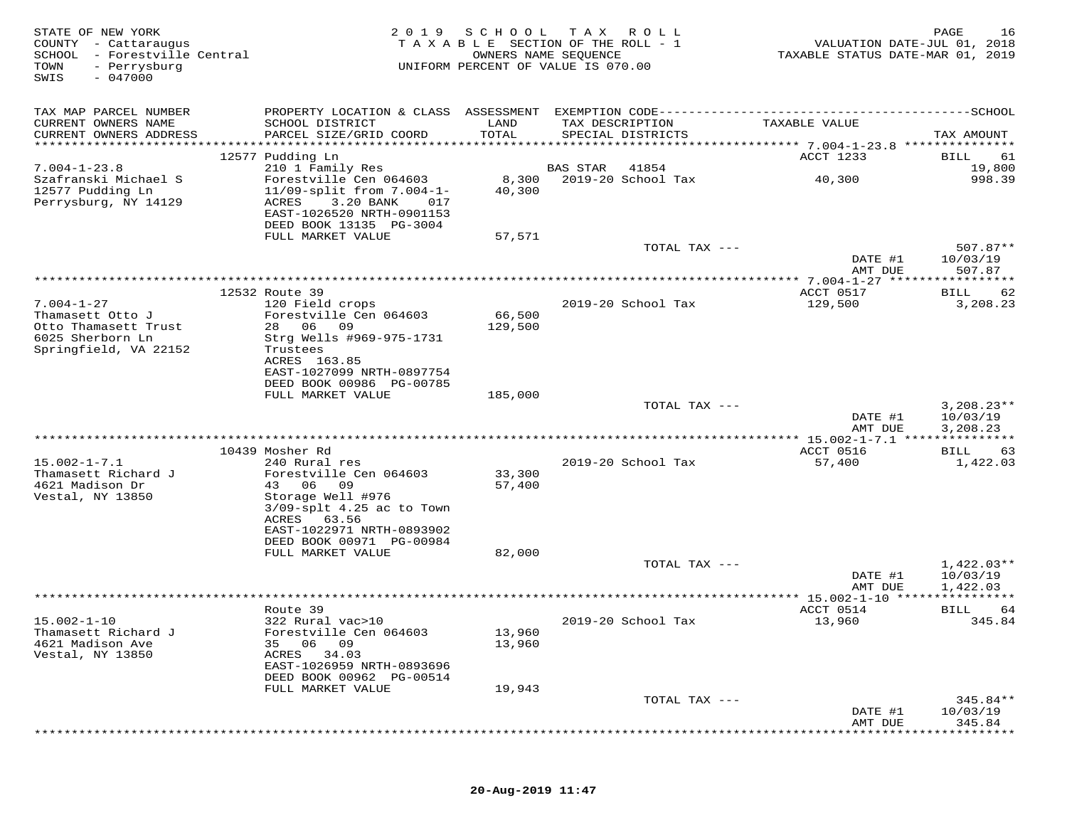| STATE OF NEW YORK<br>COUNTY - Cattaraugus<br>SCHOOL<br>- Forestville Central<br>TOWN<br>- Perrysburg<br>$-047000$<br>SWIS | 2019                                                                                                                                             | S C H O O L<br>OWNERS NAME SEQUENCE | T A X<br>R O L L<br>TAXABLE SECTION OF THE ROLL - 1<br>UNIFORM PERCENT OF VALUE IS 070.00 | VALUATION DATE-JUL 01, 2018<br>TAXABLE STATUS DATE-MAR 01, 2019 | 16<br>PAGE                |
|---------------------------------------------------------------------------------------------------------------------------|--------------------------------------------------------------------------------------------------------------------------------------------------|-------------------------------------|-------------------------------------------------------------------------------------------|-----------------------------------------------------------------|---------------------------|
| TAX MAP PARCEL NUMBER                                                                                                     |                                                                                                                                                  |                                     |                                                                                           |                                                                 |                           |
| CURRENT OWNERS NAME<br>CURRENT OWNERS ADDRESS                                                                             | SCHOOL DISTRICT<br>PARCEL SIZE/GRID COORD                                                                                                        | LAND<br>TOTAL                       | TAX DESCRIPTION<br>SPECIAL DISTRICTS                                                      | TAXABLE VALUE                                                   | TAX AMOUNT                |
| ************************                                                                                                  |                                                                                                                                                  |                                     |                                                                                           |                                                                 |                           |
|                                                                                                                           | 12577 Pudding Ln                                                                                                                                 |                                     |                                                                                           | ACCT 1233                                                       | 61<br>BILL                |
| $7.004 - 1 - 23.8$<br>Szafranski Michael S                                                                                | 210 1 Family Res                                                                                                                                 |                                     | <b>BAS STAR</b><br>41854                                                                  |                                                                 | 19,800                    |
| 12577 Pudding Ln<br>Perrysburg, NY 14129                                                                                  | Forestville Cen 064603<br>$11/09$ -split from $7.004 - 1 -$<br>ACRES<br>3.20 BANK<br>017<br>EAST-1026520 NRTH-0901153<br>DEED BOOK 13135 PG-3004 | 8,300<br>40,300                     | 2019-20 School Tax                                                                        | 40,300                                                          | 998.39                    |
|                                                                                                                           | FULL MARKET VALUE                                                                                                                                | 57,571                              |                                                                                           |                                                                 |                           |
|                                                                                                                           |                                                                                                                                                  |                                     | TOTAL TAX ---                                                                             | DATE #1                                                         | 507.87**<br>10/03/19      |
|                                                                                                                           |                                                                                                                                                  |                                     |                                                                                           | AMT DUE                                                         | 507.87                    |
|                                                                                                                           | 12532 Route 39                                                                                                                                   |                                     |                                                                                           | ************* 7.004-1-27 *******<br>ACCT 0517                   | * * * * * * * * * *<br>62 |
| $7.004 - 1 - 27$                                                                                                          | 120 Field crops                                                                                                                                  |                                     | 2019-20 School Tax                                                                        | 129,500                                                         | BILL<br>3,208.23          |
| Thamasett Otto J                                                                                                          | Forestville Cen 064603                                                                                                                           | 66,500                              |                                                                                           |                                                                 |                           |
| Otto Thamasett Trust                                                                                                      | 28 06<br>09                                                                                                                                      | 129,500                             |                                                                                           |                                                                 |                           |
| 6025 Sherborn Ln                                                                                                          | Strg Wells #969-975-1731                                                                                                                         |                                     |                                                                                           |                                                                 |                           |
| Springfield, VA 22152                                                                                                     | Trustees                                                                                                                                         |                                     |                                                                                           |                                                                 |                           |
|                                                                                                                           | ACRES 163.85<br>EAST-1027099 NRTH-0897754                                                                                                        |                                     |                                                                                           |                                                                 |                           |
|                                                                                                                           | DEED BOOK 00986 PG-00785                                                                                                                         |                                     |                                                                                           |                                                                 |                           |
|                                                                                                                           | FULL MARKET VALUE                                                                                                                                | 185,000                             |                                                                                           |                                                                 |                           |
|                                                                                                                           |                                                                                                                                                  |                                     | TOTAL TAX ---                                                                             |                                                                 | $3,208.23**$              |
|                                                                                                                           |                                                                                                                                                  |                                     |                                                                                           | DATE #1                                                         | 10/03/19                  |
|                                                                                                                           |                                                                                                                                                  |                                     |                                                                                           | AMT DUE<br>*** 15.002-1-7.1 ****************                    | 3,208.23                  |
|                                                                                                                           | 10439 Mosher Rd                                                                                                                                  |                                     |                                                                                           | ACCT 0516                                                       | 63<br>BILL                |
| $15.002 - 1 - 7.1$                                                                                                        | 240 Rural res                                                                                                                                    |                                     | 2019-20 School Tax                                                                        | 57,400                                                          | 1,422.03                  |
| Thamasett Richard J                                                                                                       | Forestville Cen 064603                                                                                                                           | 33,300                              |                                                                                           |                                                                 |                           |
| 4621 Madison Dr                                                                                                           | 43 06<br>09                                                                                                                                      | 57,400                              |                                                                                           |                                                                 |                           |
| Vestal, NY 13850                                                                                                          | Storage Well #976<br>$3/09$ -splt $4.25$ ac to Town                                                                                              |                                     |                                                                                           |                                                                 |                           |
|                                                                                                                           | ACRES<br>63.56                                                                                                                                   |                                     |                                                                                           |                                                                 |                           |
|                                                                                                                           | EAST-1022971 NRTH-0893902                                                                                                                        |                                     |                                                                                           |                                                                 |                           |
|                                                                                                                           | DEED BOOK 00971 PG-00984                                                                                                                         |                                     |                                                                                           |                                                                 |                           |
|                                                                                                                           | FULL MARKET VALUE                                                                                                                                | 82,000                              | TOTAL TAX ---                                                                             |                                                                 | $1,422.03**$              |
|                                                                                                                           |                                                                                                                                                  |                                     |                                                                                           | DATE #1                                                         | 10/03/19                  |
|                                                                                                                           |                                                                                                                                                  |                                     |                                                                                           | AMT DUE                                                         | 1,422.03                  |
|                                                                                                                           |                                                                                                                                                  |                                     |                                                                                           | **************** 15.002-1-10 *****************                  |                           |
|                                                                                                                           | Route 39                                                                                                                                         |                                     |                                                                                           | ACCT 0514                                                       | BILL<br>64                |
| $15.002 - 1 - 10$<br>Thamasett Richard J                                                                                  | 322 Rural vac>10                                                                                                                                 | 13,960                              | 2019-20 School Tax                                                                        | 13,960                                                          | 345.84                    |
| 4621 Madison Ave                                                                                                          | Forestville Cen 064603<br>06 09<br>35                                                                                                            | 13,960                              |                                                                                           |                                                                 |                           |
| Vestal, NY 13850                                                                                                          | ACRES<br>34.03                                                                                                                                   |                                     |                                                                                           |                                                                 |                           |
|                                                                                                                           | EAST-1026959 NRTH-0893696                                                                                                                        |                                     |                                                                                           |                                                                 |                           |
|                                                                                                                           | DEED BOOK 00962 PG-00514                                                                                                                         |                                     |                                                                                           |                                                                 |                           |
|                                                                                                                           | FULL MARKET VALUE                                                                                                                                | 19,943                              | TOTAL TAX ---                                                                             |                                                                 |                           |
|                                                                                                                           |                                                                                                                                                  |                                     |                                                                                           | DATE #1                                                         | $345.84**$<br>10/03/19    |
|                                                                                                                           |                                                                                                                                                  |                                     |                                                                                           | AMT DUE                                                         | 345.84                    |
|                                                                                                                           |                                                                                                                                                  |                                     |                                                                                           |                                                                 |                           |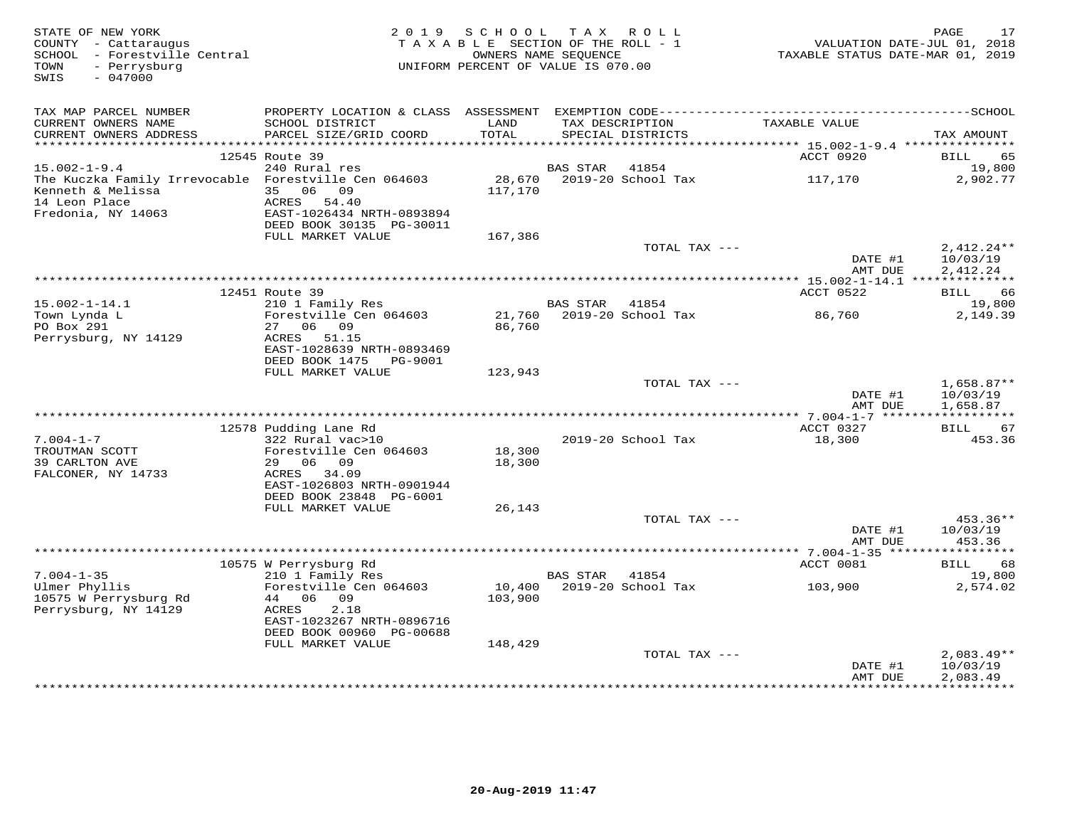| STATE OF NEW YORK<br>COUNTY - Cattaraugus<br>SCHOOL - Forestville Central<br>- Perrysburg<br>TOWN<br>$-047000$<br>SWIS | 2 0 1 9                                                | S C H O O L<br>TAXABLE SECTION OF THE ROLL - 1<br>UNIFORM PERCENT OF VALUE IS 070.00 | TAX ROLL<br>OWNERS NAME SEQUENCE |                           | TAXABLE STATUS DATE-MAR 01, 2019 | PAGE<br>17<br>VALUATION DATE-JUL 01, 2018 |
|------------------------------------------------------------------------------------------------------------------------|--------------------------------------------------------|--------------------------------------------------------------------------------------|----------------------------------|---------------------------|----------------------------------|-------------------------------------------|
| TAX MAP PARCEL NUMBER                                                                                                  |                                                        |                                                                                      |                                  |                           |                                  |                                           |
| CURRENT OWNERS NAME<br>CURRENT OWNERS ADDRESS                                                                          | SCHOOL DISTRICT<br>PARCEL SIZE/GRID COORD              | LAND<br>TOTAL                                                                        | TAX DESCRIPTION                  | SPECIAL DISTRICTS         | TAXABLE VALUE                    | TAX AMOUNT                                |
|                                                                                                                        |                                                        |                                                                                      |                                  |                           |                                  |                                           |
|                                                                                                                        | 12545 Route 39                                         |                                                                                      |                                  |                           | ACCT 0920                        | <b>BILL</b><br>65                         |
| $15.002 - 1 - 9.4$                                                                                                     | 240 Rural res                                          |                                                                                      | BAS STAR                         | 41854                     |                                  | 19,800                                    |
| The Kuczka Family Irrevocable Forestville Cen 064603<br>Kenneth & Melissa<br>14 Leon Place                             | 35 06 09<br>ACRES 54.40                                | 117,170                                                                              |                                  |                           | 117,170                          | 2,902.77                                  |
| Fredonia, NY 14063                                                                                                     | EAST-1026434 NRTH-0893894<br>DEED BOOK 30135 PG-30011  |                                                                                      |                                  |                           |                                  |                                           |
|                                                                                                                        | FULL MARKET VALUE                                      | 167,386                                                                              |                                  |                           |                                  |                                           |
|                                                                                                                        |                                                        |                                                                                      |                                  | TOTAL TAX ---             | DATE #1<br>AMT DUE               | $2,412.24**$<br>10/03/19<br>2,412.24      |
|                                                                                                                        |                                                        |                                                                                      |                                  |                           |                                  |                                           |
|                                                                                                                        | 12451 Route 39                                         |                                                                                      |                                  |                           | ACCT 0522                        | BILL 66                                   |
| $15.002 - 1 - 14.1$                                                                                                    | 210 1 Family Res                                       |                                                                                      | <b>BAS STAR</b>                  | 41854                     |                                  | 19,800                                    |
| Town Lynda L<br>PO Box 291<br>Perrysburg, NY 14129                                                                     | Forestville Cen 064603<br>27 06 09<br>ACRES 51.15      | 86,760                                                                               |                                  | 21,760 2019-20 School Tax | 86,760                           | 2,149.39                                  |
|                                                                                                                        | EAST-1028639 NRTH-0893469<br>DEED BOOK 1475 PG-9001    |                                                                                      |                                  |                           |                                  |                                           |
|                                                                                                                        | FULL MARKET VALUE                                      | 123,943                                                                              |                                  |                           |                                  |                                           |
|                                                                                                                        |                                                        |                                                                                      |                                  | TOTAL TAX ---             | DATE #1                          | $1,658.87**$<br>10/03/19                  |
|                                                                                                                        |                                                        |                                                                                      |                                  |                           | AMT DUE                          | 1,658.87                                  |
|                                                                                                                        | 12578 Pudding Lane Rd                                  |                                                                                      |                                  |                           | ACCT 0327                        | BILL 67                                   |
| $7.004 - 1 - 7$                                                                                                        | 322 Rural vac>10                                       |                                                                                      |                                  | 2019-20 School Tax        | 18,300                           | 453.36                                    |
| TROUTMAN SCOTT                                                                                                         | Forestville Cen 064603                                 | 18,300                                                                               |                                  |                           |                                  |                                           |
| 39 CARLTON AVE                                                                                                         | 29 06 09                                               | 18,300                                                                               |                                  |                           |                                  |                                           |
| FALCONER, NY 14733                                                                                                     | ACRES 34.09<br>EAST-1026803 NRTH-0901944               |                                                                                      |                                  |                           |                                  |                                           |
|                                                                                                                        | DEED BOOK 23848 PG-6001                                |                                                                                      |                                  |                           |                                  |                                           |
|                                                                                                                        | FULL MARKET VALUE                                      | 26,143                                                                               |                                  |                           |                                  |                                           |
|                                                                                                                        |                                                        |                                                                                      |                                  | TOTAL TAX ---             |                                  | 453.36**                                  |
|                                                                                                                        |                                                        |                                                                                      |                                  |                           | DATE #1                          | 10/03/19                                  |
|                                                                                                                        |                                                        |                                                                                      |                                  |                           | AMT DUE                          | 453.36                                    |
|                                                                                                                        | 10575 W Perrysburg Rd                                  |                                                                                      |                                  |                           | ACCT 0081                        | 68<br>BILL                                |
| $7.004 - 1 - 35$                                                                                                       | 210 1 Family Res                                       |                                                                                      | <b>BAS STAR</b>                  | 41854                     |                                  | 19,800                                    |
| Ulmer Phyllis                                                                                                          | Forestville Cen 064603                                 | 10,400                                                                               |                                  | 2019-20 School Tax        | 103,900                          | 2,574.02                                  |
| 10575 W Perrysburg Rd<br>Perrysburg, NY 14129                                                                          | 44 06 09<br>ACRES<br>2.18<br>EAST-1023267 NRTH-0896716 | 103,900                                                                              |                                  |                           |                                  |                                           |
|                                                                                                                        | DEED BOOK 00960 PG-00688                               |                                                                                      |                                  |                           |                                  |                                           |
|                                                                                                                        | FULL MARKET VALUE                                      | 148,429                                                                              |                                  |                           |                                  |                                           |
|                                                                                                                        |                                                        |                                                                                      |                                  | TOTAL TAX ---             | DATE #1                          | $2,083.49**$<br>10/03/19                  |
|                                                                                                                        |                                                        |                                                                                      |                                  |                           | AMT DUE                          | 2,083.49                                  |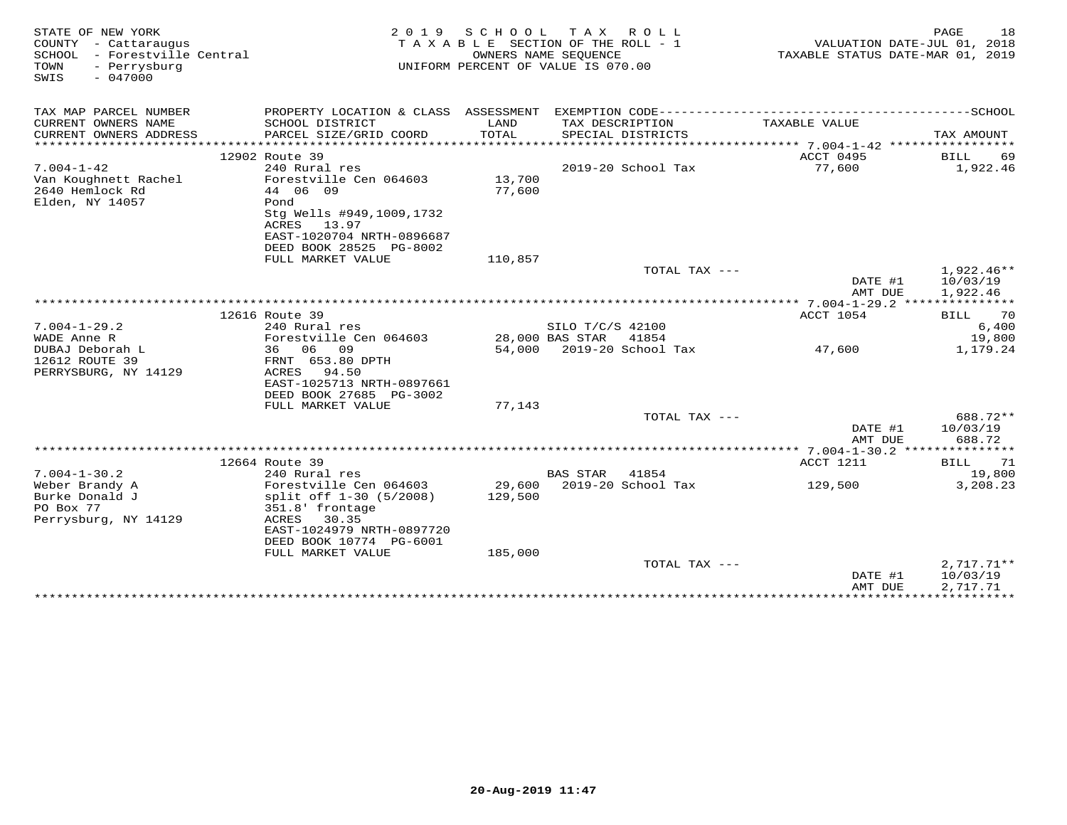| STATE OF NEW YORK<br>COUNTY - Cattaraugus<br>SCHOOL - Forestville Central<br>TOWN<br>- Perrysburg<br>$-047000$<br>SWIS | 2 0 1 9                                                                                                             | SCHOOL<br>T A X A B L E SECTION OF THE ROLL - 1<br>UNIFORM PERCENT OF VALUE IS 070.00 | T A X<br>OWNERS NAME SEQUENCE        | ROLL               | VALUATION DATE-JUL 01, 2018<br>TAXABLE STATUS DATE-MAR 01, 2019 | PAGE | 18                                   |
|------------------------------------------------------------------------------------------------------------------------|---------------------------------------------------------------------------------------------------------------------|---------------------------------------------------------------------------------------|--------------------------------------|--------------------|-----------------------------------------------------------------|------|--------------------------------------|
| TAX MAP PARCEL NUMBER                                                                                                  | PROPERTY LOCATION & CLASS ASSESSMENT                                                                                |                                                                                       |                                      |                    |                                                                 |      |                                      |
| CURRENT OWNERS NAME<br>CURRENT OWNERS ADDRESS                                                                          | SCHOOL DISTRICT<br>PARCEL SIZE/GRID COORD                                                                           | LAND<br>TOTAL                                                                         | TAX DESCRIPTION<br>SPECIAL DISTRICTS |                    | TAXABLE VALUE                                                   |      | TAX AMOUNT                           |
|                                                                                                                        |                                                                                                                     |                                                                                       |                                      |                    |                                                                 |      |                                      |
|                                                                                                                        | 12902 Route 39                                                                                                      |                                                                                       |                                      |                    | ACCT 0495                                                       | BILL | 69                                   |
| $7.004 - 1 - 42$<br>Van Koughnett Rachel<br>2640 Hemlock Rd<br>Elden, NY 14057                                         | 240 Rural res<br>Forestville Cen 064603<br>44 06 09<br>Pond                                                         | 13,700<br>77,600                                                                      |                                      | 2019-20 School Tax | 77,600                                                          |      | 1,922.46                             |
|                                                                                                                        | Stg Wells #949,1009,1732<br>ACRES<br>13.97<br>EAST-1020704 NRTH-0896687<br>DEED BOOK 28525 PG-8002                  |                                                                                       |                                      |                    |                                                                 |      |                                      |
|                                                                                                                        | FULL MARKET VALUE                                                                                                   | 110,857                                                                               |                                      |                    |                                                                 |      |                                      |
|                                                                                                                        |                                                                                                                     |                                                                                       |                                      | TOTAL TAX ---      | DATE #1                                                         |      | $1,922.46**$<br>10/03/19             |
|                                                                                                                        |                                                                                                                     |                                                                                       |                                      |                    | AMT DUE                                                         |      | 1,922.46                             |
|                                                                                                                        | 12616 Route 39                                                                                                      |                                                                                       |                                      |                    | ACCT 1054                                                       | BILL | 70                                   |
| $7.004 - 1 - 29.2$                                                                                                     | 240 Rural res                                                                                                       |                                                                                       | SILO T/C/S 42100                     |                    |                                                                 |      | 6,400                                |
| WADE Anne R                                                                                                            | Forestville Cen 064603                                                                                              |                                                                                       | 28,000 BAS STAR                      | 41854              |                                                                 |      | 19,800                               |
| DUBAJ Deborah L                                                                                                        | 36 06<br>09                                                                                                         |                                                                                       | 54,000 2019-20 School Tax            |                    | 47,600                                                          |      | 1,179.24                             |
| 12612 ROUTE 39<br>PERRYSBURG, NY 14129                                                                                 | FRNT 653.80 DPTH<br>ACRES<br>94.50                                                                                  |                                                                                       |                                      |                    |                                                                 |      |                                      |
|                                                                                                                        | EAST-1025713 NRTH-0897661                                                                                           |                                                                                       |                                      |                    |                                                                 |      |                                      |
|                                                                                                                        | DEED BOOK 27685 PG-3002                                                                                             |                                                                                       |                                      |                    |                                                                 |      |                                      |
|                                                                                                                        | FULL MARKET VALUE                                                                                                   | 77,143                                                                                |                                      |                    |                                                                 |      |                                      |
|                                                                                                                        |                                                                                                                     |                                                                                       |                                      | TOTAL TAX ---      | DATE #1<br>AMT DUE                                              |      | 688.72**<br>10/03/19<br>688.72       |
|                                                                                                                        |                                                                                                                     |                                                                                       |                                      |                    |                                                                 |      |                                      |
|                                                                                                                        | 12664 Route 39                                                                                                      |                                                                                       |                                      |                    | ACCT 1211                                                       | BILL | 71                                   |
| $7.004 - 1 - 30.2$                                                                                                     | 240 Rural res                                                                                                       |                                                                                       | <b>BAS STAR</b>                      | 41854              |                                                                 |      | 19,800                               |
| Weber Brandy A<br>Burke Donald J<br>PO Box 77<br>Perrysburg, NY 14129                                                  | Forestville Cen 064603<br>split off 1-30 (5/2008)<br>351.8' frontage<br>ACRES<br>30.35<br>EAST-1024979 NRTH-0897720 | 129,500                                                                               | 29,600 2019-20 School Tax            |                    | 129,500                                                         |      | 3,208.23                             |
|                                                                                                                        | DEED BOOK 10774 PG-6001                                                                                             |                                                                                       |                                      |                    |                                                                 |      |                                      |
|                                                                                                                        | FULL MARKET VALUE                                                                                                   | 185,000                                                                               |                                      |                    |                                                                 |      |                                      |
|                                                                                                                        |                                                                                                                     |                                                                                       |                                      | TOTAL TAX ---      | DATE #1<br>AMT DUE                                              |      | $2,717.71**$<br>10/03/19<br>2,717.71 |
|                                                                                                                        |                                                                                                                     |                                                                                       |                                      |                    | *****************************                                   |      |                                      |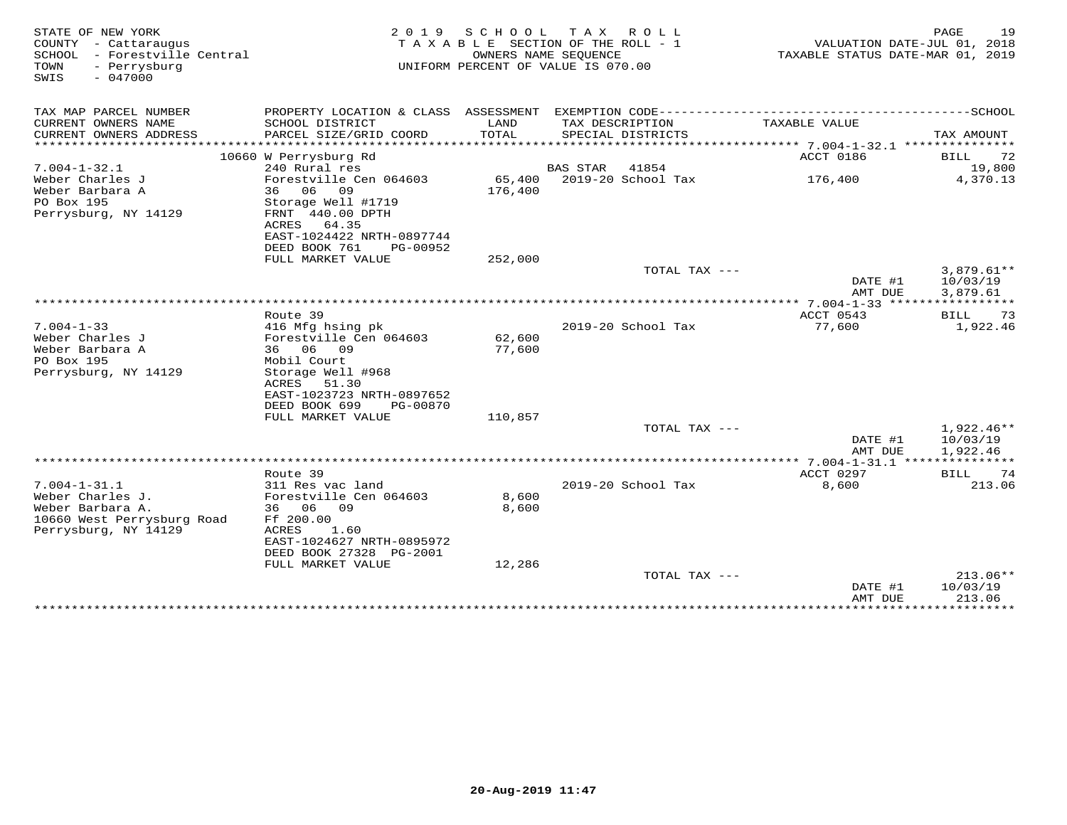| STATE OF NEW YORK<br>COUNTY - Cattaraugus<br>SCHOOL - Forestville Central<br>TOWN<br>- Perrysburg<br>$-047000$<br>SWIS | 2 0 1 9                                                                                                                                                                   | S C H O O L       | T A X<br>R O L L<br>TAXABLE SECTION OF THE ROLL - 1<br>OWNERS NAME SEQUENCE<br>UNIFORM PERCENT OF VALUE IS 070.00 | TAXABLE STATUS DATE-MAR 01, 2019 | PAGE<br>19<br>VALUATION DATE-JUL 01, 2018 |
|------------------------------------------------------------------------------------------------------------------------|---------------------------------------------------------------------------------------------------------------------------------------------------------------------------|-------------------|-------------------------------------------------------------------------------------------------------------------|----------------------------------|-------------------------------------------|
| TAX MAP PARCEL NUMBER                                                                                                  |                                                                                                                                                                           |                   | PROPERTY LOCATION & CLASS ASSESSMENT EXEMPTION CODE-----------------------------------SCHOOL                      |                                  |                                           |
| CURRENT OWNERS NAME<br>CURRENT OWNERS ADDRESS<br>*********************                                                 | SCHOOL DISTRICT<br>PARCEL SIZE/GRID COORD                                                                                                                                 | LAND<br>TOTAL     | TAX DESCRIPTION<br>SPECIAL DISTRICTS                                                                              | TAXABLE VALUE                    | TAX AMOUNT                                |
|                                                                                                                        | 10660 W Perrysburg Rd                                                                                                                                                     |                   |                                                                                                                   | ACCT 0186                        | 72<br>BILL                                |
| $7.004 - 1 - 32.1$                                                                                                     | 240 Rural res                                                                                                                                                             |                   | BAS STAR<br>41854                                                                                                 |                                  | 19,800                                    |
| Weber Charles J<br>Weber Barbara A<br>PO Box 195<br>Perrysburg, NY 14129                                               | Forestville Cen 064603<br>36 06 09<br>Storage Well #1719<br>FRNT 440.00 DPTH                                                                                              | 65,400<br>176,400 | 2019-20 School Tax                                                                                                | 176,400                          | 4,370.13                                  |
|                                                                                                                        | ACRES<br>64.35<br>EAST-1024422 NRTH-0897744<br>DEED BOOK 761<br>PG-00952<br>FULL MARKET VALUE                                                                             | 252,000           |                                                                                                                   |                                  |                                           |
|                                                                                                                        |                                                                                                                                                                           |                   | TOTAL TAX ---                                                                                                     | DATE #1<br>AMT DUE               | $3,879.61**$<br>10/03/19<br>3,879.61      |
|                                                                                                                        |                                                                                                                                                                           |                   |                                                                                                                   |                                  |                                           |
|                                                                                                                        | Route 39                                                                                                                                                                  |                   |                                                                                                                   | ACCT 0543                        | 73<br>BILL                                |
| $7.004 - 1 - 33$<br>Weber Charles J<br>Weber Barbara A<br>PO Box 195<br>Perrysburg, NY 14129                           | 416 Mfg hsing pk<br>Forestville Cen 064603<br>36 06<br>09<br>Mobil Court<br>Storage Well #968<br>51.30<br>ACRES<br>EAST-1023723 NRTH-0897652<br>DEED BOOK 699<br>PG-00870 | 62,600<br>77,600  | 2019-20 School Tax                                                                                                | 77,600                           | 1,922.46                                  |
|                                                                                                                        | FULL MARKET VALUE                                                                                                                                                         | 110,857           |                                                                                                                   |                                  |                                           |
|                                                                                                                        |                                                                                                                                                                           |                   | TOTAL TAX ---                                                                                                     | DATE #1<br>AMT DUE               | $1,922.46**$<br>10/03/19<br>1,922.46      |
|                                                                                                                        |                                                                                                                                                                           |                   |                                                                                                                   |                                  |                                           |
| $7.004 - 1 - 31.1$<br>Weber Charles J.<br>Weber Barbara A.<br>10660 West Perrysburg Road<br>Perrysburg, NY 14129       | Route 39<br>311 Res vac land<br>Forestville Cen 064603<br>36 06 09<br>Ff 200.00<br>ACRES<br>1.60<br>EAST-1024627 NRTH-0895972<br>DEED BOOK 27328 PG-2001                  | 8,600<br>8,600    | 2019-20 School Tax                                                                                                | ACCT 0297<br>8,600               | 74<br>BILL<br>213.06                      |
|                                                                                                                        | FULL MARKET VALUE                                                                                                                                                         | 12,286            |                                                                                                                   |                                  |                                           |
|                                                                                                                        |                                                                                                                                                                           |                   | TOTAL TAX ---                                                                                                     | DATE #1<br>AMT DUE               | $213.06**$<br>10/03/19<br>213.06          |
|                                                                                                                        |                                                                                                                                                                           |                   |                                                                                                                   | ******************************   |                                           |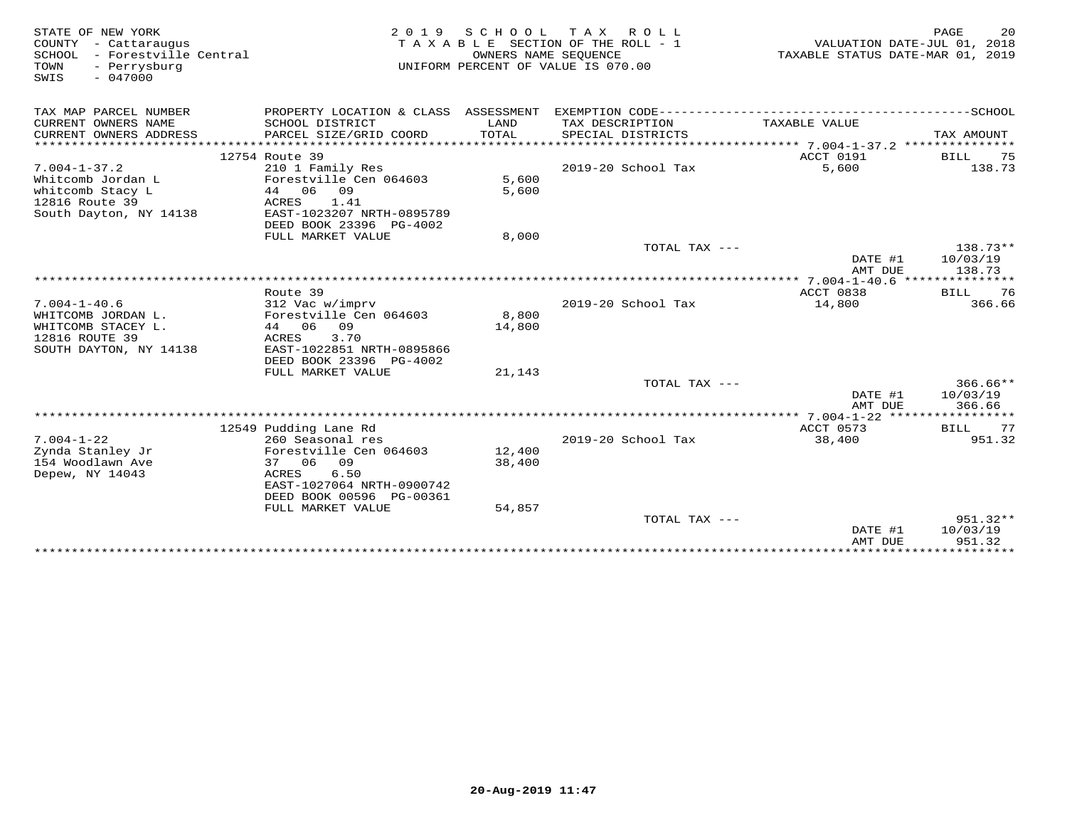| STATE OF NEW YORK<br>COUNTY - Cattaraugus<br>- Forestville Central<br>SCHOOL<br>- Perrysburg<br>TOWN<br>SWIS<br>$-047000$ | 2 0 1 9                                                                                                                                               | S C H O O L<br>OWNERS NAME SEQUENCE | T A X<br>R O L L<br>TAXABLE SECTION OF THE ROLL - 1<br>UNIFORM PERCENT OF VALUE IS 070.00 |                    | PAGE<br>20<br>VALUATION DATE-JUL 01, 2018<br>TAXABLE STATUS DATE-MAR 01, 2019 |
|---------------------------------------------------------------------------------------------------------------------------|-------------------------------------------------------------------------------------------------------------------------------------------------------|-------------------------------------|-------------------------------------------------------------------------------------------|--------------------|-------------------------------------------------------------------------------|
| TAX MAP PARCEL NUMBER                                                                                                     | PROPERTY LOCATION & CLASS ASSESSMENT                                                                                                                  |                                     | EXEMPTION CODE-----------------                                                           |                    | ----------------SCHOOL                                                        |
| CURRENT OWNERS NAME<br>CURRENT OWNERS ADDRESS                                                                             | SCHOOL DISTRICT<br>PARCEL SIZE/GRID COORD                                                                                                             | LAND<br>TOTAL                       | TAX DESCRIPTION<br>SPECIAL DISTRICTS                                                      | TAXABLE VALUE      | TAX AMOUNT                                                                    |
|                                                                                                                           | 12754 Route 39                                                                                                                                        |                                     |                                                                                           | ACCT 0191          | BILL<br>75                                                                    |
| $7.004 - 1 - 37.2$                                                                                                        | 210 1 Family Res                                                                                                                                      |                                     | 2019-20 School Tax                                                                        | 5,600              | 138.73                                                                        |
| Whitcomb Jordan L<br>whitcomb Stacy L<br>12816 Route 39<br>South Dayton, NY 14138                                         | Forestville Cen 064603<br>44 06<br>09<br>ACRES<br>1.41<br>EAST-1023207 NRTH-0895789<br>DEED BOOK 23396 PG-4002                                        | 5,600<br>5,600                      |                                                                                           |                    |                                                                               |
|                                                                                                                           | FULL MARKET VALUE                                                                                                                                     | 8,000                               |                                                                                           |                    |                                                                               |
|                                                                                                                           |                                                                                                                                                       |                                     | TOTAL TAX ---                                                                             | DATE #1<br>AMT DUE | 138.73**<br>10/03/19<br>138.73                                                |
|                                                                                                                           |                                                                                                                                                       |                                     |                                                                                           |                    |                                                                               |
|                                                                                                                           | Route 39                                                                                                                                              |                                     |                                                                                           | ACCT 0838          | 76<br><b>BILL</b>                                                             |
| $7.004 - 1 - 40.6$<br>WHITCOMB JORDAN L.<br>WHITCOMB STACEY L.<br>12816 ROUTE 39<br>SOUTH DAYTON, NY 14138                | 312 Vac w/imprv<br>Forestville Cen 064603<br>44 06<br>09<br>3.70<br>ACRES<br>EAST-1022851 NRTH-0895866<br>DEED BOOK 23396 PG-4002                     | 8,800<br>14,800                     | 2019-20 School Tax                                                                        | 14,800             | 366.66                                                                        |
|                                                                                                                           | FULL MARKET VALUE                                                                                                                                     | 21,143                              |                                                                                           |                    |                                                                               |
|                                                                                                                           |                                                                                                                                                       |                                     | TOTAL TAX ---                                                                             | DATE #1<br>AMT DUE | $366.66**$<br>10/03/19<br>366.66                                              |
|                                                                                                                           |                                                                                                                                                       |                                     |                                                                                           |                    |                                                                               |
|                                                                                                                           | 12549 Pudding Lane Rd                                                                                                                                 |                                     |                                                                                           | ACCT 0573          | 77<br>BILL                                                                    |
| $7.004 - 1 - 22$<br>Zynda Stanley Jr<br>154 Woodlawn Ave<br>Depew, NY 14043                                               | 260 Seasonal res<br>Forestville Cen 064603<br>37 06 09<br>ACRES<br>6.50<br>EAST-1027064 NRTH-0900742<br>DEED BOOK 00596 PG-00361<br>FULL MARKET VALUE | 12,400<br>38,400<br>54,857          | 2019-20 School Tax                                                                        | 38,400             | 951.32                                                                        |
|                                                                                                                           |                                                                                                                                                       |                                     | TOTAL TAX ---                                                                             | DATE #1<br>AMT DUE | $951.32**$<br>10/03/19<br>951.32                                              |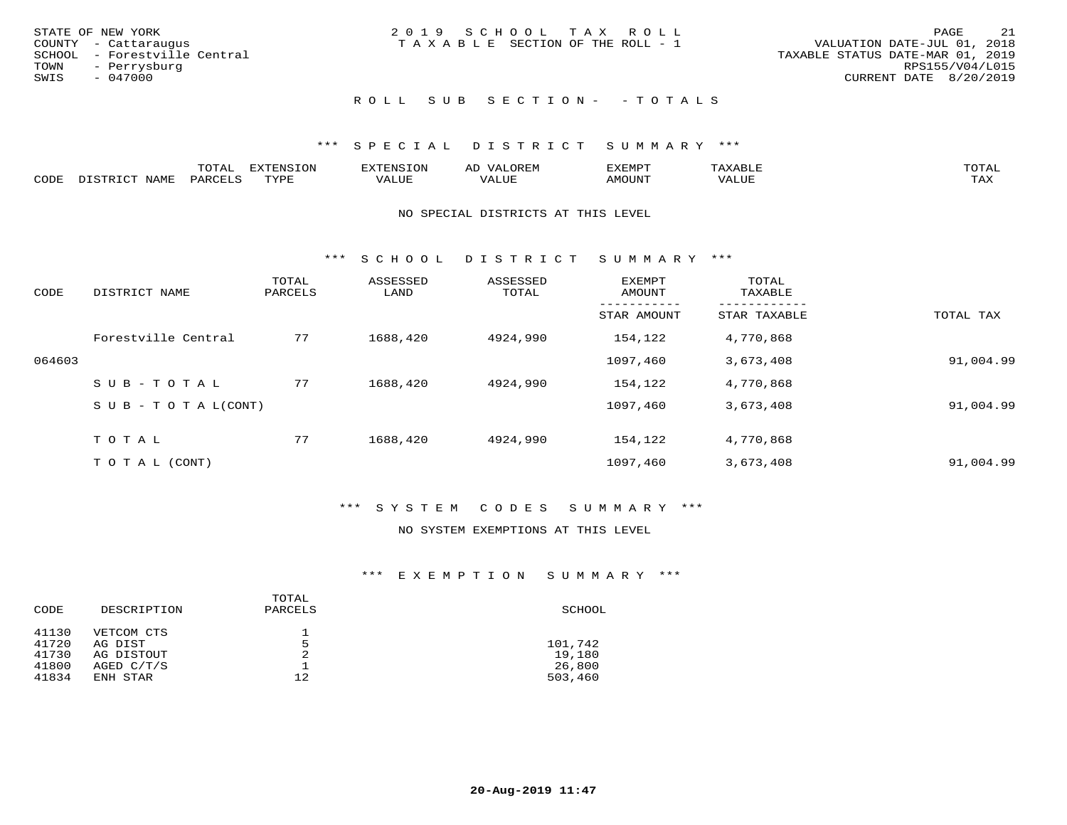|      | STATE OF NEW YORK            | 2019 SCHOOL TAX ROLL            |  |                                  |                 | PAGE | - 21 |
|------|------------------------------|---------------------------------|--|----------------------------------|-----------------|------|------|
|      | COUNTY - Cattaraugus         | TAXABLE SECTION OF THE ROLL - 1 |  | VALUATION DATE-JUL 01, 2018      |                 |      |      |
|      | SCHOOL - Forestville Central |                                 |  | TAXABLE STATUS DATE-MAR 01, 2019 |                 |      |      |
|      | TOWN - Perrysburg            |                                 |  |                                  | RPS155/V04/L015 |      |      |
| SWIS | - 047000                     |                                 |  | CURRENT DATE 8/20/2019           |                 |      |      |
|      |                              |                                 |  |                                  |                 |      |      |

### ROLL SUB SECTION - - TOTALS

### \*\*\* S P E C I A L D I S T R I C T S U M M A R Y \*\*\*

|      |                      | ----           | <b>FYTFNSION</b><br>- 75 | <b>FNC</b>     | ᅺᅜᄓ                      | SXEMPT | $\Delta$<br>.                  | $m \wedge m \wedge n$ |
|------|----------------------|----------------|--------------------------|----------------|--------------------------|--------|--------------------------------|-----------------------|
| CODE | <b>NTAMT</b><br>⊥∙⊥⊥ | D.ODT.<br>PARL | $m \tau \tau m$<br>.     | T T T<br>ALUF: | , <del>,</del> , , , , , | MOUN.  | , 77 T TT <del>D</del><br>ALUE | TAX                   |

#### NO SPECIAL DISTRICTS AT THIS LEVEL

\*\*\* S C H O O L D I S T R I C T S U M M A R Y \*\*\*

| CODE   | DISTRICT NAME                    | TOTAL<br>PARCELS | ASSESSED<br>LAND | ASSESSED<br>TOTAL | EXEMPT<br>AMOUNT | TOTAL<br>TAXABLE |           |
|--------|----------------------------------|------------------|------------------|-------------------|------------------|------------------|-----------|
|        |                                  |                  |                  |                   | STAR AMOUNT      | STAR TAXABLE     | TOTAL TAX |
|        | Forestville Central              | 77               | 1688,420         | 4924,990          | 154,122          | 4,770,868        |           |
| 064603 |                                  |                  |                  |                   | 1097,460         | 3,673,408        | 91,004.99 |
|        | SUB-TOTAL                        | 77               | 1688,420         | 4924,990          | 154,122          | 4,770,868        |           |
|        | $S \cup B - T \cup T A L (CONT)$ |                  |                  |                   | 1097,460         | 3,673,408        | 91,004.99 |
|        | TOTAL                            | 77               | 1688,420         | 4924,990          | 154,122          | 4,770,868        |           |
|        | T O T A L (CONT)                 |                  |                  |                   | 1097,460         | 3,673,408        | 91,004.99 |

### \*\*\* S Y S T E M C O D E S S U M M A R Y \*\*\*

### NO SYSTEM EXEMPTIONS AT THIS LEVEL

| CODE  | DESCRIPTION | TOTAL<br>PARCELS | SCHOOL  |
|-------|-------------|------------------|---------|
| 41130 | VETCOM CTS  |                  |         |
| 41720 | AG DIST     | 5                | 101,742 |
| 41730 | AG DISTOUT  | 2                | 19,180  |
| 41800 | AGED C/T/S  |                  | 26,800  |
| 41834 | ENH STAR    | 12.              | 503,460 |
|       |             |                  |         |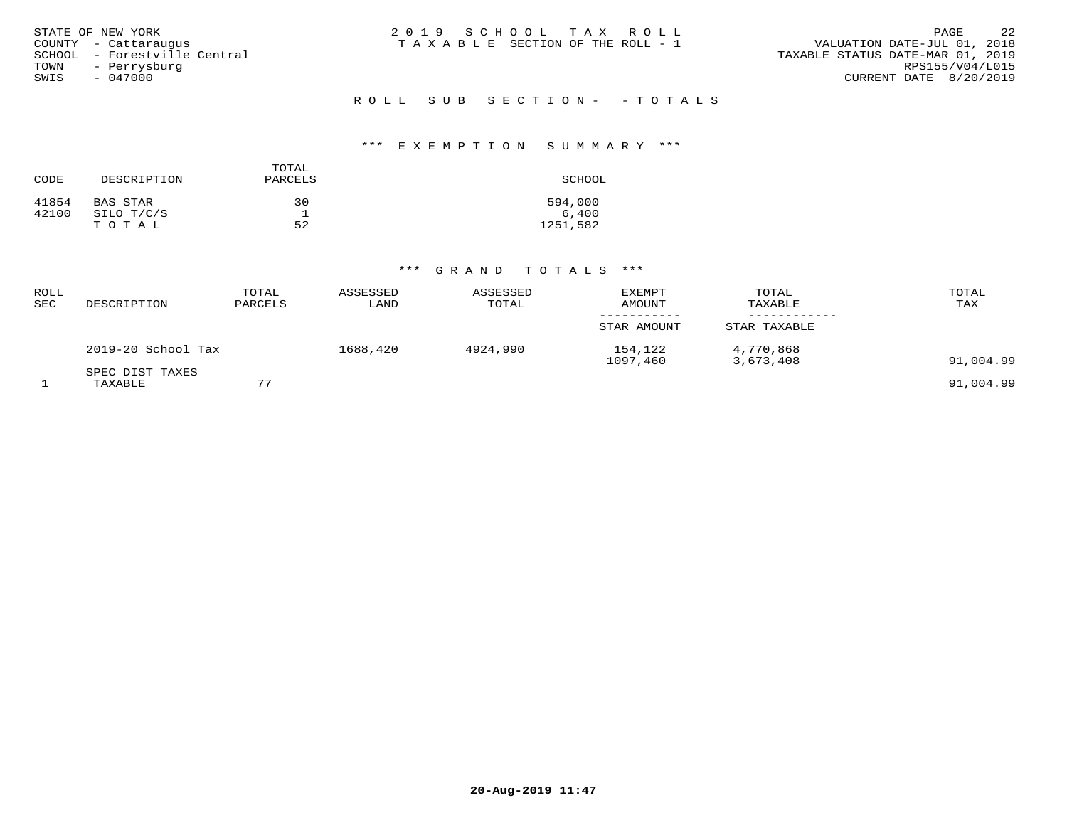| STATE OF NEW YORK            | 2019 SCHOOL TAX ROLL                  | 2.2<br>PAGE                      |
|------------------------------|---------------------------------------|----------------------------------|
| COUNTY - Cattaraugus         | T A X A B L E SECTION OF THE ROLL - 1 | VALUATION DATE-JUL 01, 2018      |
| SCHOOL - Forestville Central |                                       | TAXABLE STATUS DATE-MAR 01, 2019 |
| TOWN<br>- Perrysburg         |                                       | RPS155/V04/L015                  |
| SWIS<br>$-047000$            |                                       | CURRENT DATE 8/20/2019           |
|                              |                                       |                                  |
|                              | ROLL SUB SECTION- - TOTALS            |                                  |

### \*\*\* E X E M P T I O N S U M M A R Y \*\*\*

| CODE  | DESCRIPTION | TOTAL<br>PARCELS | SCHOOL   |
|-------|-------------|------------------|----------|
| 41854 | BAS STAR    | 30               | 594,000  |
| 42100 | SILO T/C/S  |                  | 6,400    |
|       | TOTAL       | 52               | 1251,582 |

| ROLL<br>SEC | DESCRIPTION                | TOTAL<br>PARCELS | ASSESSED<br>LAND | ASSESSED<br>TOTAL | <b>EXEMPT</b><br>AMOUNT | TOTAL<br>TAXABLE       | TOTAL<br>TAX |
|-------------|----------------------------|------------------|------------------|-------------------|-------------------------|------------------------|--------------|
|             |                            |                  |                  |                   | STAR AMOUNT             | STAR TAXABLE           |              |
|             | 2019-20 School Tax         |                  | 1688,420         | 4924,990          | 154,122<br>1097,460     | 4,770,868<br>3,673,408 | 91,004.99    |
|             | SPEC DIST TAXES<br>TAXABLE | 77               |                  |                   |                         |                        | 91,004.99    |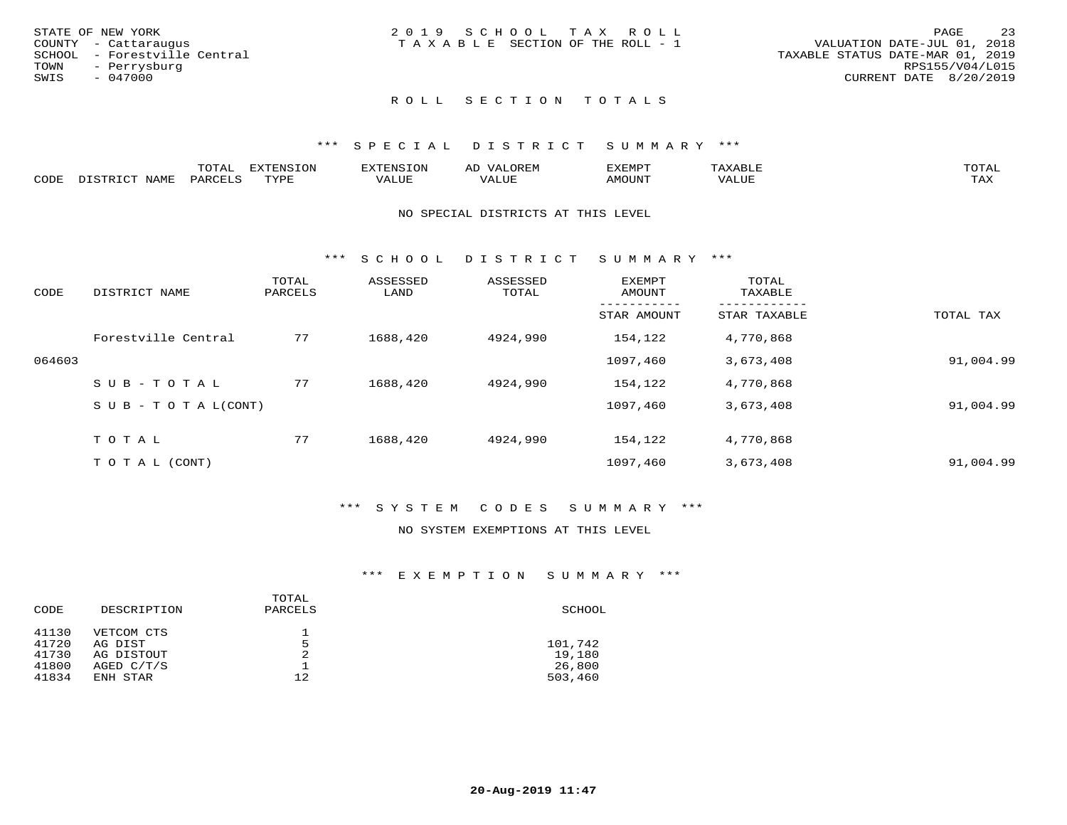|      | STATE OF NEW YORK            | 2019 SCHOOL TAX ROLL                  | PAGE                        | 23 |
|------|------------------------------|---------------------------------------|-----------------------------|----|
|      | COUNTY - Cattaraugus         | T A X A B L E SECTION OF THE ROLL - 1 | VALUATION DATE-JUL 01, 2018 |    |
|      | SCHOOL - Forestville Central | TAXABLE STATUS DATE-MAR 01, 2019      |                             |    |
| TOWN | - Perrysburg                 |                                       | RPS155/V04/L015             |    |
| SWIS | - 047000                     |                                       | CURRENT DATE 8/20/2019      |    |
|      |                              |                                       |                             |    |

### ROLL SECTION TOTALS

### \*\*\* S P E C I A L D I S T R I C T S U M M A R Y \*\*\*

|      | $m \wedge m \wedge n$<br>.UTAL          | <b>EXTENSION</b> | BON S | OR∏N<br>AĽ<br>11 J I V I LI | 'XEMPT        | AAABLE            | $m \wedge m \wedge n$ |
|------|-----------------------------------------|------------------|-------|-----------------------------|---------------|-------------------|-----------------------|
| CODE | $NT\Delta MT$<br>$DA$ $R$ $R$ $T$ . $C$ | <b>TVDL</b>      | VALUE | $- - - -$<br>.<br>. Alur    | <b>AMOUNT</b> | VALU <sub>r</sub> | TA Y<br>⊥∟∆∆          |

#### NO SPECIAL DISTRICTS AT THIS LEVEL

\*\*\* S C H O O L D I S T R I C T S U M M A R Y \*\*\*

| CODE   | DISTRICT NAME                    | TOTAL<br>PARCELS | ASSESSED<br>LAND | ASSESSED<br>TOTAL | <b>EXEMPT</b><br>AMOUNT | TOTAL<br>TAXABLE |           |
|--------|----------------------------------|------------------|------------------|-------------------|-------------------------|------------------|-----------|
|        |                                  |                  |                  |                   | STAR AMOUNT             | STAR TAXABLE     | TOTAL TAX |
|        | Forestville Central              | 77               | 1688,420         | 4924,990          | 154,122                 | 4,770,868        |           |
| 064603 |                                  |                  |                  |                   | 1097,460                | 3,673,408        | 91,004.99 |
|        | SUB-TOTAL                        | 77               | 1688,420         | 4924,990          | 154,122                 | 4,770,868        |           |
|        | $S \cup B - T \cup T A L (CONT)$ |                  |                  |                   | 1097,460                | 3,673,408        | 91,004.99 |
|        | TOTAL                            | 77               | 1688,420         | 4924,990          | 154,122                 | 4,770,868        |           |
|        | T O T A L (CONT)                 |                  |                  |                   | 1097,460                | 3,673,408        | 91,004.99 |

### \*\*\* S Y S T E M C O D E S S U M M A R Y \*\*\*

#### NO SYSTEM EXEMPTIONS AT THIS LEVEL

| CODE  | DESCRIPTION | TOTAL<br>PARCELS | SCHOOL  |
|-------|-------------|------------------|---------|
| 41130 | VETCOM CTS  |                  |         |
| 41720 | AG DIST     | 5                | 101,742 |
| 41730 | AG DISTOUT  | 2                | 19,180  |
| 41800 | AGED C/T/S  |                  | 26,800  |
| 41834 | ENH STAR    | 12.              | 503,460 |
|       |             |                  |         |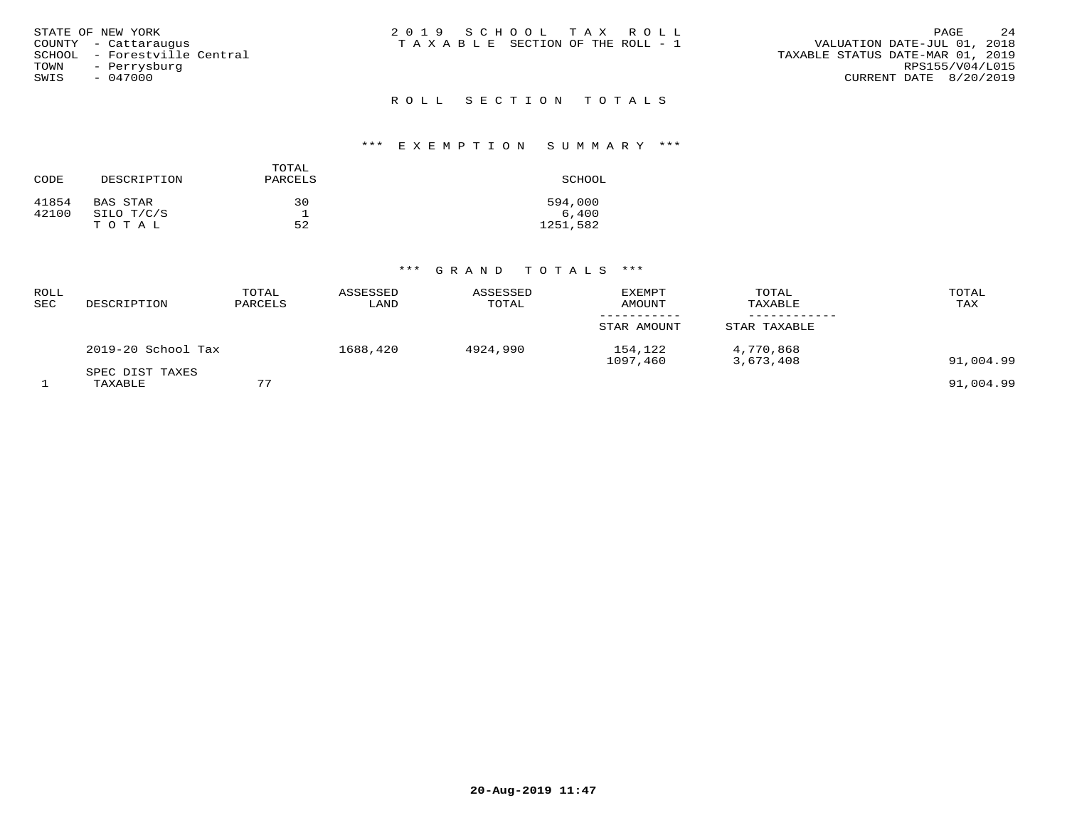| STATE OF NEW YORK            | 2019 SCHOOL TAX ROLL            | 2.4<br>PAGE                      |
|------------------------------|---------------------------------|----------------------------------|
| COUNTY - Cattaraugus         | TAXABLE SECTION OF THE ROLL - 1 | VALUATION DATE-JUL 01, 2018      |
| SCHOOL - Forestville Central |                                 | TAXABLE STATUS DATE-MAR 01, 2019 |
| TOWN<br>- Perrysburg         |                                 | RPS155/V04/L015                  |
| SWIS<br>- 047000             |                                 | CURRENT DATE 8/20/2019           |
|                              | ROLL SECTION TOTALS             |                                  |

### \*\*\* E X E M P T I O N S U M M A R Y \*\*\*

| CODE  | DESCRIPTION | TOTAL<br>PARCELS | SCHOOL   |
|-------|-------------|------------------|----------|
| 41854 | BAS STAR    | 30               | 594,000  |
| 42100 | SILO T/C/S  |                  | 6,400    |
|       | TOTAL       | 52               | 1251,582 |

| ROLL<br>SEC | DESCRIPTION                | TOTAL<br>PARCELS | ASSESSED<br>LAND | ASSESSED<br>TOTAL | EXEMPT<br>AMOUNT    | TOTAL<br>TAXABLE       | TOTAL<br>TAX |
|-------------|----------------------------|------------------|------------------|-------------------|---------------------|------------------------|--------------|
|             |                            |                  |                  |                   | STAR AMOUNT         | STAR TAXABLE           |              |
|             | 2019-20 School Tax         |                  | 1688,420         | 4924,990          | 154,122<br>1097,460 | 4,770,868<br>3,673,408 | 91,004.99    |
|             | SPEC DIST TAXES<br>TAXABLE | 77               |                  |                   |                     |                        | 91,004.99    |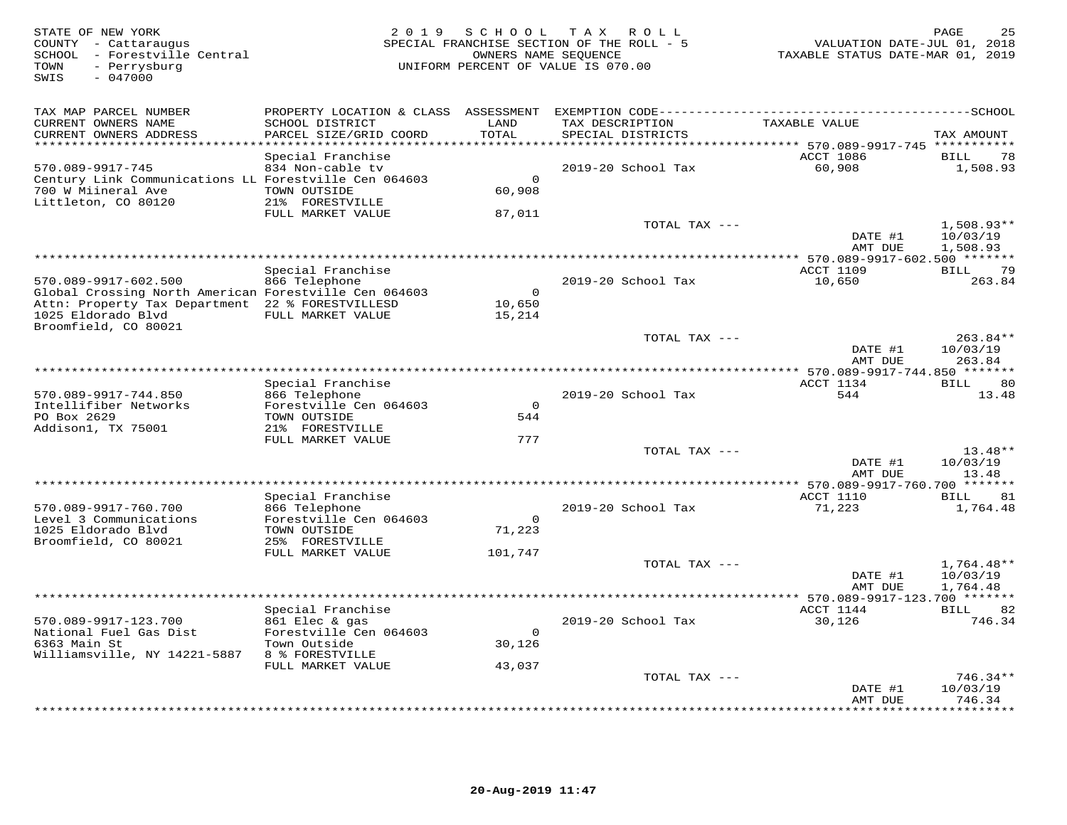| STATE OF NEW YORK<br>COUNTY - Cattaraugus<br>SCHOOL - Forestville Central<br>- Perrysburg<br>TOWN<br>$-047000$<br>SWIS | 2 0 1 9                                                 | SCHOOL             | T A X<br>R O L L<br>SPECIAL FRANCHISE SECTION OF THE ROLL - 5<br>OWNERS NAME SEQUENCE<br>UNIFORM PERCENT OF VALUE IS 070.00 | VALUATION DATE-JUL 01, 2018<br>TAXABLE STATUS DATE-MAR 01, 2019 | PAGE                     |
|------------------------------------------------------------------------------------------------------------------------|---------------------------------------------------------|--------------------|-----------------------------------------------------------------------------------------------------------------------------|-----------------------------------------------------------------|--------------------------|
| TAX MAP PARCEL NUMBER<br>CURRENT OWNERS NAME                                                                           | PROPERTY LOCATION & CLASS ASSESSMENT<br>SCHOOL DISTRICT | LAND               | TAX DESCRIPTION                                                                                                             | TAXABLE VALUE                                                   |                          |
| CURRENT OWNERS ADDRESS<br>*********************                                                                        | PARCEL SIZE/GRID COORD<br>************************      | TOTAL              | SPECIAL DISTRICTS                                                                                                           |                                                                 | TAX AMOUNT               |
|                                                                                                                        | Special Franchise                                       |                    |                                                                                                                             | ACCT 1086                                                       | 78<br>BILL               |
| 570.089-9917-745                                                                                                       | 834 Non-cable tv                                        |                    | 2019-20 School Tax                                                                                                          | 60,908                                                          | 1,508.93                 |
| Century Link Communications LL Forestville Cen 064603<br>700 W Miineral Ave                                            | TOWN OUTSIDE                                            | $\circ$<br>60,908  |                                                                                                                             |                                                                 |                          |
| Littleton, CO 80120                                                                                                    | 21% FORESTVILLE                                         |                    |                                                                                                                             |                                                                 |                          |
|                                                                                                                        | FULL MARKET VALUE                                       | 87,011             |                                                                                                                             |                                                                 |                          |
|                                                                                                                        |                                                         |                    | TOTAL TAX ---                                                                                                               |                                                                 | $1,508.93**$             |
|                                                                                                                        |                                                         |                    |                                                                                                                             | DATE #1<br>AMT DUE                                              | 10/03/19<br>1,508.93     |
|                                                                                                                        |                                                         |                    |                                                                                                                             |                                                                 |                          |
| 570.089-9917-602.500                                                                                                   | Special Franchise<br>866 Telephone                      |                    | 2019-20 School Tax                                                                                                          | ACCT 1109<br>10,650                                             | BILL<br>79<br>263.84     |
| Global Crossing North American Forestville Cen 064603                                                                  |                                                         | $\Omega$           |                                                                                                                             |                                                                 |                          |
| Attn: Property Tax Department 22 % FORESTVILLESD                                                                       |                                                         | 10,650             |                                                                                                                             |                                                                 |                          |
| 1025 Eldorado Blvd<br>Broomfield, CO 80021                                                                             | FULL MARKET VALUE                                       | 15,214             |                                                                                                                             |                                                                 |                          |
|                                                                                                                        |                                                         |                    | TOTAL TAX ---                                                                                                               |                                                                 | 263.84**                 |
|                                                                                                                        |                                                         |                    |                                                                                                                             | DATE #1<br>AMT DUE                                              | 10/03/19                 |
|                                                                                                                        |                                                         |                    |                                                                                                                             | ** 570.089-9917-744.850 *******                                 | 263.84                   |
|                                                                                                                        | Special Franchise                                       |                    |                                                                                                                             | ACCT 1134                                                       | 80<br>BILL               |
| 570.089-9917-744.850<br>Intellifiber Networks                                                                          | 866 Telephone<br>Forestville Cen 064603                 | $\Omega$           | 2019-20 School Tax                                                                                                          | 544                                                             | 13.48                    |
| PO Box 2629                                                                                                            | TOWN OUTSIDE                                            | 544                |                                                                                                                             |                                                                 |                          |
| Addison1, TX 75001                                                                                                     | 21% FORESTVILLE                                         |                    |                                                                                                                             |                                                                 |                          |
|                                                                                                                        | FULL MARKET VALUE                                       | 777                | TOTAL TAX ---                                                                                                               |                                                                 | $13.48**$                |
|                                                                                                                        |                                                         |                    |                                                                                                                             | DATE #1                                                         | 10/03/19                 |
|                                                                                                                        |                                                         |                    | ****************                                                                                                            | AMT DUE                                                         | 13.48                    |
|                                                                                                                        | Special Franchise                                       |                    |                                                                                                                             | * 570.089-9917-760.700 *******<br>ACCT 1110                     | 81<br>BILL               |
| 570.089-9917-760.700                                                                                                   | 866 Telephone                                           |                    | 2019-20 School Tax                                                                                                          | 71,223                                                          | 1,764.48                 |
| Level 3 Communications<br>1025 Eldorado Blvd                                                                           | Forestville Cen 064603<br>TOWN OUTSIDE                  | $\Omega$<br>71,223 |                                                                                                                             |                                                                 |                          |
| Broomfield, CO 80021                                                                                                   | 25% FORESTVILLE                                         |                    |                                                                                                                             |                                                                 |                          |
|                                                                                                                        | FULL MARKET VALUE                                       | 101,747            |                                                                                                                             |                                                                 |                          |
|                                                                                                                        |                                                         |                    | TOTAL TAX ---                                                                                                               | DATE #1                                                         | $1,764.48**$<br>10/03/19 |
|                                                                                                                        |                                                         |                    |                                                                                                                             | AMT DUE                                                         | 1,764.48                 |
|                                                                                                                        |                                                         |                    |                                                                                                                             |                                                                 |                          |
| 570.089-9917-123.700                                                                                                   | Special Franchise<br>861 Elec & gas                     |                    | 2019-20 School Tax                                                                                                          | ACCT 1144<br>30,126                                             | BILL 82<br>746.34        |
| National Fuel Gas Dist                                                                                                 | Forestville Cen 064603                                  | $\Omega$           |                                                                                                                             |                                                                 |                          |
| 6363 Main St                                                                                                           | Town Outside                                            | 30,126             |                                                                                                                             |                                                                 |                          |
| Williamsville, NY 14221-5887                                                                                           | 8 % FORESTVILLE<br>FULL MARKET VALUE                    | 43,037             |                                                                                                                             |                                                                 |                          |
|                                                                                                                        |                                                         |                    | TOTAL TAX ---                                                                                                               |                                                                 | $746.34**$               |
|                                                                                                                        |                                                         |                    |                                                                                                                             | DATE #1                                                         | 10/03/19                 |
|                                                                                                                        |                                                         |                    |                                                                                                                             | AMT DUE                                                         | 746.34<br>.              |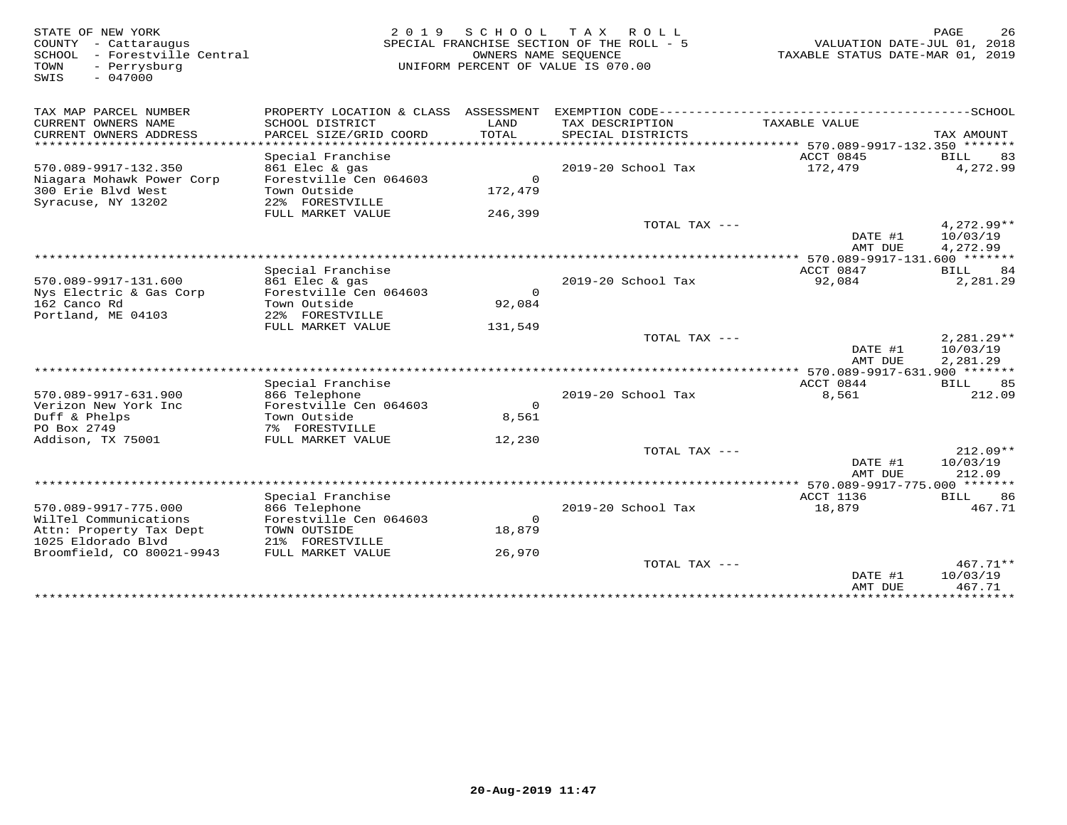36 STATE OF NEW YORK DAGE 26 (2019 SCHOOL TAX ROLL) PAGE 26 PAGE 26 (2019 SCHOOL TAX ROLL)<br>COUNTY - Cattaraugus (2018) SPECIAL FRANCHISE SECTION OF THE ROLL - 5<br>SPECIAL FRANCHISE SUME SOURCE OF NEW COUNTY (2019 TAXABLE STA SWIS - 047000TAX MAP PARCEL NUMBER PROPERTY LOCATION & CLASS ASSESSMENT EXEMPTION CODE------------------------------------------SCHOOL CURRENT OWNERS NAME SCHOOL DISTRICT LAND TAX DESCRIPTION TAXABLE VALUE CURRENT OWNERS ADDRESS PARCEL SIZE/GRID COORD TOTAL SPECIAL DISTRICTS TAX AMOUNT \*\*\*\*\*\*\*\*\*\*\*\*\*\*\*\*\*\*\*\*\*\*\*\*\*\*\*\*\*\*\*\*\*\*\*\*\*\*\*\*\*\*\*\*\*\*\*\*\*\*\*\*\*\*\*\*\*\*\*\*\*\*\*\*\*\*\*\*\*\*\*\*\*\*\*\*\*\*\*\*\*\*\*\*\*\*\*\*\*\*\*\*\*\*\*\*\*\*\*\*\*\*\* 570.089-9917-132.350 \*\*\*\*\*\*\*Special Franchise ACCT 0845 BILL 83 570.089-9917-132.350 861 Elec & gas 2019-20 School Tax 172,479 4,272.99Niagara Mohawk Power Corp Forestville Cen 064603 0 300 Erie Blvd West Town Outside 172,479 Syracuse, NY 13202 22% FORESTVILLE FULL MARKET VALUE 246,399TOTAL TAX  $---$  4,272.99\*\* DATE #1 10/03/19<br>2010 10:03/19 AMT DUE 4,272.99 \*\*\*\*\*\*\*\*\*\*\*\*\*\*\*\*\*\*\*\*\*\*\*\*\*\*\*\*\*\*\*\*\*\*\*\*\*\*\*\*\*\*\*\*\*\*\*\*\*\*\*\*\*\*\*\*\*\*\*\*\*\*\*\*\*\*\*\*\*\*\*\*\*\*\*\*\*\*\*\*\*\*\*\*\*\*\*\*\*\*\*\*\*\*\*\*\*\*\*\*\*\*\* 570.089-9917-131.600 \*\*\*\*\*\*\*ACCT 0847 BILL 84 Special Franchise ACCT 0847 BILL 84 2,281.29 570.089-9917-131.600 861 Elec & gas 2019-20 School Tax 92,084 2,281.29Nys Electric & Gas Corp Forestville Cen 064603 0 162 Canco Rd Town Outside 92,084162 Canco Rd
Portland, ME 04103<br>
Portland, ME 04103<br>
22% FORESTVILLE FULL MARKET VALUE 131,549TOTAL TAX  $---$  2,281.29\*\*  $\overline{\text{DATE}}$  #1  $10/03/19$ AMT DUE 2,281.29 AMT DUE 2,281.29 \*\*\*\*\*\*\*\*\*\*\*\*\*\*\*\*\*\*\*\*\*\*\*\*\*\*\*\*\*\*\*\*\*\*\*\*\*\*\*\*\*\*\*\*\*\*\*\*\*\*\*\*\*\*\*\*\*\*\*\*\*\*\*\*\*\*\*\*\*\*\*\*\*\*\*\*\*\*\*\*\*\*\*\*\*\*\*\*\*\*\*\*\*\*\*\*\*\*\*\*\*\*\* 570.089-9917-631.900 \*\*\*\*\*\*\*Special Franchise ACCT 0844 BILL 85 570.089-9917-631.900 866 Telephone 2019-20 School Tax 8,561 212.09Verizon New York Inc Forestville Cen 064603 08,561 Duff & Phelps Town Outside 8,561PO Box 2749 7% FORESTVILLE Addison, TX 75001 FULL MARKET VALUE 12,230 TOTAL TAX --- 212.09\*\* $\overline{\text{DATE}}$  #1  $10/03/19$ 212.09 AMT DUE 212.09 \*\*\*\*\*\*\*\*\*\*\*\*\*\*\*\*\*\*\*\*\*\*\*\*\*\*\*\*\*\*\*\*\*\*\*\*\*\*\*\*\*\*\*\*\*\*\*\*\*\*\*\*\*\*\*\*\*\*\*\*\*\*\*\*\*\*\*\*\*\*\*\*\*\*\*\*\*\*\*\*\*\*\*\*\*\*\*\*\*\*\*\*\*\*\*\*\*\*\*\*\*\*\* 570.089-9917-775.000 \*\*\*\*\*\*\*Special Franchise ACCT 1136 BILL 86 570.089-9917-775.000 866 Telephone 2019-20 School Tax 18,879 467.71<br>
WilTel Communications Forestville Cen 064603 0<br>
Attn: Property Tax Dept TOWN OUTSIDE 18,879<br>
1025 Eldorado Blvd 21% FORESTVILLE 26,970 70TAL TAX --- 467. DATE #1 10/03/19 AMT DUE 467.71\*\*\*\*\*\*\*\*\*\*\*\*\*\*\*\*\*\*\*\*\*\*\*\*\*\*\*\*\*\*\*\*\*\*\*\*\*\*\*\*\*\*\*\*\*\*\*\*\*\*\*\*\*\*\*\*\*\*\*\*\*\*\*\*\*\*\*\*\*\*\*\*\*\*\*\*\*\*\*\*\*\*\*\*\*\*\*\*\*\*\*\*\*\*\*\*\*\*\*\*\*\*\*\*\*\*\*\*\*\*\*\*\*\*\*\*\*\*\*\*\*\*\*\*\*\*\*\*\*\*\*\*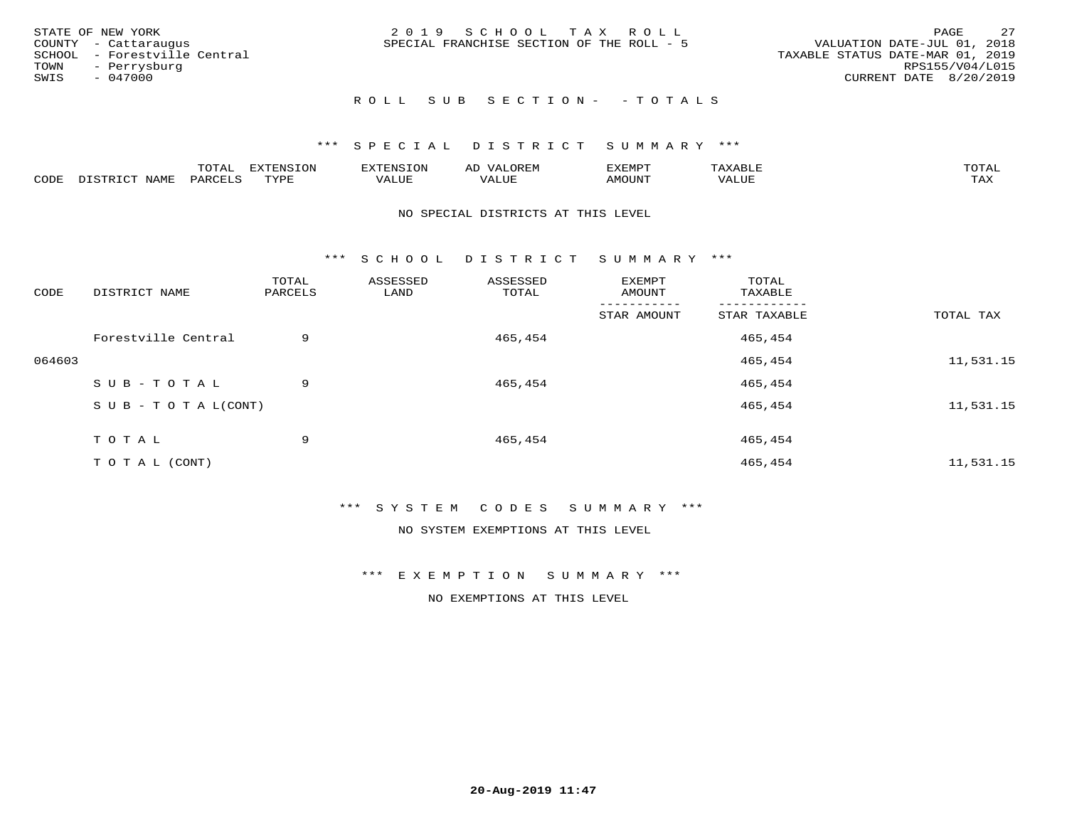|      | STATE OF NEW YORK            | 2019 SCHOOL TAX ROLL                                                     | PAGE            | - 27 |
|------|------------------------------|--------------------------------------------------------------------------|-----------------|------|
|      | COUNTY - Cattaraugus         | VALUATION DATE-JUL 01, 2018<br>SPECIAL FRANCHISE SECTION OF THE ROLL - 5 |                 |      |
|      | SCHOOL - Forestville Central | TAXABLE STATUS DATE-MAR 01, 2019                                         |                 |      |
|      | TOWN - Perrysburg            |                                                                          | RPS155/V04/L015 |      |
| SWIS | - 047000                     | CURRENT DATE 8/20/2019                                                   |                 |      |
|      |                              |                                                                          |                 |      |

### ROLL SUB SECTION - - TOTALS

### \*\*\* S P E C I A L D I S T R I C T S U M M A R Y \*\*\*

|      |         | ----                | $\cdots$ | <b>ENS</b> | ₩    | דסMדצי       |                   | $m \wedge m \wedge n$ |
|------|---------|---------------------|----------|------------|------|--------------|-------------------|-----------------------|
| CODE | ៶៲៳៲៴៲៷ | <b>ACTIVE</b><br>ΆR | TVDF     | ALUE       | ALUE | <b>NOUNT</b> | <b>TTT</b><br>⊐∪∟ | ГAX                   |

#### NO SPECIAL DISTRICTS AT THIS LEVEL

\*\*\* S C H O O L D I S T R I C T S U M M A R Y \*\*\*

| CODE   | DISTRICT NAME                    | TOTAL<br>PARCELS | ASSESSED<br>LAND | ASSESSED<br>TOTAL | EXEMPT<br>AMOUNT | TOTAL<br>TAXABLE |           |
|--------|----------------------------------|------------------|------------------|-------------------|------------------|------------------|-----------|
|        |                                  |                  |                  |                   | STAR AMOUNT      | STAR TAXABLE     | TOTAL TAX |
|        | Forestville Central              | 9                |                  | 465,454           |                  | 465,454          |           |
| 064603 |                                  |                  |                  |                   |                  | 465,454          | 11,531.15 |
|        | SUB-TOTAL                        | 9                |                  | 465,454           |                  | 465,454          |           |
|        | $S \cup B - T \cup T A L (CONT)$ |                  |                  |                   |                  | 465,454          | 11,531.15 |
|        | T O T A L                        | 9                |                  | 465,454           |                  | 465,454          |           |
|        | T O T A L (CONT)                 |                  |                  |                   |                  | 465,454          | 11,531.15 |

\*\*\* S Y S T E M C O D E S S U M M A R Y \*\*\*

NO SYSTEM EXEMPTIONS AT THIS LEVEL

\*\*\* E X E M P T I O N S U M M A R Y \*\*\*

NO EXEMPTIONS AT THIS LEVEL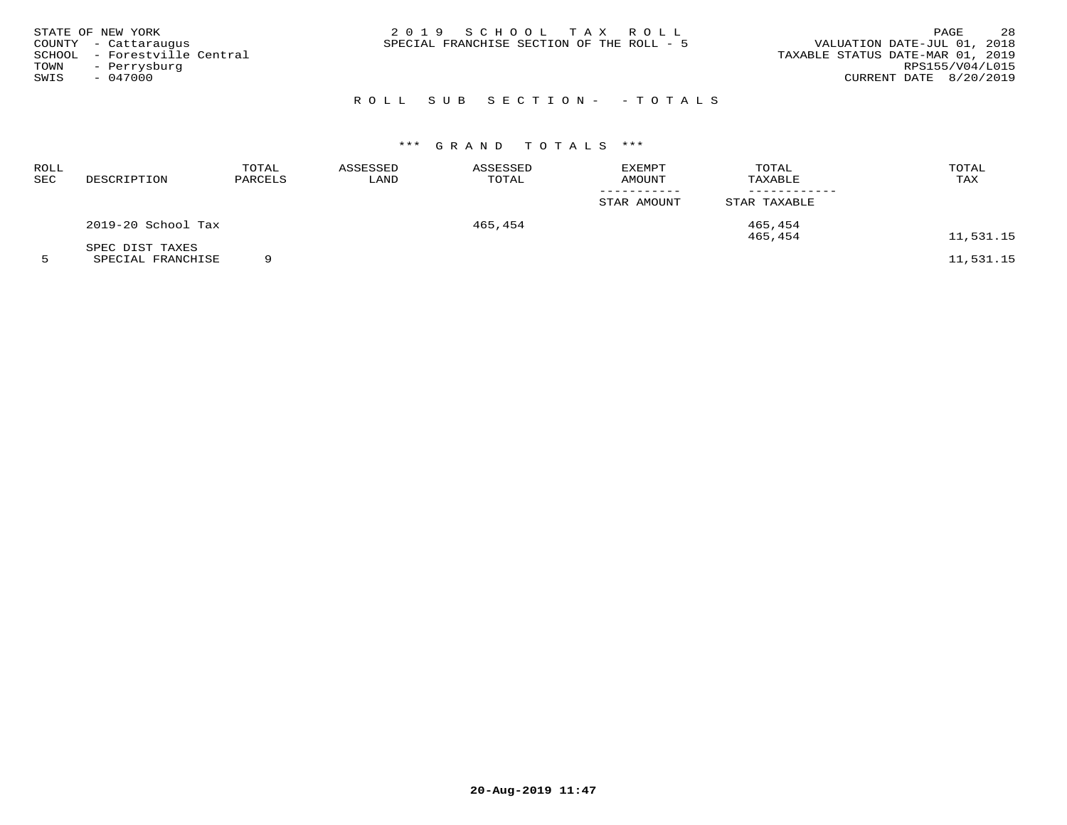| STATE OF NEW YORK<br>COUNTY - Cattaraugus<br>SCHOOL - Forestville Central<br>TOWN - Perrysburg<br>SWIS<br>$-047000$ | 2019 SCHOOL TAX ROLL<br>SPECIAL FRANCHISE SECTION OF THE ROLL - 5<br>TAXABLE STATUS DATE-MAR 01, 2019 | PAGE<br>VALUATION DATE-JUL 01, 2018<br>RPS155/V04/L015<br>CURRENT DATE 8/20/2019 | 28 |
|---------------------------------------------------------------------------------------------------------------------|-------------------------------------------------------------------------------------------------------|----------------------------------------------------------------------------------|----|
|                                                                                                                     | ROLL SUB SECTION- - TOTALS                                                                            |                                                                                  |    |

# \*\*\* G R A N D T O T A L S \*\*\*

| ROLL<br>SEC | DESCRIPTION        | TOTAL<br>PARCELS | ASSESSED<br>LAND | ASSESSED<br>TOTAL | <b>EXEMPT</b><br>AMOUNT | TOTAL<br>TAXABLE | TOTAL<br>TAX                                                                                                                           |
|-------------|--------------------|------------------|------------------|-------------------|-------------------------|------------------|----------------------------------------------------------------------------------------------------------------------------------------|
|             |                    |                  |                  |                   | STAR AMOUNT             | STAR TAXABLE     |                                                                                                                                        |
|             | 2019-20 School Tax |                  |                  | 465,454           |                         | 465,454          |                                                                                                                                        |
|             |                    |                  |                  |                   |                         | 465,454          | 11,531.15                                                                                                                              |
|             | SPEC DIST TAXES    | $\sim$           |                  |                   |                         |                  | $\overline{a}$ $\overline{a}$ $\overline{a}$ $\overline{a}$ $\overline{a}$ $\overline{a}$ $\overline{a}$ $\overline{a}$ $\overline{a}$ |

5 SPECIAL FRANCHISE 9 11,531.15

**20-Aug-2019 11:47**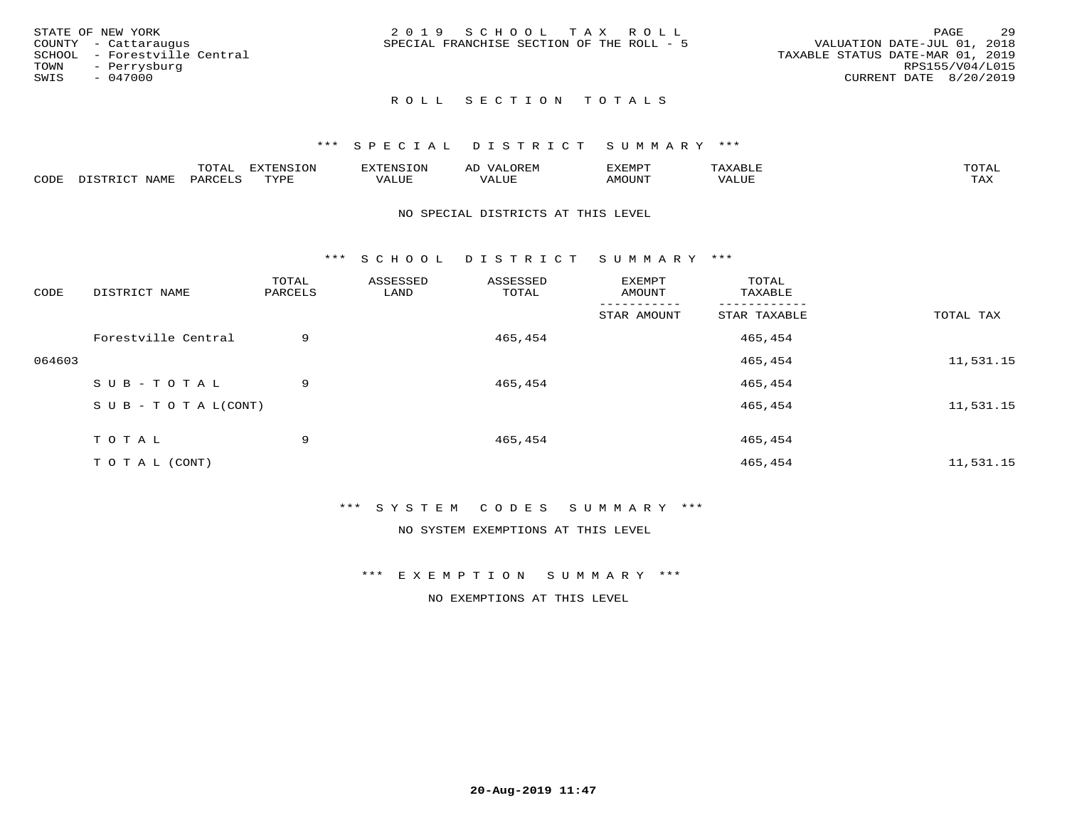| STATE OF NEW YORK            | 2019 SCHOOL TAX ROLL                      | 29<br>PAGE                       |
|------------------------------|-------------------------------------------|----------------------------------|
| COUNTY - Cattaraugus         | SPECIAL FRANCHISE SECTION OF THE ROLL - 5 | VALUATION DATE-JUL 01, 2018      |
| SCHOOL - Forestville Central |                                           | TAXABLE STATUS DATE-MAR 01, 2019 |
| TOWN<br>- Perrysburg         |                                           | RPS155/V04/L015                  |
| SWIS<br>- 047000             |                                           | CURRENT DATE 8/20/2019           |
|                              |                                           |                                  |

### ROLL SECTION TOTALS

### \*\*\* S P E C I A L D I S T R I C T S U M M A R Y \*\*\*

|      |                      | m∧m⊼ | <b>DVERMOTOM</b><br>LUI | TENSION       | ΑL<br>$\cdots$      | EXEMPT | $\Delta \times \Delta$<br>9 D.L | $m \wedge m \wedge n$<br>$\overline{a}$ |
|------|----------------------|------|-------------------------|---------------|---------------------|--------|---------------------------------|-----------------------------------------|
| CODE | <b>NTAMT</b><br>⊥∙⊥⊥ | PARC | <b>TVDL</b>             | T T T<br>ALUF | <b>TTT</b><br>'ALUE | MOUNT  | VALUE                           | $m \times r$<br>$+$ $  +$ $-$           |

#### NO SPECIAL DISTRICTS AT THIS LEVEL

\*\*\* S C H O O L D I S T R I C T S U M M A R Y \*\*\*

| CODE   | DISTRICT NAME                    | TOTAL<br>PARCELS | ASSESSED<br>LAND | ASSESSED<br>TOTAL | EXEMPT<br>AMOUNT | TOTAL<br>TAXABLE |           |
|--------|----------------------------------|------------------|------------------|-------------------|------------------|------------------|-----------|
|        |                                  |                  |                  |                   | STAR AMOUNT      | STAR TAXABLE     | TOTAL TAX |
|        | Forestville Central              | 9                |                  | 465,454           |                  | 465,454          |           |
| 064603 |                                  |                  |                  |                   |                  | 465,454          | 11,531.15 |
|        | SUB-TOTAL                        | 9                |                  | 465,454           |                  | 465,454          |           |
|        | $S \cup B - T \cup T A L (CONT)$ |                  |                  |                   |                  | 465,454          | 11,531.15 |
|        | TOTAL                            | 9                |                  | 465,454           |                  | 465,454          |           |
|        | T O T A L (CONT)                 |                  |                  |                   |                  | 465,454          | 11,531.15 |

### \*\*\* S Y S T E M C O D E S S U M M A R Y \*\*\*

NO SYSTEM EXEMPTIONS AT THIS LEVEL

\*\*\* E X E M P T I O N S U M M A R Y \*\*\*

NO EXEMPTIONS AT THIS LEVEL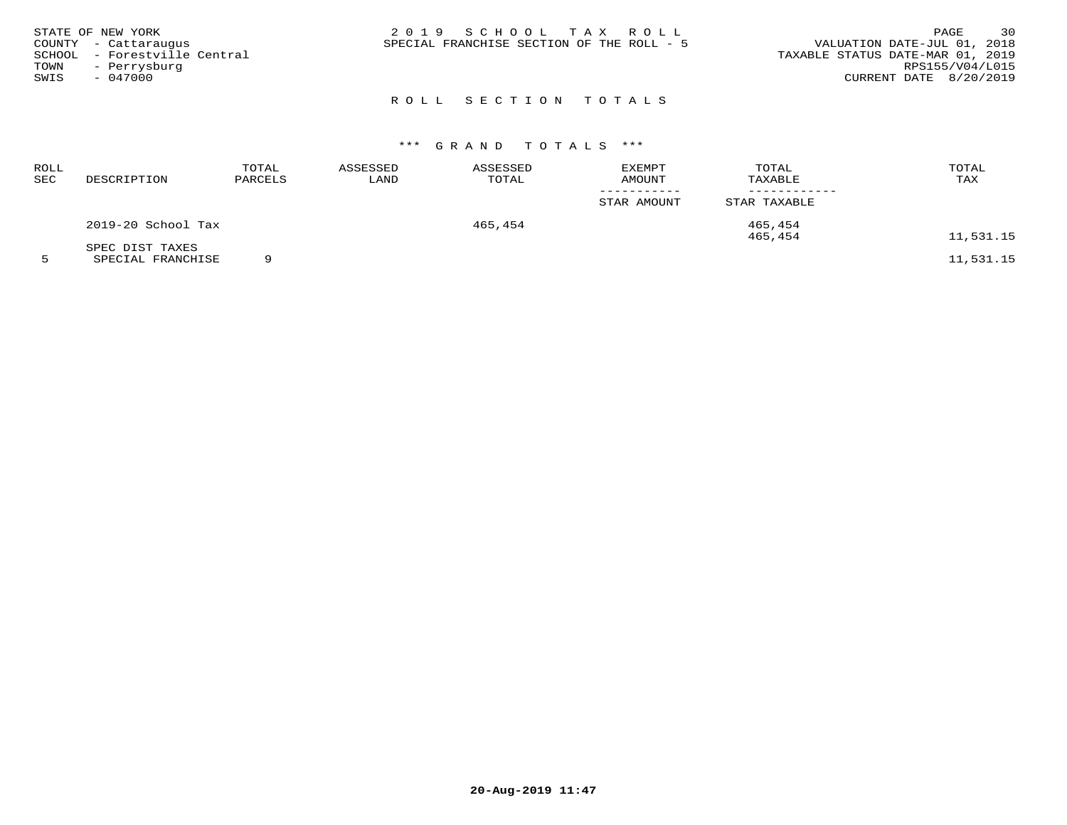|      | STATE OF NEW YORK            | 2019 SCHOOL TAX ROLL                      | 30<br>PAGE                       |
|------|------------------------------|-------------------------------------------|----------------------------------|
|      | COUNTY - Cattaraugus         | SPECIAL FRANCHISE SECTION OF THE ROLL - 5 | VALUATION DATE-JUL 01, 2018      |
|      | SCHOOL - Forestville Central |                                           | TAXABLE STATUS DATE-MAR 01, 2019 |
| TOWN | - Perrysburg                 |                                           | RPS155/V04/L015                  |
| SWIS | $-047000$                    |                                           | CURRENT DATE 8/20/2019           |
|      |                              |                                           |                                  |

# ROLL SECTION TOTALS

# \*\*\* G R A N D T O T A L S \*\*\*

| ROLL<br>SEC | DESCRIPTION        | TOTAL<br>PARCELS | ASSESSED<br>LAND | ASSESSED<br>TOTAL | <b>EXEMPT</b><br>AMOUNT | TOTAL<br>TAXABLE | TOTAL<br>TAX |
|-------------|--------------------|------------------|------------------|-------------------|-------------------------|------------------|--------------|
|             |                    |                  |                  |                   | STAR AMOUNT             | STAR TAXABLE     |              |
|             | 2019-20 School Tax |                  |                  | 465,454           |                         | 465,454          |              |
|             | SPEC DIST TAXES    |                  |                  |                   |                         | 465,454          | 11,531.15    |

5 SPECIAL FRANCHISE 9 11,531.15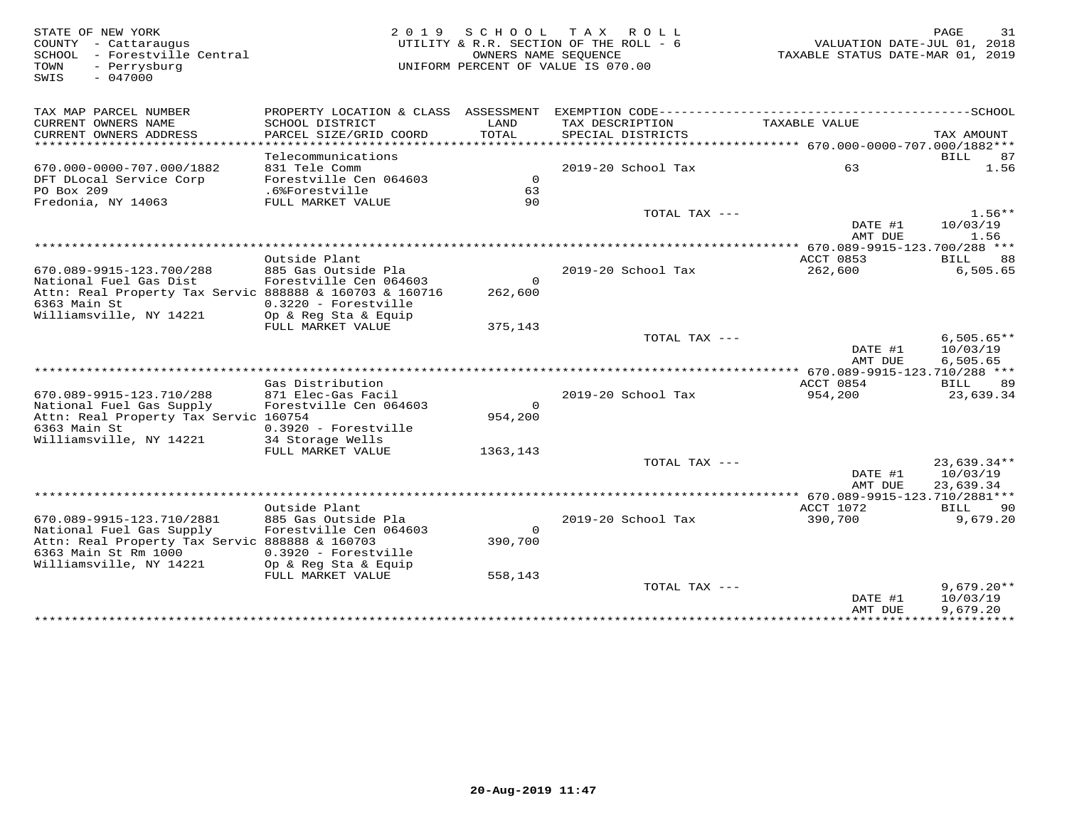SWIS - 047000

# STATE OF NEW YORK 2 0 1 9 S C H O O L T A X R O L L PAGE 31 COUNTY - Cattaraugus UTILITY & R.R. SECTION OF THE ROLL - 6 VALUATION DATE-JUL 01, 2018 SCHOOL - Forestville Central OWNERS NAME SEQUENCE TAXABLE STATUS DATE-MAR 01, 2019TOWN - Perrysburg UNIFORM PERCENT OF VALUE IS 070.00

| TAX MAP PARCEL NUMBER<br>CURRENT OWNERS NAME<br>CURRENT OWNERS ADDRESS | PROPERTY LOCATION & CLASS ASSESSMENT<br>SCHOOL DISTRICT<br>PARCEL SIZE/GRID COORD | LAND<br>TOTAL  | TAX DESCRIPTION<br>SPECIAL DISTRICTS | TAXABLE VALUE                                 | TAX AMOUNT    |
|------------------------------------------------------------------------|-----------------------------------------------------------------------------------|----------------|--------------------------------------|-----------------------------------------------|---------------|
|                                                                        |                                                                                   |                |                                      |                                               |               |
|                                                                        | Telecommunications                                                                |                |                                      |                                               | BILL<br>87    |
| 670.000-0000-707.000/1882                                              | 831 Tele Comm                                                                     |                | 2019-20 School Tax                   | 63                                            | 1.56          |
| DFT DLocal Service Corp                                                | Forestville Cen 064603                                                            | $\overline{0}$ |                                      |                                               |               |
| PO Box 209                                                             | .6%Forestville                                                                    | 63             |                                      |                                               |               |
| Fredonia, NY 14063                                                     | FULL MARKET VALUE                                                                 | 90             |                                      |                                               |               |
|                                                                        |                                                                                   |                | TOTAL TAX ---                        |                                               | $1.56**$      |
|                                                                        |                                                                                   |                |                                      | DATE #1                                       | 10/03/19      |
|                                                                        |                                                                                   |                |                                      | AMT DUE                                       | 1.56          |
|                                                                        | ********************                                                              |                |                                      | **************** 670.089-9915-123.700/288 *** |               |
|                                                                        | Outside Plant                                                                     |                |                                      | ACCT 0853                                     | BILL<br>88    |
| 670.089-9915-123.700/288                                               |                                                                                   |                | 2019-20 School Tax                   |                                               |               |
|                                                                        | 885 Gas Outside Pla                                                               | $\circ$        |                                      | 262,600                                       | 6,505.65      |
| National Fuel Gas Dist                                                 | Forestville Cen 064603                                                            |                |                                      |                                               |               |
| Attn: Real Property Tax Servic 888888 & 160703 & 160716                |                                                                                   | 262,600        |                                      |                                               |               |
| 6363 Main St                                                           | $0.3220$ - Forestville                                                            |                |                                      |                                               |               |
| Williamsville, NY 14221                                                | Op & Reg Sta & Equip                                                              |                |                                      |                                               |               |
|                                                                        | FULL MARKET VALUE                                                                 | 375,143        |                                      |                                               |               |
|                                                                        |                                                                                   |                | TOTAL TAX ---                        |                                               | $6,505.65**$  |
|                                                                        |                                                                                   |                |                                      | DATE #1                                       | 10/03/19      |
|                                                                        |                                                                                   |                |                                      | AMT DUE                                       | 6,505.65      |
|                                                                        |                                                                                   |                |                                      |                                               |               |
|                                                                        | Gas Distribution                                                                  |                |                                      | ACCT 0854                                     | BILL<br>89    |
| 670.089-9915-123.710/288                                               | 871 Elec-Gas Facil                                                                |                | 2019-20 School Tax                   | 954,200                                       | 23,639.34     |
| National Fuel Gas Supply                                               | Forestville Cen 064603                                                            | $\Omega$       |                                      |                                               |               |
| Attn: Real Property Tax Servic 160754                                  |                                                                                   | 954,200        |                                      |                                               |               |
| 6363 Main St                                                           | $0.3920$ - Forestville                                                            |                |                                      |                                               |               |
| Williamsville, NY 14221                                                | 34 Storage Wells                                                                  |                |                                      |                                               |               |
|                                                                        | FULL MARKET VALUE                                                                 | 1363,143       |                                      |                                               |               |
|                                                                        |                                                                                   |                | TOTAL TAX ---                        |                                               | $23.639.34**$ |
|                                                                        |                                                                                   |                |                                      | DATE #1                                       | 10/03/19      |
|                                                                        |                                                                                   |                |                                      | AMT DUE                                       | 23,639.34     |
|                                                                        |                                                                                   |                |                                      |                                               |               |
|                                                                        | Outside Plant                                                                     |                |                                      | ACCT 1072                                     | BILL<br>90    |
| 670.089-9915-123.710/2881                                              | 885 Gas Outside Pla                                                               |                | 2019-20 School Tax                   | 390,700                                       | 9,679.20      |
| National Fuel Gas Supply                                               | Forestville Cen 064603                                                            | $\Omega$       |                                      |                                               |               |
| Attn: Real Property Tax Servic 888888 & 160703                         |                                                                                   | 390,700        |                                      |                                               |               |
| 6363 Main St Rm 1000                                                   | 0.3920 - Forestville                                                              |                |                                      |                                               |               |
| Williamsville, NY 14221                                                | Op & Reg Sta & Equip                                                              |                |                                      |                                               |               |
|                                                                        | FULL MARKET VALUE                                                                 | 558,143        |                                      |                                               |               |
|                                                                        |                                                                                   |                | TOTAL TAX ---                        |                                               | $9,679.20**$  |
|                                                                        |                                                                                   |                |                                      | DATE #1                                       | 10/03/19      |
|                                                                        |                                                                                   |                |                                      | AMT DUE                                       | 9,679.20      |
|                                                                        |                                                                                   |                |                                      |                                               |               |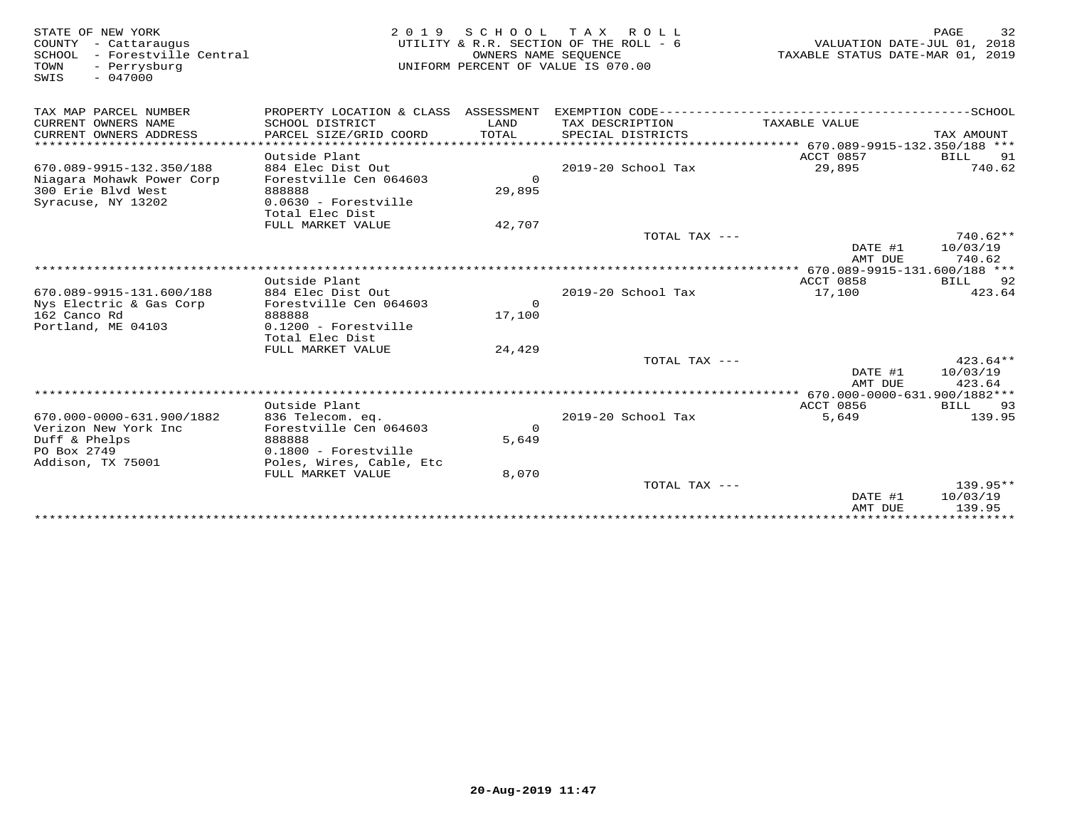| STATE OF NEW YORK<br>COUNTY - Cattaraugus<br>- Forestville Central<br>SCHOOL<br>TOWN<br>- Perrysburg<br>$-047000$<br>SWIS | 2 0 1 9                                                                 | SCHOOL TAX<br>OWNERS NAME SEQUENCE | ROLL ROLL<br>UTILITY & R.R. SECTION OF THE ROLL - 6<br>UNIFORM PERCENT OF VALUE IS 070.00 | VALUATION DATE-JUL 01, 2018<br>TAXABLE STATUS DATE-MAR 01, 2019 | 32<br>PAGE                       |
|---------------------------------------------------------------------------------------------------------------------------|-------------------------------------------------------------------------|------------------------------------|-------------------------------------------------------------------------------------------|-----------------------------------------------------------------|----------------------------------|
| TAX MAP PARCEL NUMBER                                                                                                     | PROPERTY LOCATION & CLASS ASSESSMENT                                    |                                    |                                                                                           |                                                                 |                                  |
| CURRENT OWNERS NAME<br>CURRENT OWNERS ADDRESS                                                                             | SCHOOL DISTRICT<br>PARCEL SIZE/GRID COORD                               | LAND<br><b>TOTAL</b>               | TAX DESCRIPTION<br>SPECIAL DISTRICTS                                                      | TAXABLE VALUE                                                   | TAX AMOUNT                       |
|                                                                                                                           | Outside Plant                                                           |                                    |                                                                                           | ACCT 0857                                                       | BILL<br>91                       |
| 670.089-9915-132.350/188<br>Niagara Mohawk Power Corp<br>300 Erie Blyd West                                               | 884 Elec Dist Out<br>Forestville Cen 064603<br>888888                   | $\Omega$<br>29,895                 | $2019-20$ School Tax                                                                      | 29,895                                                          | 740.62                           |
| Syracuse, NY 13202                                                                                                        | 0.0630 - Forestville<br>Total Elec Dist<br>FULL MARKET VALUE            | 42,707                             |                                                                                           |                                                                 |                                  |
|                                                                                                                           |                                                                         |                                    | TOTAL TAX $---$                                                                           | DATE #1<br>AMT DUE                                              | $740.62**$<br>10/03/19<br>740.62 |
|                                                                                                                           |                                                                         |                                    |                                                                                           | *********** 670.089-9915-131.600/188 ***                        |                                  |
| 670.089-9915-131.600/188<br>Nys Electric & Gas Corp<br>162 Canco Rd                                                       | Outside Plant<br>884 Elec Dist Out<br>Forestville Cen 064603<br>888888  | $\Omega$<br>17,100                 | 2019-20 School Tax                                                                        | ACCT 0858<br>17,100                                             | 92<br>BILL<br>423.64             |
| Portland, ME 04103                                                                                                        | $0.1200$ - Forestville<br>Total Elec Dist<br>FULL MARKET VALUE          |                                    |                                                                                           |                                                                 |                                  |
|                                                                                                                           |                                                                         | 24,429                             | TOTAL TAX ---                                                                             | DATE #1<br>AMT DUE                                              | $423.64**$<br>10/03/19<br>423.64 |
|                                                                                                                           |                                                                         |                                    |                                                                                           |                                                                 |                                  |
| 670.000-0000-631.900/1882<br>Verizon New York Inc<br>Duff & Phelps                                                        | Outside Plant<br>836 Telecom. eq.<br>Forestville Cen 064603<br>888888   | $\Omega$<br>5,649                  | 2019-20 School Tax                                                                        | ACCT 0856<br>5,649                                              | BILL<br>93<br>139.95             |
| PO Box 2749<br>Addison, TX 75001                                                                                          | $0.1800$ - Forestville<br>Poles, Wires, Cable, Etc<br>FULL MARKET VALUE | 8,070                              |                                                                                           |                                                                 |                                  |
|                                                                                                                           |                                                                         |                                    | TOTAL TAX $---$                                                                           | DATE #1<br>AMT DUE                                              | $139.95**$<br>10/03/19<br>139.95 |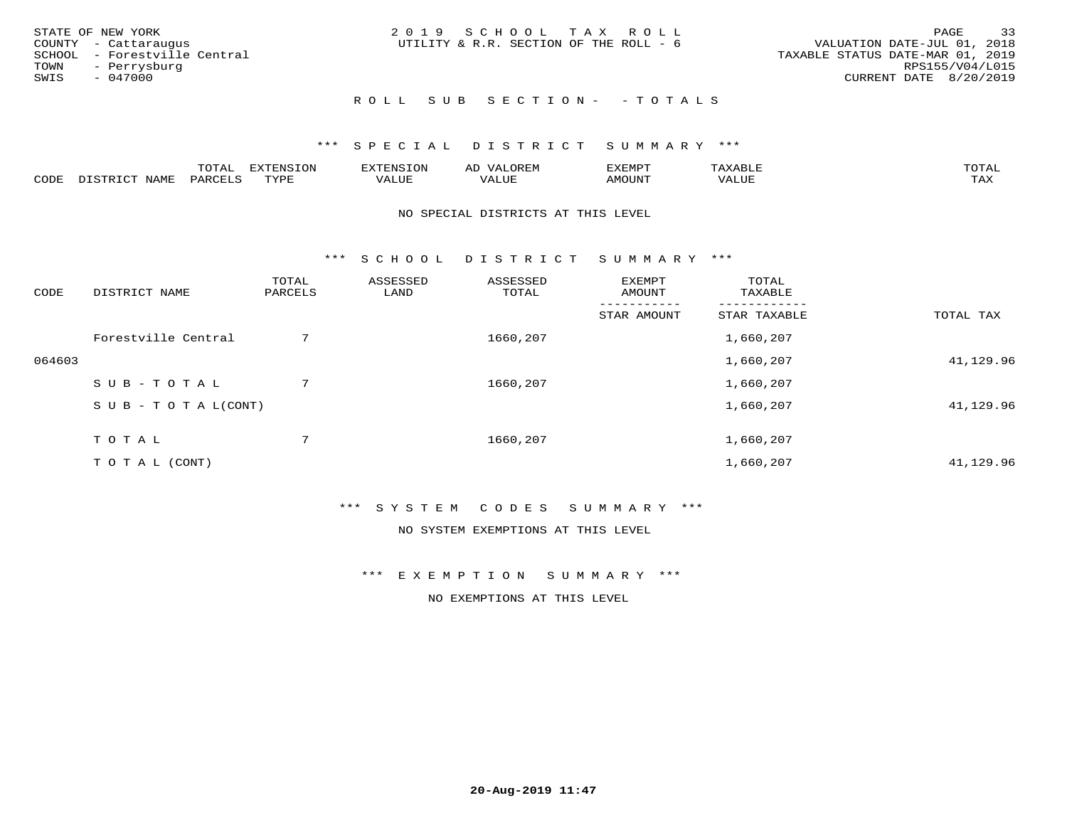| STATE OF NEW YORK<br>COUNTY - Cattaraugus<br>SCHOOL - Forestville Central<br>TOWN - Perrysburg<br>SWIS<br>- 047000 | 2019 SCHOOL TAX ROLL<br>UTILITY & R.R. SECTION OF THE ROLL - 6 | 33<br>PAGE<br>VALUATION DATE-JUL 01, 2018<br>TAXABLE STATUS DATE-MAR 01, 2019<br>RPS155/V04/L015<br>CURRENT DATE 8/20/2019 |
|--------------------------------------------------------------------------------------------------------------------|----------------------------------------------------------------|----------------------------------------------------------------------------------------------------------------------------|
|                                                                                                                    | ROLL SUB SECTION- - TOTALS                                     |                                                                                                                            |

|      |              | UIAI | <b>EXTENSION</b> |       | ∼ |         | $m \wedge m \wedge n$ |
|------|--------------|------|------------------|-------|---|---------|-----------------------|
| CODE | <b>NTAME</b> | コハレ  | TITID            | 7ALUL |   | PUIJOMA | max 1<br>- −-         |

#### NO SPECIAL DISTRICTS AT THIS LEVEL

\*\*\* S C H O O L D I S T R I C T S U M M A R Y \*\*\*

| CODE   | DISTRICT NAME                    | TOTAL<br>PARCELS | ASSESSED<br>LAND | ASSESSED<br>TOTAL | EXEMPT<br>AMOUNT | TOTAL<br>TAXABLE |           |
|--------|----------------------------------|------------------|------------------|-------------------|------------------|------------------|-----------|
|        |                                  |                  |                  |                   | STAR AMOUNT      | STAR TAXABLE     | TOTAL TAX |
|        | Forestville Central              | 7                |                  | 1660,207          |                  | 1,660,207        |           |
| 064603 |                                  |                  |                  |                   |                  | 1,660,207        | 41,129.96 |
|        | SUB-TOTAL                        | 7                |                  | 1660,207          |                  | 1,660,207        |           |
|        | $S \cup B - T \cup T A L (CONT)$ |                  |                  |                   |                  | 1,660,207        | 41,129.96 |
|        | TOTAL                            | $7^{\circ}$      |                  | 1660,207          |                  | 1,660,207        |           |
|        | T O T A L (CONT)                 |                  |                  |                   |                  | 1,660,207        | 41,129.96 |

### \*\*\* S Y S T E M C O D E S S U M M A R Y \*\*\*

NO SYSTEM EXEMPTIONS AT THIS LEVEL

\*\*\* E X E M P T I O N S U M M A R Y \*\*\*

NO EXEMPTIONS AT THIS LEVEL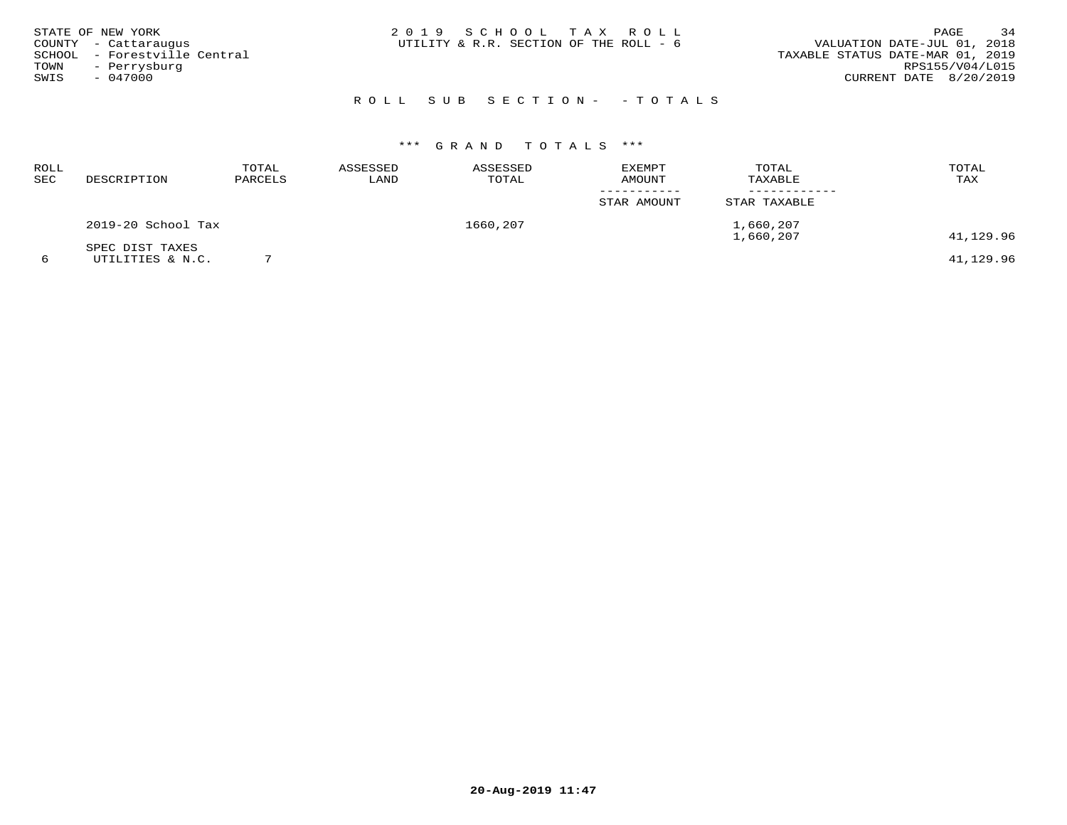|      | STATE OF NEW YORK            | 2019 SCHOOL TAX ROLL                                                  | PAGE            | 34 |
|------|------------------------------|-----------------------------------------------------------------------|-----------------|----|
|      | COUNTY - Cattaraugus         | VALUATION DATE-JUL 01, 2018<br>UTILITY & R.R. SECTION OF THE ROLL - 6 |                 |    |
|      | SCHOOL - Forestville Central | TAXABLE STATUS DATE-MAR 01, 2019                                      |                 |    |
| TOWN | - Perrysburg                 |                                                                       | RPS155/V04/L015 |    |
| SWIS | - 047000                     | CURRENT DATE 8/20/2019                                                |                 |    |
|      |                              |                                                                       |                 |    |

# R O L L S U B S E C T I O N - - T O T A L S

| ROLL<br>SEC | DESCRIPTION                         | TOTAL<br>PARCELS | ASSESSED<br>LAND | ASSESSED<br>TOTAL | <b>EXEMPT</b><br>AMOUNT | TOTAL<br>TAXABLE       | TOTAL<br>TAX |
|-------------|-------------------------------------|------------------|------------------|-------------------|-------------------------|------------------------|--------------|
|             |                                     |                  |                  |                   | STAR AMOUNT             | STAR TAXABLE           |              |
|             | 2019-20 School Tax                  |                  |                  | 1660,207          |                         | 1,660,207<br>1,660,207 | 41,129.96    |
|             | SPEC DIST TAXES<br>UTILITIES & N.C. |                  |                  |                   |                         |                        | 41,129.96    |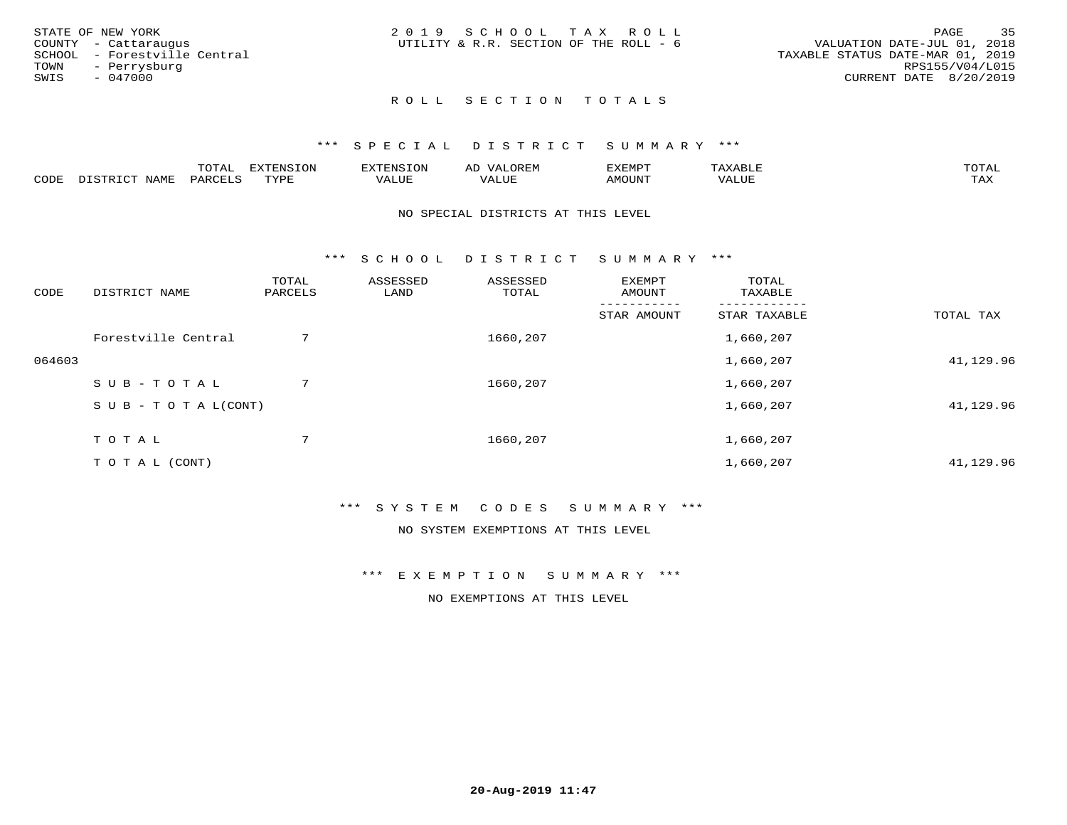| 35<br>PAGE                       |
|----------------------------------|
| VALUATION DATE-JUL 01, 2018      |
| TAXABLE STATUS DATE-MAR 01, 2019 |
| RPS155/V04/L015                  |
| CURRENT DATE 8/20/2019           |
|                                  |
|                                  |

### ROLL SECTION TOTALS

#### \*\*\* S P E C I A L D I S T R I C T S U M M A R Y \*\*\*

|      |                            | momn.<br>UIAL       | EXTENSION | TENSION        | OREM<br>ΑL | SXEMPT | $\Delta$ x $\Delta$ | TOTAL |
|------|----------------------------|---------------------|-----------|----------------|------------|--------|---------------------|-------|
| CODE | <b>NAMF</b><br>חי היה דרות | PARCEL'<br>$\cdots$ | TVDL<br>. | T T T<br>VALUE | VALUE      | AMOUNT | VALUE               | TAX   |

#### NO SPECIAL DISTRICTS AT THIS LEVEL

\*\*\* S C H O O L D I S T R I C T S U M M A R Y \*\*\*

| CODE   | DISTRICT NAME                    | TOTAL<br>PARCELS | ASSESSED<br>LAND | ASSESSED<br>TOTAL | EXEMPT<br>AMOUNT | TOTAL<br>TAXABLE |           |
|--------|----------------------------------|------------------|------------------|-------------------|------------------|------------------|-----------|
|        |                                  |                  |                  |                   | STAR AMOUNT      | STAR TAXABLE     | TOTAL TAX |
|        | Forestville Central              | 7                |                  | 1660,207          |                  | 1,660,207        |           |
| 064603 |                                  |                  |                  |                   |                  | 1,660,207        | 41,129.96 |
|        | SUB-TOTAL                        | $7^{\circ}$      |                  | 1660,207          |                  | 1,660,207        |           |
|        | $S \cup B - T \cup T A L (CONT)$ |                  |                  |                   |                  | 1,660,207        | 41,129.96 |
|        | TOTAL                            | $7^{\circ}$      |                  | 1660,207          |                  | 1,660,207        |           |
|        | T O T A L (CONT)                 |                  |                  |                   |                  | 1,660,207        | 41,129.96 |

### \*\*\* S Y S T E M C O D E S S U M M A R Y \*\*\*

NO SYSTEM EXEMPTIONS AT THIS LEVEL

\*\*\* E X E M P T I O N S U M M A R Y \*\*\*

NO EXEMPTIONS AT THIS LEVEL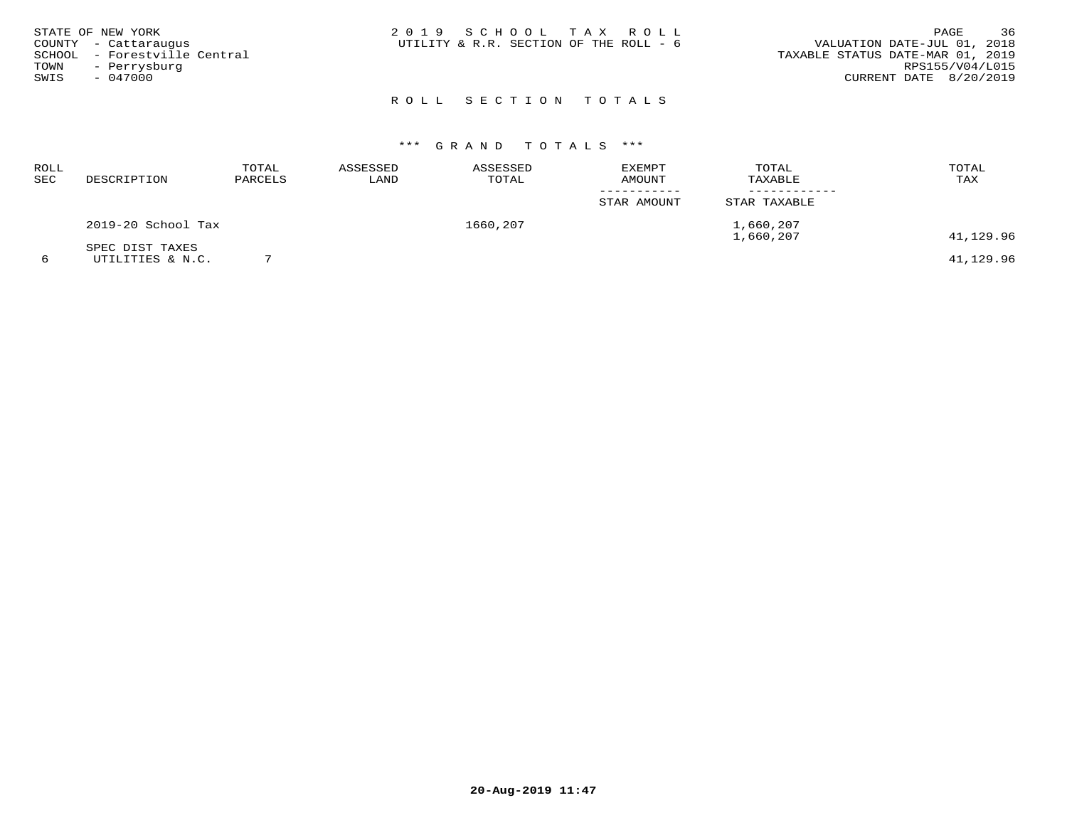| STATE OF NEW YORK    |                              | 2019 SCHOOL TAX ROLL                   |  |                                  | PAGE                   | 36 |
|----------------------|------------------------------|----------------------------------------|--|----------------------------------|------------------------|----|
| COUNTY - Cattaraugus |                              | UTILITY & R.R. SECTION OF THE ROLL - 6 |  | VALUATION DATE-JUL 01, 2018      |                        |    |
|                      | SCHOOL - Forestville Central |                                        |  | TAXABLE STATUS DATE-MAR 01, 2019 |                        |    |
| TOWN                 | - Perrysburg                 |                                        |  |                                  | RPS155/V04/L015        |    |
| SWIS                 | $-047000$                    |                                        |  |                                  | CURRENT DATE 8/20/2019 |    |
|                      |                              |                                        |  |                                  |                        |    |

# R O L L S E C T I O N T O T A L S

| ROLL<br>SEC | DESCRIPTION                         | TOTAL<br>PARCELS | ASSESSED<br>LAND | ASSESSED<br>TOTAL | <b>EXEMPT</b><br>AMOUNT | TOTAL<br>TAXABLE       | TOTAL<br>TAX |
|-------------|-------------------------------------|------------------|------------------|-------------------|-------------------------|------------------------|--------------|
|             |                                     |                  |                  |                   | STAR AMOUNT             | STAR TAXABLE           |              |
|             | 2019-20 School Tax                  |                  |                  | 1660,207          |                         | 1,660,207<br>1,660,207 | 41,129.96    |
|             | SPEC DIST TAXES<br>UTILITIES & N.C. |                  |                  |                   |                         |                        | 41,129.96    |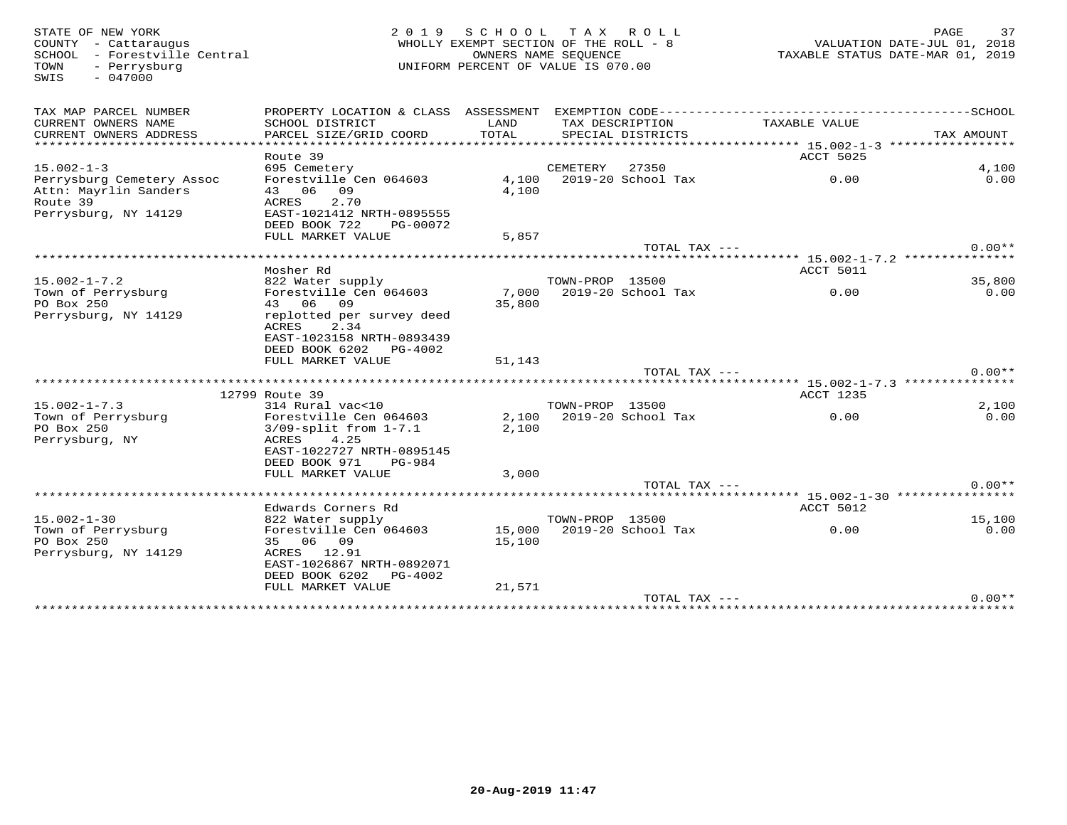SWIS - 047000

### STATE OF NEW YORK 2 0 1 9 S C H O O L T A X R O L L PAGE 37WHOLLY EXEMPT SECTION OF THE ROLL - 8 SCHOOL – Forestville Central OWNERS NAME SEQUENCE TAXABLE STATUS DATE-MAR 01, 2019 TOWN - Perrysburg UNIFORM PERCENT OF VALUE IS 070.00

| TAX MAP PARCEL NUMBER     | PROPERTY LOCATION & CLASS ASSESSMENT |        |                 | EXEMPTION CODE------------------ |                                                                            | ----------SCHOOL |
|---------------------------|--------------------------------------|--------|-----------------|----------------------------------|----------------------------------------------------------------------------|------------------|
| CURRENT OWNERS NAME       | SCHOOL DISTRICT                      | LAND   |                 | TAX DESCRIPTION                  | TAXABLE VALUE                                                              |                  |
| CURRENT OWNERS ADDRESS    | PARCEL SIZE/GRID COORD               | TOTAL  |                 | SPECIAL DISTRICTS                |                                                                            | TAX AMOUNT       |
| ************************* |                                      |        |                 |                                  | ******************** 15.002-1-3 ******************                         |                  |
|                           | Route 39                             |        |                 |                                  | ACCT 5025                                                                  |                  |
| $15.002 - 1 - 3$          | 695 Cemetery                         |        | CEMETERY        | 27350                            |                                                                            | 4,100            |
| Perrysburg Cemetery Assoc | Forestville Cen 064603               | 4,100  |                 | 2019-20 School Tax               | 0.00                                                                       | 0.00             |
| Attn: Mayrlin Sanders     | 06<br>09<br>43                       | 4,100  |                 |                                  |                                                                            |                  |
| Route 39                  | 2.70<br>ACRES                        |        |                 |                                  |                                                                            |                  |
| Perrysburg, NY 14129      | EAST-1021412 NRTH-0895555            |        |                 |                                  |                                                                            |                  |
|                           | DEED BOOK 722<br>PG-00072            |        |                 |                                  |                                                                            |                  |
|                           | FULL MARKET VALUE                    | 5,857  |                 |                                  |                                                                            |                  |
|                           |                                      |        |                 | TOTAL TAX ---                    |                                                                            | $0.00**$         |
|                           |                                      |        |                 |                                  |                                                                            |                  |
|                           | Mosher Rd                            |        |                 |                                  | ACCT 5011                                                                  |                  |
| $15.002 - 1 - 7.2$        | 822 Water supply                     |        | TOWN-PROP 13500 |                                  |                                                                            | 35,800           |
| Town of Perrysburg        | Forestville Cen 064603               | 7,000  |                 | 2019-20 School Tax               | 0.00                                                                       | 0.00             |
| PO Box 250                | 43 06 09                             | 35,800 |                 |                                  |                                                                            |                  |
| Perrysburg, NY 14129      | replotted per survey deed            |        |                 |                                  |                                                                            |                  |
|                           | ACRES<br>2.34                        |        |                 |                                  |                                                                            |                  |
|                           | EAST-1023158 NRTH-0893439            |        |                 |                                  |                                                                            |                  |
|                           | DEED BOOK 6202 PG-4002               |        |                 |                                  |                                                                            |                  |
|                           | FULL MARKET VALUE                    | 51,143 |                 |                                  |                                                                            |                  |
|                           |                                      |        |                 | TOTAL TAX ---                    |                                                                            | $0.00**$         |
|                           | 12799 Route 39                       |        |                 |                                  | ************************ 15.002-1-7.3 ****************<br><b>ACCT 1235</b> |                  |
| $15.002 - 1 - 7.3$        | 314 Rural vac<10                     |        | TOWN-PROP 13500 |                                  |                                                                            | 2,100            |
| Town of Perrysburg        | Forestville Cen 064603               | 2,100  |                 | 2019-20 School Tax               | 0.00                                                                       | 0.00             |
| PO Box 250                | $3/09$ -split from $1-7.1$           | 2,100  |                 |                                  |                                                                            |                  |
| Perrysburg, NY            | 4.25<br>ACRES                        |        |                 |                                  |                                                                            |                  |
|                           | EAST-1022727 NRTH-0895145            |        |                 |                                  |                                                                            |                  |
|                           | DEED BOOK 971<br><b>PG-984</b>       |        |                 |                                  |                                                                            |                  |
|                           | FULL MARKET VALUE                    | 3,000  |                 |                                  |                                                                            |                  |
|                           |                                      |        |                 | TOTAL TAX $---$                  |                                                                            | $0.00**$         |
|                           | ******************************       |        |                 |                                  |                                                                            |                  |
|                           | Edwards Corners Rd                   |        |                 |                                  | ACCT 5012                                                                  |                  |
| $15.002 - 1 - 30$         | 822 Water supply                     |        | TOWN-PROP 13500 |                                  |                                                                            | 15,100           |
| Town of Perrysburg        | Forestville Cen 064603               | 15,000 |                 | 2019-20 School Tax               | 0.00                                                                       | 0.00             |
| PO Box 250                | 35 06<br>09                          | 15,100 |                 |                                  |                                                                            |                  |
| Perrysburg, NY 14129      | ACRES<br>12.91                       |        |                 |                                  |                                                                            |                  |
|                           | EAST-1026867 NRTH-0892071            |        |                 |                                  |                                                                            |                  |
|                           | DEED BOOK 6202<br>$PG-4002$          |        |                 |                                  |                                                                            |                  |
|                           | FULL MARKET VALUE                    | 21,571 |                 |                                  |                                                                            |                  |
|                           |                                      |        |                 | $TOTAL$ $TAX$ $---$              |                                                                            | $0.00**$         |
|                           |                                      |        |                 |                                  |                                                                            |                  |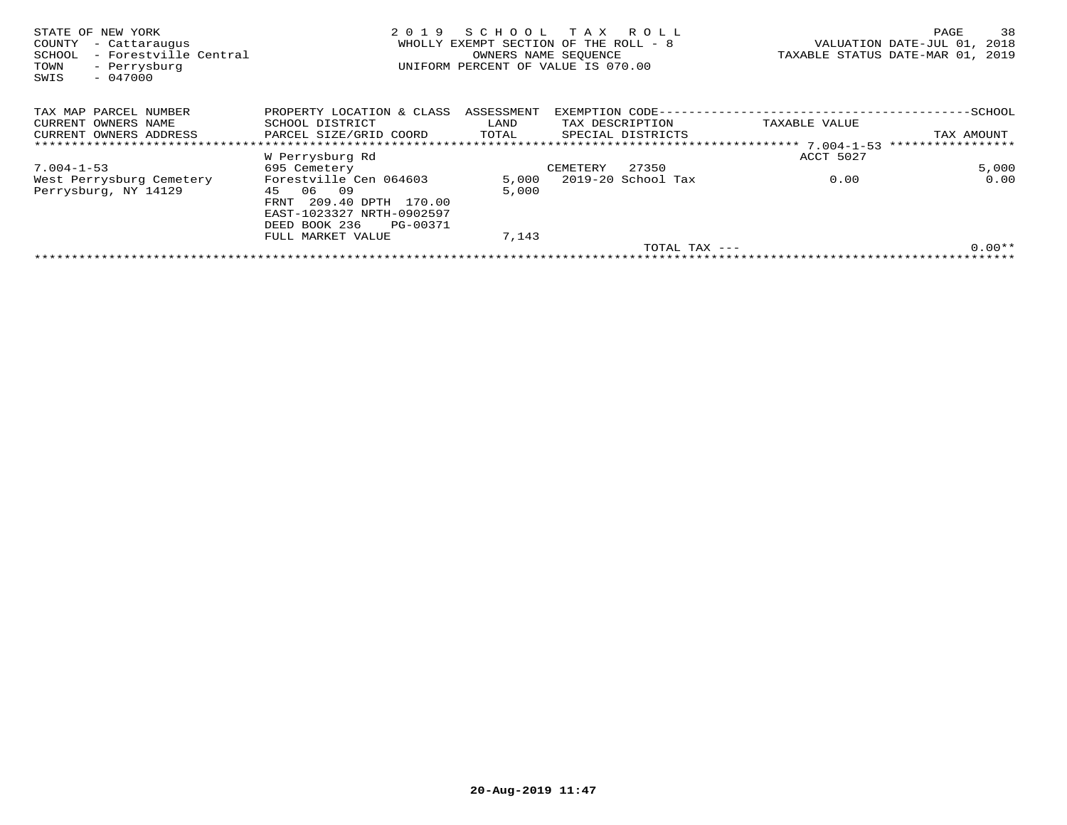| STATE OF NEW YORK<br>COUNTY<br>- Cattaraugus<br>- Forestville Central<br>SCHOOL<br>- Perrysburg<br>TOWN<br>$-047000$<br>SWIS | 2019                       | SCHOOL<br>WHOLLY EXEMPT SECTION OF THE ROLL - 8<br>OWNERS NAME SEOUENCE<br>UNIFORM PERCENT OF VALUE IS 070.00 |                   | TAX ROLL           | TAXABLE STATUS DATE-MAR 01, 2019 | PAGE<br>VALUATION DATE-JUL 01, | 38<br>2018 |
|------------------------------------------------------------------------------------------------------------------------------|----------------------------|---------------------------------------------------------------------------------------------------------------|-------------------|--------------------|----------------------------------|--------------------------------|------------|
| TAX MAP PARCEL NUMBER                                                                                                        | PROPERTY LOCATION & CLASS  | ASSESSMENT                                                                                                    | EXEMPTION CODE--- |                    |                                  |                                |            |
| CURRENT OWNERS NAME                                                                                                          | SCHOOL DISTRICT            | LAND                                                                                                          | TAX DESCRIPTION   |                    | TAXABLE VALUE                    |                                |            |
| CURRENT OWNERS ADDRESS                                                                                                       | PARCEL SIZE/GRID COORD     | TOTAL                                                                                                         |                   | SPECIAL DISTRICTS  |                                  | TAX AMOUNT                     |            |
|                                                                                                                              |                            |                                                                                                               |                   |                    |                                  |                                |            |
|                                                                                                                              | W Perrysburg Rd            |                                                                                                               |                   |                    | ACCT 5027                        |                                |            |
| 7.004-1-53                                                                                                                   | 695 Cemetery               |                                                                                                               | CEMETERY          | 27350              |                                  |                                | 5,000      |
| West Perrysburg Cemetery                                                                                                     | Forestville Cen 064603     | 5,000                                                                                                         |                   | 2019-20 School Tax | 0.00                             |                                | 0.00       |
| Perrysburg, NY 14129                                                                                                         | 06<br>09<br>45             | 5,000                                                                                                         |                   |                    |                                  |                                |            |
|                                                                                                                              | 209.40 DPTH 170.00<br>FRNT |                                                                                                               |                   |                    |                                  |                                |            |
|                                                                                                                              | EAST-1023327 NRTH-0902597  |                                                                                                               |                   |                    |                                  |                                |            |
|                                                                                                                              | DEED BOOK 236<br>PG-00371  |                                                                                                               |                   |                    |                                  |                                |            |
|                                                                                                                              | FULL MARKET VALUE          | 7,143                                                                                                         |                   |                    |                                  |                                |            |
|                                                                                                                              |                            |                                                                                                               |                   | TOTAL TAX $---$    |                                  |                                | $0.00**$   |
|                                                                                                                              |                            |                                                                                                               |                   |                    |                                  |                                |            |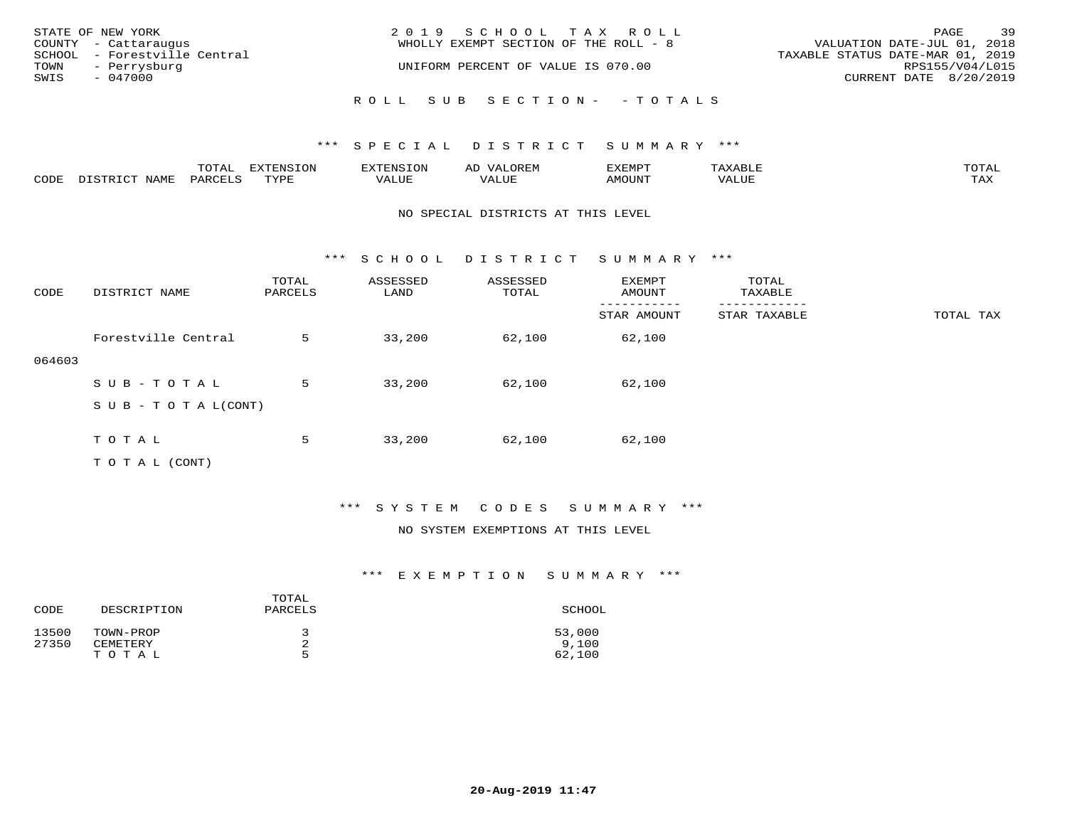|                   | STATE OF NEW YORK            | 2019 SCHOOL TAX ROLL                  |                                  | PAGE | 39 |  |
|-------------------|------------------------------|---------------------------------------|----------------------------------|------|----|--|
|                   | COUNTY - Cattaraugus         | WHOLLY EXEMPT SECTION OF THE ROLL - 8 | VALUATION DATE-JUL 01, 2018      |      |    |  |
|                   | SCHOOL - Forestville Central |                                       | TAXABLE STATUS DATE-MAR 01, 2019 |      |    |  |
| TOWN - Perrysburg |                              | UNIFORM PERCENT OF VALUE IS 070.00    | RPS155/V04/L015                  |      |    |  |
| SWIS              | $-047000$                    |                                       | CURRENT DATE 8/20/2019           |      |    |  |
|                   |                              | ROLL SUB SECTION- - TOTALS            |                                  |      |    |  |

|      |      | momn:<br>LUIAI | $\pi$ |       | ΑL | ית הרדעי |               | $T$ $\cap$ $T$ $\Delta$ |
|------|------|----------------|-------|-------|----|----------|---------------|-------------------------|
| CODE | NAME | יחמת.          | mvnt  | VALUE |    | AMOUNT   | , , , , , , , | TAY.<br>- - - - -       |

### NO SPECIAL DISTRICTS AT THIS LEVEL

\*\*\* S C H O O L D I S T R I C T S U M M A R Y \*\*\*

| CODE   | DISTRICT NAME                    | TOTAL<br>PARCELS | ASSESSED<br>LAND | ASSESSED<br>TOTAL | EXEMPT<br>AMOUNT | TOTAL<br>TAXABLE |           |
|--------|----------------------------------|------------------|------------------|-------------------|------------------|------------------|-----------|
|        |                                  |                  |                  |                   | STAR AMOUNT      | STAR TAXABLE     | TOTAL TAX |
|        | Forestville Central              | 5                | 33,200           | 62,100            | 62,100           |                  |           |
| 064603 |                                  |                  |                  |                   |                  |                  |           |
|        | SUB-TOTAL                        | 5                | 33,200           | 62,100            | 62,100           |                  |           |
|        | $S \cup B - T \cup T A L (CONT)$ |                  |                  |                   |                  |                  |           |
|        |                                  |                  |                  |                   |                  |                  |           |
|        | TOTAL                            | 5                | 33,200           | 62,100            | 62,100           |                  |           |
|        | T O T A L (CONT)                 |                  |                  |                   |                  |                  |           |

### \*\*\* S Y S T E M C O D E S S U M M A R Y \*\*\*

### NO SYSTEM EXEMPTIONS AT THIS LEVEL

| CODE           | DESCRIPTION           | TOTAL<br>PARCELS | SCHOOL          |
|----------------|-----------------------|------------------|-----------------|
| 13500<br>27350 | TOWN-PROP<br>CEMETERY | z.               | 53,000<br>9.100 |
|                | TOTAL                 | г,               | 62,100          |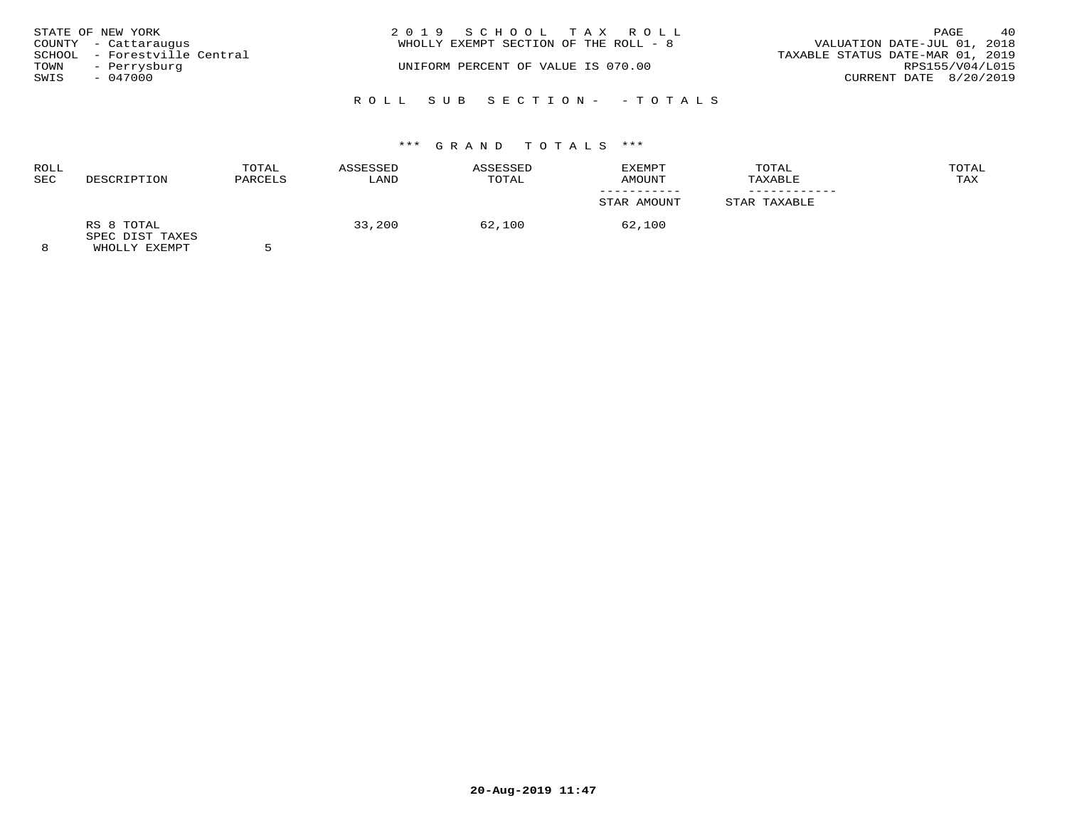| STATE OF NEW YORK<br>COUNTY - Cattaraugus            |  | 2019 SCHOOL TAX ROLL<br>WHOLLY EXEMPT SECTION OF THE ROLL - 8 |                            | VALUATION DATE-JUL 01, 2018      | PAGE            | 40 |
|------------------------------------------------------|--|---------------------------------------------------------------|----------------------------|----------------------------------|-----------------|----|
| SCHOOL - Forestville Central<br>TOWN<br>- Perrysburg |  | UNIFORM PERCENT OF VALUE IS 070.00                            |                            | TAXABLE STATUS DATE-MAR 01, 2019 | RPS155/V04/L015 |    |
| SWIS<br>$-047000$                                    |  |                                                               |                            | CURRENT DATE 8/20/2019           |                 |    |
|                                                      |  |                                                               | ROLL SUB SECTION- - TOTALS |                                  |                 |    |

# \*\*\* G R A N D T O T A L S \*\*\*

| ROLL<br><b>SEC</b> | DESCRIPTION                                           | TOTAL<br>PARCELS | ASSESSED<br>LAND | ASSESSED<br>TOTAL | <b>EXEMPT</b><br>AMOUNT | TOTAL<br>TAXABLE | TOTAL<br>TAX |
|--------------------|-------------------------------------------------------|------------------|------------------|-------------------|-------------------------|------------------|--------------|
|                    |                                                       |                  |                  |                   | STAR AMOUNT             | STAR TAXABLE     |              |
|                    | RS 8 TOTAL<br>SPEC DIST TAXES<br><b>WUOTIV EVEMBT</b> |                  | 33,200           | 62,100            | 62,100                  |                  |              |

8 WHOLLY EXEMPT 5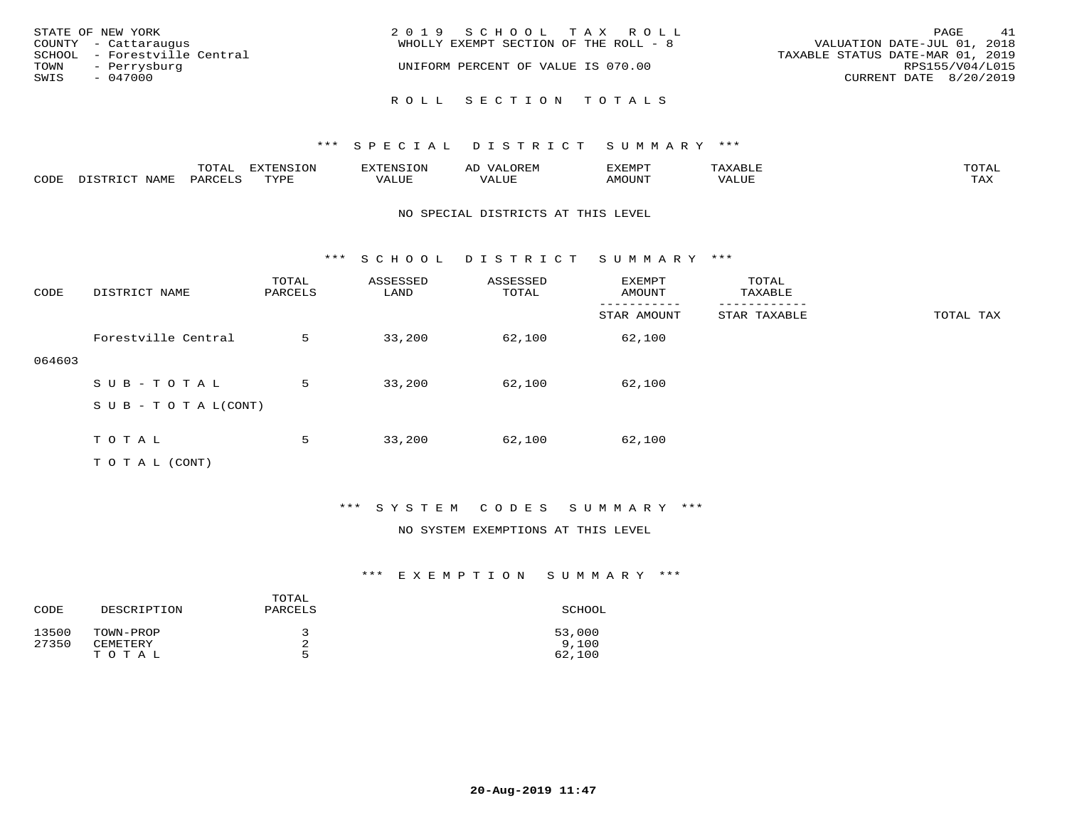| STATE OF NEW YORK<br>COUNTY - Cattaraugus<br>SCHOOL - Forestville Central<br>TOWN<br>- Perrysburg<br>SWIS<br>$-047000$ | 2019 SCHOOL TAX ROLL<br>WHOLLY EXEMPT SECTION OF THE ROLL - 8<br>UNIFORM PERCENT OF VALUE IS 070.00 | 41<br>PAGE<br>VALUATION DATE-JUL 01, 2018<br>TAXABLE STATUS DATE-MAR 01, 2019<br>RPS155/V04/L015<br>CURRENT DATE 8/20/2019 |
|------------------------------------------------------------------------------------------------------------------------|-----------------------------------------------------------------------------------------------------|----------------------------------------------------------------------------------------------------------------------------|
|                                                                                                                        | ROLL SECTION TOTALS                                                                                 |                                                                                                                            |

|      |                                      | mom <sub>n</sub><br>TATAT | $\Box$<br>⊬⊥∪™ | 8. IV. S                      | سيسد                              | <b>EXEMPT</b>                | $\sim$ $\sim$ $\sim$ | TOTAL        |
|------|--------------------------------------|---------------------------|----------------|-------------------------------|-----------------------------------|------------------------------|----------------------|--------------|
| CODE | NAME<br>ו התייף דרי.<br>$T^{\prime}$ | PARCET                    | <b>TVDI</b>    | <b>17 A T .T T H</b><br>'ALUE | , , , , , , <del>,</del><br>ALUF. | $\mathbf{X} \cap \mathbf{X}$ | '/ALUE               | max z<br>-∽∡ |

### NO SPECIAL DISTRICTS AT THIS LEVEL

\*\*\* S C H O O L D I S T R I C T S U M M A R Y \*\*\*

| CODE   | DISTRICT NAME                    | TOTAL<br>PARCELS | ASSESSED<br>LAND | ASSESSED<br>TOTAL | EXEMPT<br>AMOUNT | TOTAL<br>TAXABLE |           |
|--------|----------------------------------|------------------|------------------|-------------------|------------------|------------------|-----------|
|        |                                  |                  |                  |                   | STAR AMOUNT      | STAR TAXABLE     | TOTAL TAX |
|        | Forestville Central              | 5                | 33,200           | 62,100            | 62,100           |                  |           |
| 064603 |                                  |                  |                  |                   |                  |                  |           |
|        | SUB-TOTAL                        | 5                | 33,200           | 62,100            | 62,100           |                  |           |
|        | $S \cup B - T \cup T A L (CONT)$ |                  |                  |                   |                  |                  |           |
|        |                                  |                  |                  |                   |                  |                  |           |
|        | TOTAL                            | 5                | 33,200           | 62,100            | 62,100           |                  |           |
|        | T O T A L (CONT)                 |                  |                  |                   |                  |                  |           |

\*\*\* S Y S T E M C O D E S S U M M A R Y \*\*\*

### NO SYSTEM EXEMPTIONS AT THIS LEVEL

| CODE  | DESCRIPTION | TOTAL<br>PARCELS | SCHOOL |
|-------|-------------|------------------|--------|
| 13500 | TOWN-PROP   |                  | 53,000 |
| 27350 | CEMETERY    | 2                | 9.100  |
|       | TOTAL       | ∽                | 62,100 |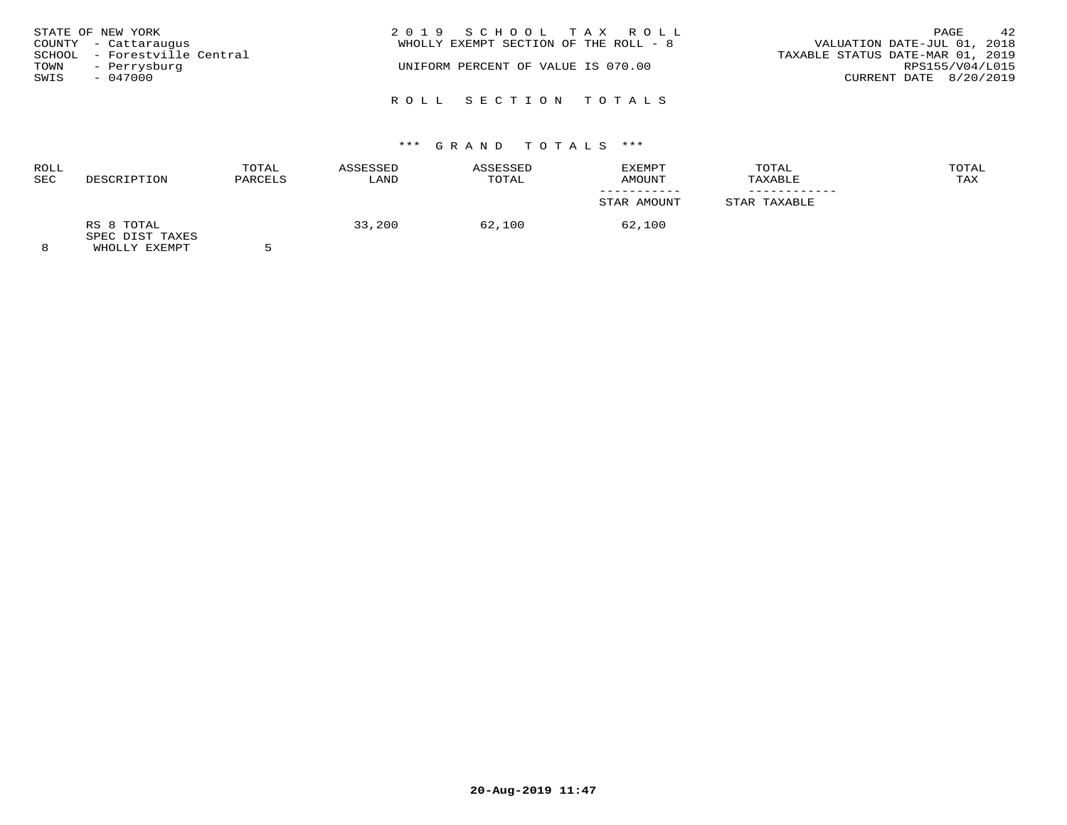| STATE OF NEW YORK<br>COUNTY - Cattaraugus<br>SCHOOL - Forestville Central<br>TOWN<br>- Perrysburg<br>SWIS<br>$-047000$ | 2019 SCHOOL TAX ROLL<br>WHOLLY EXEMPT SECTION OF THE ROLL - 8<br>UNIFORM PERCENT OF VALUE IS 070.00 | 42<br>PAGE<br>VALUATION DATE-JUL 01, 2018<br>TAXABLE STATUS DATE-MAR 01, 2019<br>RPS155/V04/L015<br>CURRENT DATE 8/20/2019 |
|------------------------------------------------------------------------------------------------------------------------|-----------------------------------------------------------------------------------------------------|----------------------------------------------------------------------------------------------------------------------------|
|                                                                                                                        | ROLL SECTION TOTALS                                                                                 |                                                                                                                            |

# \*\*\* G R A N D T O T A L S \*\*\*

| <b>ROLL</b><br>SEC | DESCRIPTION                                    | TOTAL<br>PARCELS | ASSESSED<br>LAND | ASSESSED<br>TOTAL | EXEMPT<br>AMOUNT | TOTAL<br>TAXABLE | TOTAL<br>TAX |
|--------------------|------------------------------------------------|------------------|------------------|-------------------|------------------|------------------|--------------|
|                    |                                                |                  |                  |                   | STAR AMOUNT      | STAR TAXABLE     |              |
| $\sim$             | RS 8 TOTAL<br>SPEC DIST TAXES<br>$\frac{1}{2}$ |                  | 33,200           | 62,100            | 62,100           |                  |              |

8 WHOLLY EXEMPT 5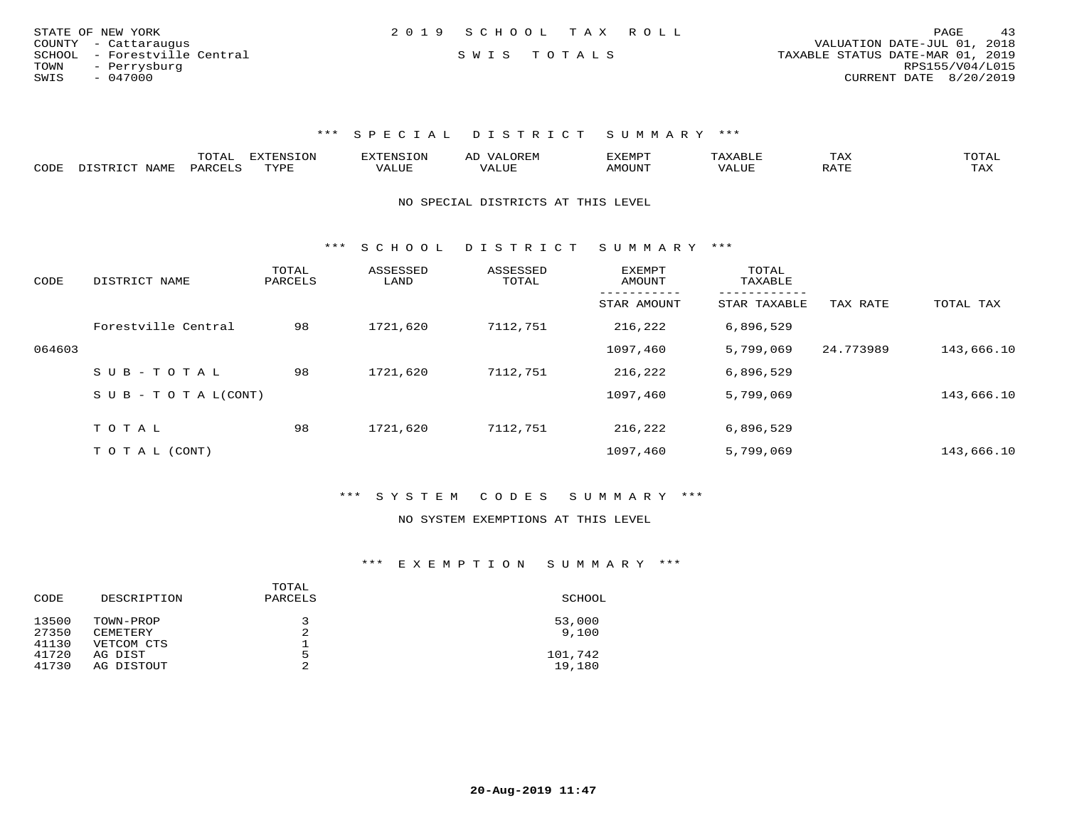| STATE OF NEW YORK            | 2019 SCHOOL TAX ROLL | 43<br>PAGE                       |
|------------------------------|----------------------|----------------------------------|
| COUNTY - Cattaraugus         |                      | VALUATION DATE-JUL 01, 2018      |
| SCHOOL - Forestville Central | SWIS TOTALS          | TAXABLE STATUS DATE-MAR 01, 2019 |
| TOWN<br>- Perrysburg         |                      | RPS155/V04/L015                  |
| SWIS<br>- 047000             |                      | CURRENT DATE 8/20/2019           |

|      |                       | UIAL     | <b>EXTENSION</b> |               | A <sub>1</sub> | 'XEMP'        |                          | ⊥AA   | TOTAL |
|------|-----------------------|----------|------------------|---------------|----------------|---------------|--------------------------|-------|-------|
| CODE | <b>NLAME</b><br>comp: | DAPCFT.C | TVDF             | <i>J</i> ALUE |                | <b>AMOUNT</b> | , 7 7 T T T T T<br>VALUE | יחת ה | TAX   |

NO SPECIAL DISTRICTS AT THIS LEVEL

\*\*\* S C H O O L D I S T R I C T S U M M A R Y \*\*\*

| CODE   | DISTRICT NAME              | TOTAL<br>PARCELS | ASSESSED<br>LAND | ASSESSED<br>TOTAL | EXEMPT<br>AMOUNT | TOTAL<br>TAXABLE          |           |            |
|--------|----------------------------|------------------|------------------|-------------------|------------------|---------------------------|-----------|------------|
|        |                            |                  |                  |                   | STAR AMOUNT      | ---------<br>STAR TAXABLE | TAX RATE  | TOTAL TAX  |
|        | Forestville Central        | 98               | 1721,620         | 7112,751          | 216,222          | 6,896,529                 |           |            |
| 064603 |                            |                  |                  |                   | 1097,460         | 5,799,069                 | 24.773989 | 143,666.10 |
|        | SUB-TOTAL                  | 98               | 1721,620         | 7112,751          | 216,222          | 6,896,529                 |           |            |
|        | S U B - T O T A $L$ (CONT) |                  |                  |                   | 1097,460         | 5,799,069                 |           | 143,666.10 |
|        | TOTAL                      | 98               | 1721,620         | 7112,751          | 216,222          | 6,896,529                 |           |            |
|        |                            |                  |                  |                   |                  |                           |           |            |
|        | T O T A L (CONT)           |                  |                  |                   | 1097,460         | 5,799,069                 |           | 143,666.10 |

\*\*\* S Y S T E M C O D E S S U M M A R Y \*\*\*

#### NO SYSTEM EXEMPTIONS AT THIS LEVEL

| CODE  | DESCRIPTION | TOTAL<br>PARCELS | SCHOOL  |
|-------|-------------|------------------|---------|
| 13500 | TOWN-PROP   |                  | 53,000  |
| 27350 | CEMETERY    | 2                | 9.100   |
| 41130 | VETCOM CTS  | ᅩ                |         |
| 41720 | AG DIST     | 5                | 101,742 |
| 41730 | AG DISTOUT  | 2                | 19,180  |
|       |             |                  |         |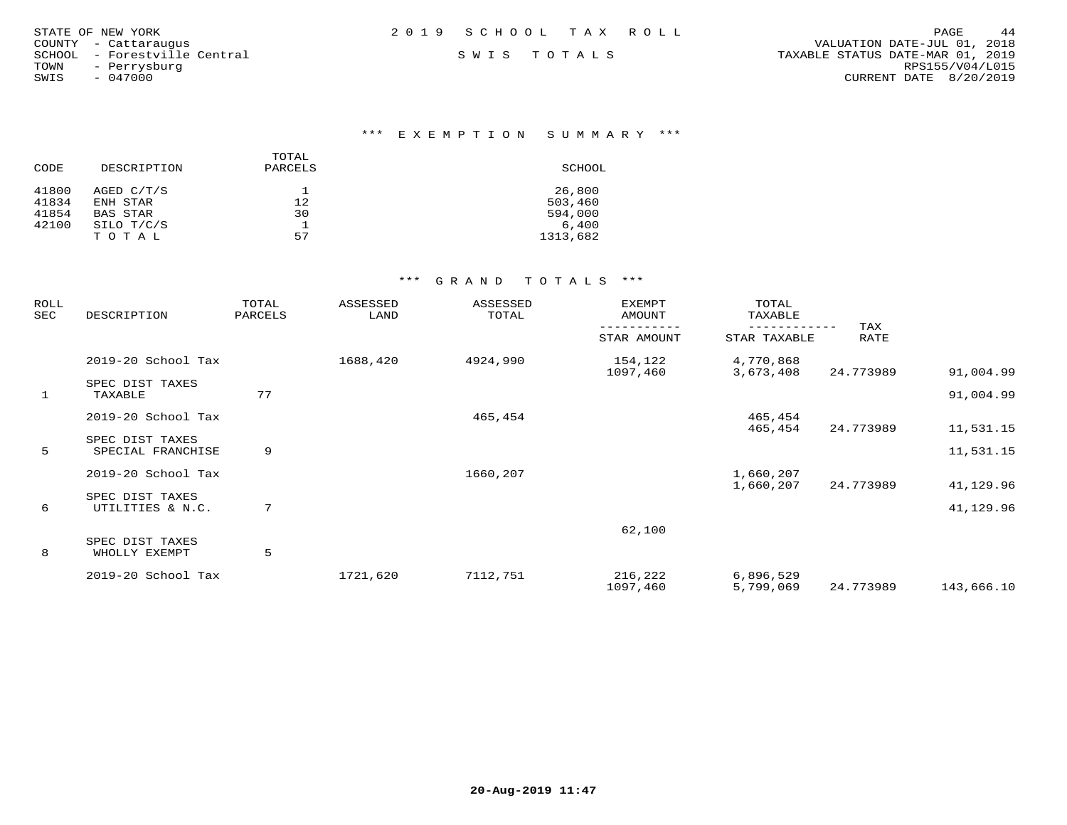| STATE OF NEW YORK            | 2019 SCHOOL TAX ROLL | 44<br>PAGE                       |
|------------------------------|----------------------|----------------------------------|
| COUNTY - Cattaraugus         |                      | VALUATION DATE-JUL 01, 2018      |
| SCHOOL - Forestville Central | SWIS TOTALS          | TAXABLE STATUS DATE-MAR 01, 2019 |
| TOWN<br>- Perrysburg         |                      | RPS155/V04/L015                  |
| $-047000$<br>SWIS            |                      | CURRENT DATE 8/20/2019           |
|                              |                      |                                  |

### \*\*\* E X E M P T I O N S U M M A R Y \*\*\*

|       |             | TOTAL   |          |
|-------|-------------|---------|----------|
| CODE  | DESCRIPTION | PARCELS | SCHOOL   |
| 41800 | AGED C/T/S  |         | 26,800   |
| 41834 | ENH STAR    | 12      | 503,460  |
| 41854 | BAS STAR    | 30      | 594,000  |
| 42100 | SILO T/C/S  |         | 6.400    |
|       | TOTAL       | 57      | 1313,682 |

| ROLL<br>SEC  | DESCRIPTION                          | TOTAL<br>PARCELS | ASSESSED<br>LAND | ASSESSED<br>TOTAL | EXEMPT<br>AMOUNT    | TOTAL<br>TAXABLE       |             |                        |
|--------------|--------------------------------------|------------------|------------------|-------------------|---------------------|------------------------|-------------|------------------------|
|              |                                      |                  |                  |                   | STAR AMOUNT         | STAR TAXABLE           | TAX<br>RATE |                        |
|              | 2019-20 School Tax                   |                  | 1688,420         | 4924,990          | 154,122<br>1097,460 | 4,770,868<br>3,673,408 | 24.773989   | 91,004.99              |
| $\mathbf{1}$ | SPEC DIST TAXES<br>TAXABLE           | 77               |                  |                   |                     |                        |             | 91,004.99              |
|              | 2019-20 School Tax                   |                  |                  | 465,454           |                     | 465,454                |             |                        |
| 5            | SPEC DIST TAXES<br>SPECIAL FRANCHISE | 9                |                  |                   |                     | 465,454                | 24.773989   | 11,531.15<br>11,531.15 |
|              | 2019-20 School Tax                   |                  |                  | 1660,207          |                     | 1,660,207              |             |                        |
|              | SPEC DIST TAXES                      |                  |                  |                   |                     | 1,660,207              | 24.773989   | 41,129.96              |
| 6            | UTILITIES & N.C.                     | 7                |                  |                   |                     |                        |             | 41,129.96              |
|              | SPEC DIST TAXES                      |                  |                  |                   | 62,100              |                        |             |                        |
| 8            | WHOLLY EXEMPT                        | 5                |                  |                   |                     |                        |             |                        |
|              | 2019-20 School Tax                   |                  | 1721,620         | 7112,751          | 216,222<br>1097,460 | 6,896,529<br>5,799,069 | 24.773989   | 143,666.10             |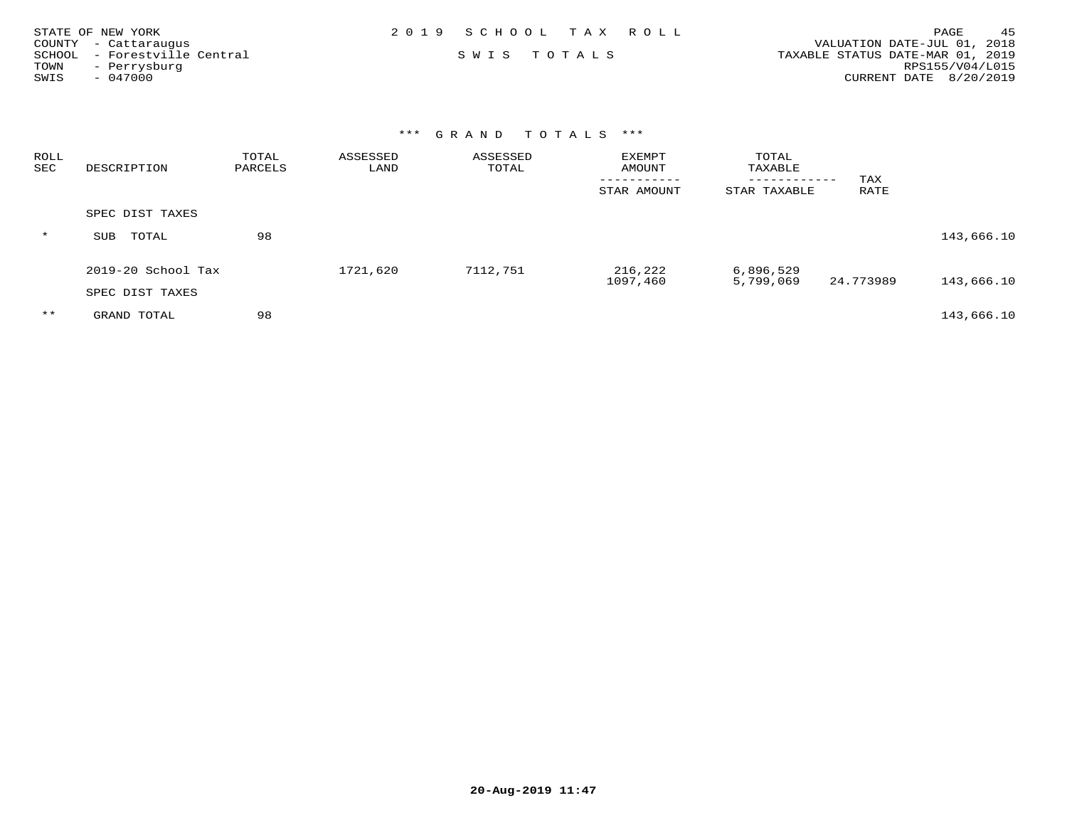| STATE OF NEW YORK |                              | 2019 SCHOOL TAX ROLL |  |                                  | PAGE            | 45 |
|-------------------|------------------------------|----------------------|--|----------------------------------|-----------------|----|
|                   | COUNTY - Cattaraugus         |                      |  | VALUATION DATE-JUL 01, 2018      |                 |    |
|                   | SCHOOL - Forestville Central | SWIS TOTALS          |  | TAXABLE STATUS DATE-MAR 01, 2019 |                 |    |
| TOWN              | - Perrysburg                 |                      |  |                                  | RPS155/V04/L015 |    |
| SWIS              | - 047000                     |                      |  | CURRENT DATE 8/20/2019           |                 |    |

| ROLL<br>SEC | DESCRIPTION        | TOTAL<br>PARCELS | ASSESSED<br>LAND | ASSESSED<br>TOTAL | <b>EXEMPT</b><br>AMOUNT | TOTAL<br>TAXABLE             |             |            |
|-------------|--------------------|------------------|------------------|-------------------|-------------------------|------------------------------|-------------|------------|
|             |                    |                  |                  |                   | --------<br>STAR AMOUNT | ------------<br>STAR TAXABLE | TAX<br>RATE |            |
|             | SPEC DIST TAXES    |                  |                  |                   |                         |                              |             |            |
| $\star$     | TOTAL<br>SUB       | 98               |                  |                   |                         |                              |             | 143,666.10 |
|             | 2019-20 School Tax |                  | 1721,620         | 7112,751          | 216,222<br>1097,460     | 6,896,529<br>5,799,069       | 24.773989   | 143,666.10 |
|             | SPEC DIST TAXES    |                  |                  |                   |                         |                              |             |            |
| $* *$       | GRAND TOTAL        | 98               |                  |                   |                         |                              |             | 143,666.10 |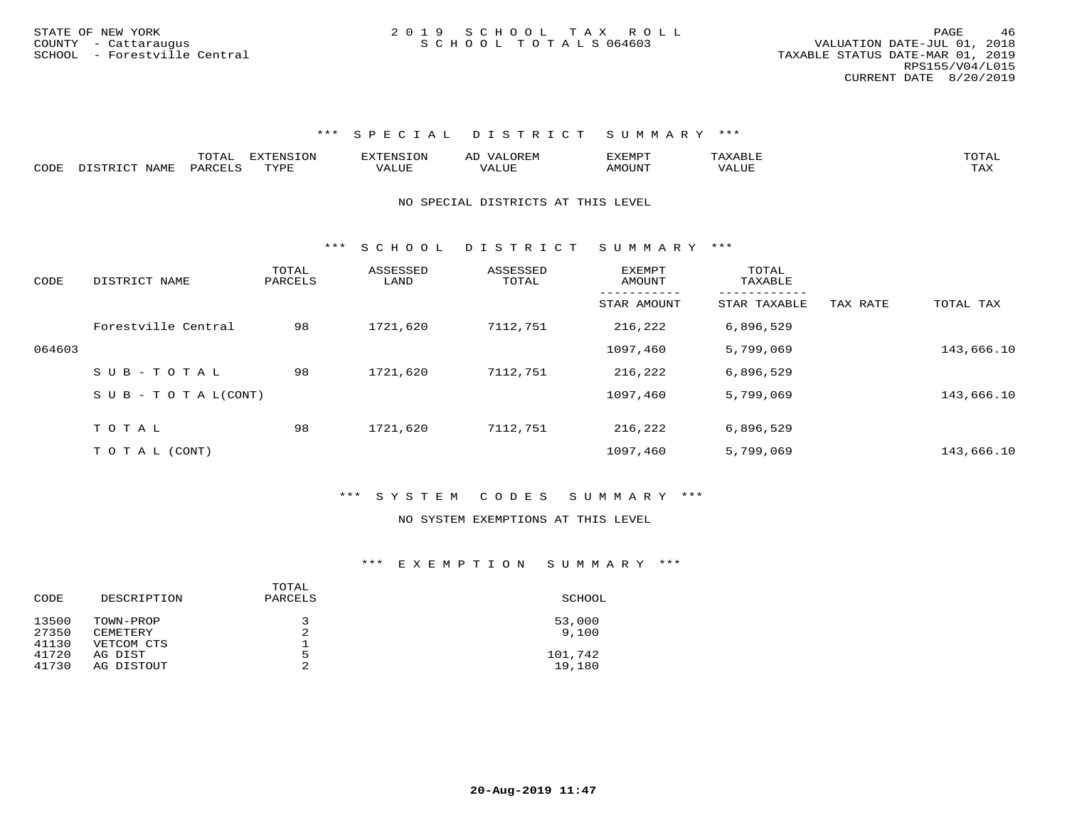|      |                      | $\overline{\phantom{a}}$<br>- 777 | m<br>.<br>$\left( \begin{array}{c} 1 \end{array} \right)$<br>. |             | A <sub>1</sub> | ים x איה x |             | TOTAI    |
|------|----------------------|-----------------------------------|----------------------------------------------------------------|-------------|----------------|------------|-------------|----------|
| CODE | √ТДМЪ<br>$\tau \sim$ | PARO                              | TVDF                                                           | <b>ALUE</b> | ال سلد.        | AMOUNT     | <b>ALUL</b> | .<br>LΑΔ |

#### NO SPECIAL DISTRICTS AT THIS LEVEL

\*\*\* S C H O O L D I S T R I C T S U M M A R Y \*\*\*

| CODE   | DISTRICT NAME                    | TOTAL<br>PARCELS | ASSESSED<br>LAND | ASSESSED<br>TOTAL | <b>EXEMPT</b><br>AMOUNT | TOTAL<br>TAXABLE |          |            |
|--------|----------------------------------|------------------|------------------|-------------------|-------------------------|------------------|----------|------------|
|        |                                  |                  |                  |                   | STAR AMOUNT             | STAR TAXABLE     | TAX RATE | TOTAL TAX  |
|        | Forestville Central              | 98               | 1721,620         | 7112,751          | 216,222                 | 6,896,529        |          |            |
| 064603 |                                  |                  |                  |                   | 1097,460                | 5,799,069        |          | 143,666.10 |
|        | SUB-TOTAL                        | 98               | 1721,620         | 7112,751          | 216,222                 | 6,896,529        |          |            |
|        | $S \cup B - T \cup T A L (CONT)$ |                  |                  |                   | 1097,460                | 5,799,069        |          | 143,666.10 |
|        | TOTAL                            | 98               | 1721,620         | 7112,751          | 216,222                 | 6,896,529        |          |            |
|        |                                  |                  |                  |                   |                         |                  |          |            |
|        | T O T A L (CONT)                 |                  |                  |                   | 1097,460                | 5,799,069        |          | 143,666.10 |

### \*\*\* S Y S T E M C O D E S S U M M A R Y \*\*\*

#### NO SYSTEM EXEMPTIONS AT THIS LEVEL

| SCHOOL  |
|---------|
| 53,000  |
| 9.100   |
|         |
| 101,742 |
| 19,180  |
|         |